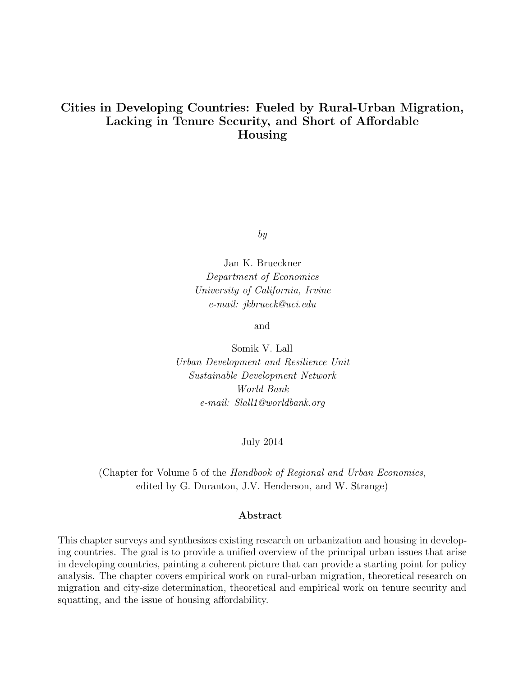## Cities in Developing Countries: Fueled by Rural-Urban Migration, Lacking in Tenure Security, and Short of Affordable Housing

by

Jan K. Brueckner Department of Economics University of California, Irvine e-mail: jkbrueck@uci.edu

and

Somik V. Lall Urban Development and Resilience Unit Sustainable Development Network World Bank e-mail: Slall1@worldbank.org

July 2014

(Chapter for Volume 5 of the Handbook of Regional and Urban Economics, edited by G. Duranton, J.V. Henderson, and W. Strange)

#### Abstract

This chapter surveys and synthesizes existing research on urbanization and housing in developing countries. The goal is to provide a unified overview of the principal urban issues that arise in developing countries, painting a coherent picture that can provide a starting point for policy analysis. The chapter covers empirical work on rural-urban migration, theoretical research on migration and city-size determination, theoretical and empirical work on tenure security and squatting, and the issue of housing affordability.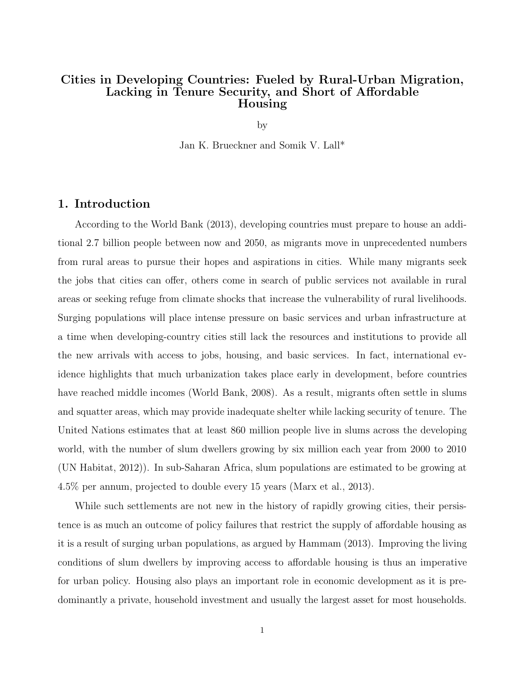## Cities in Developing Countries: Fueled by Rural-Urban Migration, Lacking in Tenure Security, and Short of Affordable Housing

by

Jan K. Brueckner and Somik V. Lall\*

## 1. Introduction

According to the World Bank (2013), developing countries must prepare to house an additional 2.7 billion people between now and 2050, as migrants move in unprecedented numbers from rural areas to pursue their hopes and aspirations in cities. While many migrants seek the jobs that cities can offer, others come in search of public services not available in rural areas or seeking refuge from climate shocks that increase the vulnerability of rural livelihoods. Surging populations will place intense pressure on basic services and urban infrastructure at a time when developing-country cities still lack the resources and institutions to provide all the new arrivals with access to jobs, housing, and basic services. In fact, international evidence highlights that much urbanization takes place early in development, before countries have reached middle incomes (World Bank, 2008). As a result, migrants often settle in slums and squatter areas, which may provide inadequate shelter while lacking security of tenure. The United Nations estimates that at least 860 million people live in slums across the developing world, with the number of slum dwellers growing by six million each year from 2000 to 2010 (UN Habitat, 2012)). In sub-Saharan Africa, slum populations are estimated to be growing at 4.5% per annum, projected to double every 15 years (Marx et al., 2013).

While such settlements are not new in the history of rapidly growing cities, their persistence is as much an outcome of policy failures that restrict the supply of affordable housing as it is a result of surging urban populations, as argued by Hammam (2013). Improving the living conditions of slum dwellers by improving access to affordable housing is thus an imperative for urban policy. Housing also plays an important role in economic development as it is predominantly a private, household investment and usually the largest asset for most households.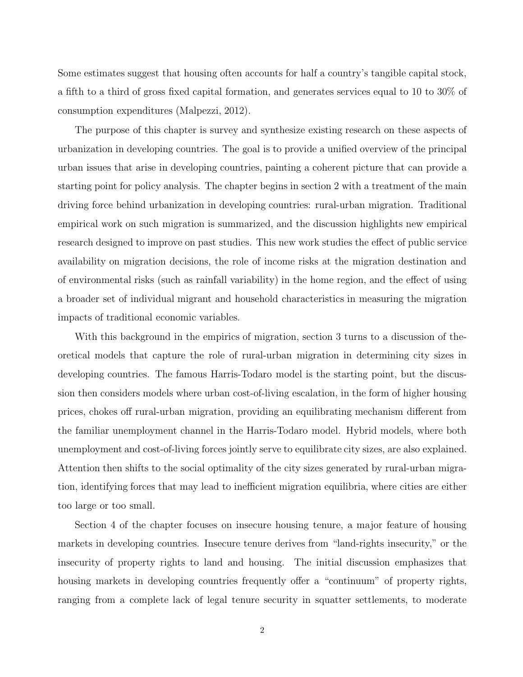Some estimates suggest that housing often accounts for half a country's tangible capital stock, a fifth to a third of gross fixed capital formation, and generates services equal to 10 to 30% of consumption expenditures (Malpezzi, 2012).

The purpose of this chapter is survey and synthesize existing research on these aspects of urbanization in developing countries. The goal is to provide a unified overview of the principal urban issues that arise in developing countries, painting a coherent picture that can provide a starting point for policy analysis. The chapter begins in section 2 with a treatment of the main driving force behind urbanization in developing countries: rural-urban migration. Traditional empirical work on such migration is summarized, and the discussion highlights new empirical research designed to improve on past studies. This new work studies the effect of public service availability on migration decisions, the role of income risks at the migration destination and of environmental risks (such as rainfall variability) in the home region, and the effect of using a broader set of individual migrant and household characteristics in measuring the migration impacts of traditional economic variables.

With this background in the empirics of migration, section 3 turns to a discussion of theoretical models that capture the role of rural-urban migration in determining city sizes in developing countries. The famous Harris-Todaro model is the starting point, but the discussion then considers models where urban cost-of-living escalation, in the form of higher housing prices, chokes off rural-urban migration, providing an equilibrating mechanism different from the familiar unemployment channel in the Harris-Todaro model. Hybrid models, where both unemployment and cost-of-living forces jointly serve to equilibrate city sizes, are also explained. Attention then shifts to the social optimality of the city sizes generated by rural-urban migration, identifying forces that may lead to inefficient migration equilibria, where cities are either too large or too small.

Section 4 of the chapter focuses on insecure housing tenure, a major feature of housing markets in developing countries. Insecure tenure derives from "land-rights insecurity," or the insecurity of property rights to land and housing. The initial discussion emphasizes that housing markets in developing countries frequently offer a "continuum" of property rights, ranging from a complete lack of legal tenure security in squatter settlements, to moderate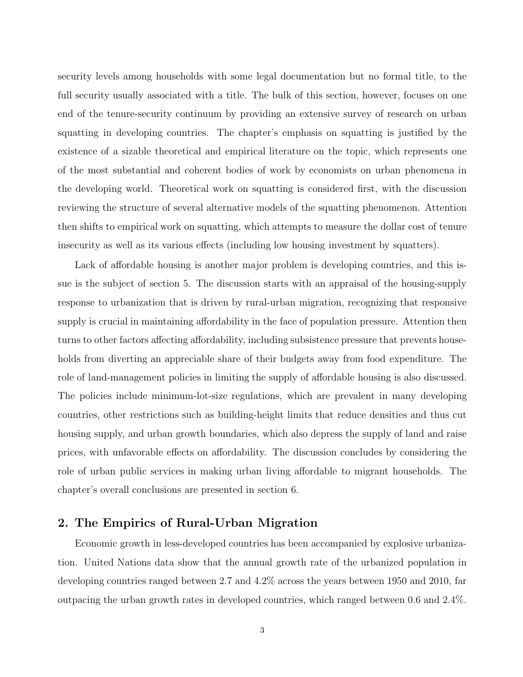security levels among households with some legal documentation but no formal title, to the full security usually associated with a title. The bulk of this section, however, focuses on one end of the tenure-security continuum by providing an extensive survey of research on urban squatting in developing countries. The chapter's emphasis on squatting is justified by the existence of a sizable theoretical and empirical literature on the topic, which represents one of the most substantial and coherent bodies of work by economists on urban phenomena in the developing world. Theoretical work on squatting is considered first, with the discussion reviewing the structure of several alternative models of the squatting phenomenon. Attention then shifts to empirical work on squatting, which attempts to measure the dollar cost of tenure insecurity as well as its various effects (including low housing investment by squatters).

Lack of affordable housing is another major problem is developing countries, and this issue is the subject of section 5. The discussion starts with an appraisal of the housing-supply response to urbanization that is driven by rural-urban migration, recognizing that responsive supply is crucial in maintaining affordability in the face of population pressure. Attention then turns to other factors affecting affordability, including subsistence pressure that prevents households from diverting an appreciable share of their budgets away from food expenditure. The role of land-management policies in limiting the supply of affordable housing is also discussed. The policies include minimum-lot-size regulations, which are prevalent in many developing countries, other restrictions such as building-height limits that reduce densities and thus cut housing supply, and urban growth boundaries, which also depress the supply of land and raise prices, with unfavorable effects on affordability. The discussion concludes by considering the role of urban public services in making urban living affordable to migrant households. The chapter's overall conclusions are presented in section 6.

## 2. The Empirics of Rural-Urban Migration

Economic growth in less-developed countries has been accompanied by explosive urbanization. United Nations data show that the annual growth rate of the urbanized population in developing countries ranged between 2.7 and 4.2% across the years between 1950 and 2010, far outpacing the urban growth rates in developed countries, which ranged between 0.6 and 2.4%.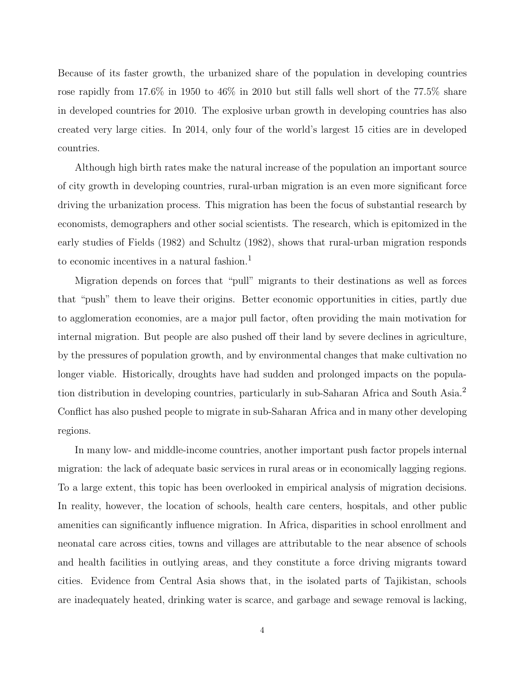Because of its faster growth, the urbanized share of the population in developing countries rose rapidly from 17.6% in 1950 to 46% in 2010 but still falls well short of the 77.5% share in developed countries for 2010. The explosive urban growth in developing countries has also created very large cities. In 2014, only four of the world's largest 15 cities are in developed countries.

Although high birth rates make the natural increase of the population an important source of city growth in developing countries, rural-urban migration is an even more significant force driving the urbanization process. This migration has been the focus of substantial research by economists, demographers and other social scientists. The research, which is epitomized in the early studies of Fields (1982) and Schultz (1982), shows that rural-urban migration responds to economic incentives in a natural fashion.<sup>1</sup>

Migration depends on forces that "pull" migrants to their destinations as well as forces that "push" them to leave their origins. Better economic opportunities in cities, partly due to agglomeration economies, are a major pull factor, often providing the main motivation for internal migration. But people are also pushed off their land by severe declines in agriculture, by the pressures of population growth, and by environmental changes that make cultivation no longer viable. Historically, droughts have had sudden and prolonged impacts on the population distribution in developing countries, particularly in sub-Saharan Africa and South Asia.<sup>2</sup> Conflict has also pushed people to migrate in sub-Saharan Africa and in many other developing regions.

In many low- and middle-income countries, another important push factor propels internal migration: the lack of adequate basic services in rural areas or in economically lagging regions. To a large extent, this topic has been overlooked in empirical analysis of migration decisions. In reality, however, the location of schools, health care centers, hospitals, and other public amenities can significantly influence migration. In Africa, disparities in school enrollment and neonatal care across cities, towns and villages are attributable to the near absence of schools and health facilities in outlying areas, and they constitute a force driving migrants toward cities. Evidence from Central Asia shows that, in the isolated parts of Tajikistan, schools are inadequately heated, drinking water is scarce, and garbage and sewage removal is lacking,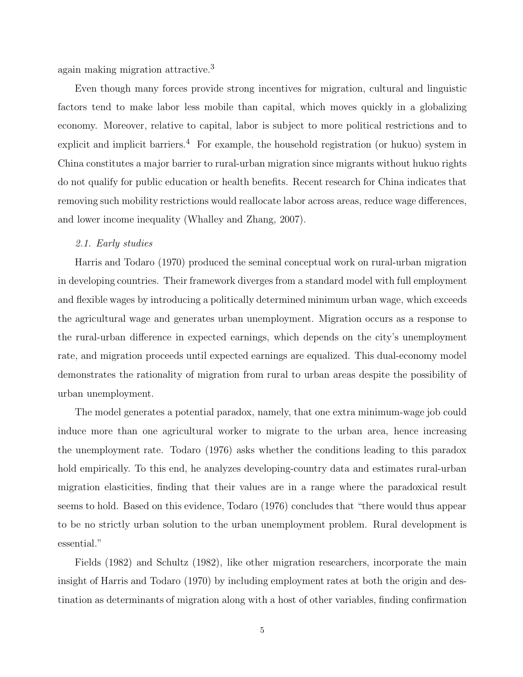again making migration attractive.<sup>3</sup>

Even though many forces provide strong incentives for migration, cultural and linguistic factors tend to make labor less mobile than capital, which moves quickly in a globalizing economy. Moreover, relative to capital, labor is subject to more political restrictions and to explicit and implicit barriers.<sup>4</sup> For example, the household registration (or hukuo) system in China constitutes a major barrier to rural-urban migration since migrants without hukuo rights do not qualify for public education or health benefits. Recent research for China indicates that removing such mobility restrictions would reallocate labor across areas, reduce wage differences, and lower income inequality (Whalley and Zhang, 2007).

#### 2.1. Early studies

Harris and Todaro (1970) produced the seminal conceptual work on rural-urban migration in developing countries. Their framework diverges from a standard model with full employment and flexible wages by introducing a politically determined minimum urban wage, which exceeds the agricultural wage and generates urban unemployment. Migration occurs as a response to the rural-urban difference in expected earnings, which depends on the city's unemployment rate, and migration proceeds until expected earnings are equalized. This dual-economy model demonstrates the rationality of migration from rural to urban areas despite the possibility of urban unemployment.

The model generates a potential paradox, namely, that one extra minimum-wage job could induce more than one agricultural worker to migrate to the urban area, hence increasing the unemployment rate. Todaro (1976) asks whether the conditions leading to this paradox hold empirically. To this end, he analyzes developing-country data and estimates rural-urban migration elasticities, finding that their values are in a range where the paradoxical result seems to hold. Based on this evidence, Todaro (1976) concludes that "there would thus appear to be no strictly urban solution to the urban unemployment problem. Rural development is essential."

Fields (1982) and Schultz (1982), like other migration researchers, incorporate the main insight of Harris and Todaro (1970) by including employment rates at both the origin and destination as determinants of migration along with a host of other variables, finding confirmation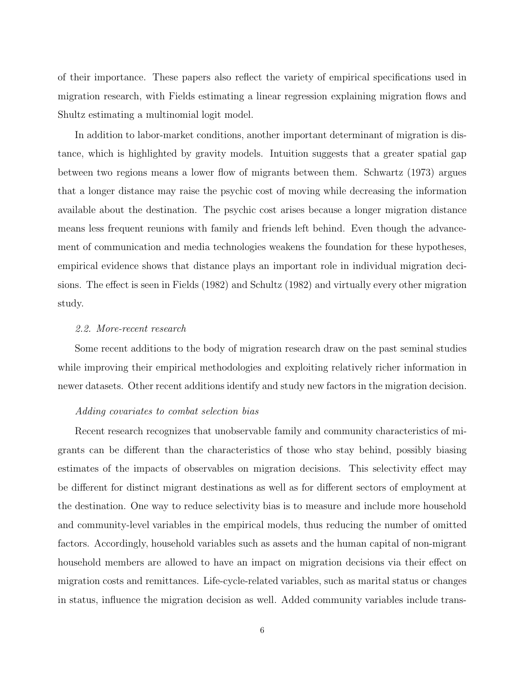of their importance. These papers also reflect the variety of empirical specifications used in migration research, with Fields estimating a linear regression explaining migration flows and Shultz estimating a multinomial logit model.

In addition to labor-market conditions, another important determinant of migration is distance, which is highlighted by gravity models. Intuition suggests that a greater spatial gap between two regions means a lower flow of migrants between them. Schwartz (1973) argues that a longer distance may raise the psychic cost of moving while decreasing the information available about the destination. The psychic cost arises because a longer migration distance means less frequent reunions with family and friends left behind. Even though the advancement of communication and media technologies weakens the foundation for these hypotheses, empirical evidence shows that distance plays an important role in individual migration decisions. The effect is seen in Fields (1982) and Schultz (1982) and virtually every other migration study.

#### 2.2. More-recent research

Some recent additions to the body of migration research draw on the past seminal studies while improving their empirical methodologies and exploiting relatively richer information in newer datasets. Other recent additions identify and study new factors in the migration decision.

#### Adding covariates to combat selection bias

Recent research recognizes that unobservable family and community characteristics of migrants can be different than the characteristics of those who stay behind, possibly biasing estimates of the impacts of observables on migration decisions. This selectivity effect may be different for distinct migrant destinations as well as for different sectors of employment at the destination. One way to reduce selectivity bias is to measure and include more household and community-level variables in the empirical models, thus reducing the number of omitted factors. Accordingly, household variables such as assets and the human capital of non-migrant household members are allowed to have an impact on migration decisions via their effect on migration costs and remittances. Life-cycle-related variables, such as marital status or changes in status, influence the migration decision as well. Added community variables include trans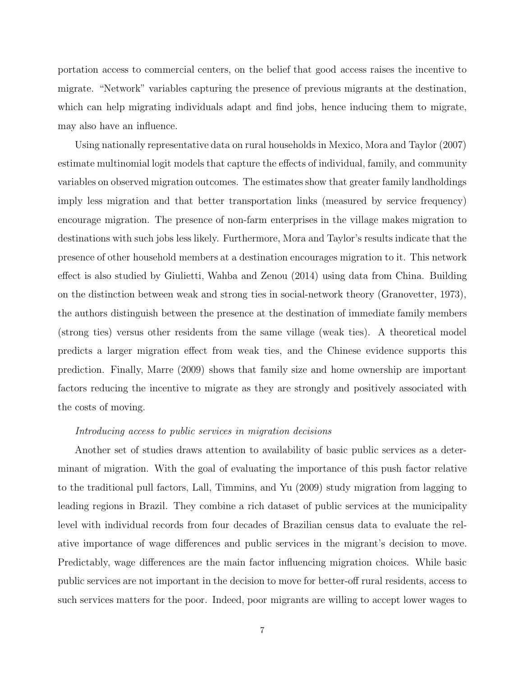portation access to commercial centers, on the belief that good access raises the incentive to migrate. "Network" variables capturing the presence of previous migrants at the destination, which can help migrating individuals adapt and find jobs, hence inducing them to migrate, may also have an influence.

Using nationally representative data on rural households in Mexico, Mora and Taylor (2007) estimate multinomial logit models that capture the effects of individual, family, and community variables on observed migration outcomes. The estimates show that greater family landholdings imply less migration and that better transportation links (measured by service frequency) encourage migration. The presence of non-farm enterprises in the village makes migration to destinations with such jobs less likely. Furthermore, Mora and Taylor's results indicate that the presence of other household members at a destination encourages migration to it. This network effect is also studied by Giulietti, Wahba and Zenou (2014) using data from China. Building on the distinction between weak and strong ties in social-network theory (Granovetter, 1973), the authors distinguish between the presence at the destination of immediate family members (strong ties) versus other residents from the same village (weak ties). A theoretical model predicts a larger migration effect from weak ties, and the Chinese evidence supports this prediction. Finally, Marre (2009) shows that family size and home ownership are important factors reducing the incentive to migrate as they are strongly and positively associated with the costs of moving.

#### Introducing access to public services in migration decisions

Another set of studies draws attention to availability of basic public services as a determinant of migration. With the goal of evaluating the importance of this push factor relative to the traditional pull factors, Lall, Timmins, and Yu (2009) study migration from lagging to leading regions in Brazil. They combine a rich dataset of public services at the municipality level with individual records from four decades of Brazilian census data to evaluate the relative importance of wage differences and public services in the migrant's decision to move. Predictably, wage differences are the main factor influencing migration choices. While basic public services are not important in the decision to move for better-off rural residents, access to such services matters for the poor. Indeed, poor migrants are willing to accept lower wages to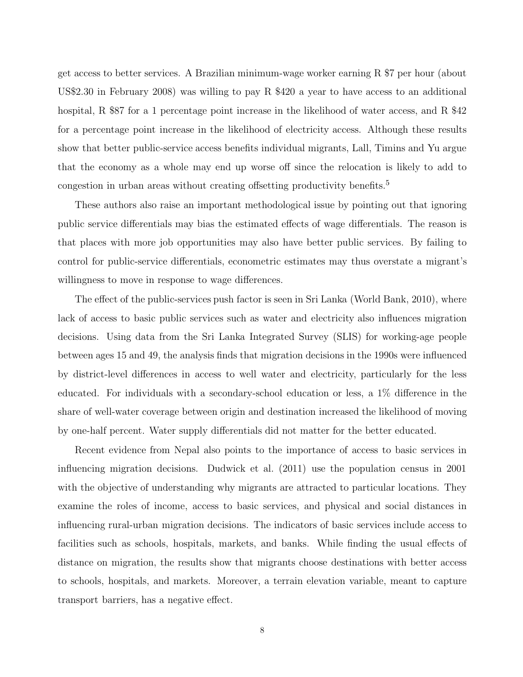get access to better services. A Brazilian minimum-wage worker earning R \$7 per hour (about US\$2.30 in February 2008) was willing to pay R \$420 a year to have access to an additional hospital, R \$87 for a 1 percentage point increase in the likelihood of water access, and R \$42 for a percentage point increase in the likelihood of electricity access. Although these results show that better public-service access benefits individual migrants, Lall, Timins and Yu argue that the economy as a whole may end up worse off since the relocation is likely to add to congestion in urban areas without creating offsetting productivity benefits.<sup>5</sup>

These authors also raise an important methodological issue by pointing out that ignoring public service differentials may bias the estimated effects of wage differentials. The reason is that places with more job opportunities may also have better public services. By failing to control for public-service differentials, econometric estimates may thus overstate a migrant's willingness to move in response to wage differences.

The effect of the public-services push factor is seen in Sri Lanka (World Bank, 2010), where lack of access to basic public services such as water and electricity also influences migration decisions. Using data from the Sri Lanka Integrated Survey (SLIS) for working-age people between ages 15 and 49, the analysis finds that migration decisions in the 1990s were influenced by district-level differences in access to well water and electricity, particularly for the less educated. For individuals with a secondary-school education or less, a 1% difference in the share of well-water coverage between origin and destination increased the likelihood of moving by one-half percent. Water supply differentials did not matter for the better educated.

Recent evidence from Nepal also points to the importance of access to basic services in influencing migration decisions. Dudwick et al. (2011) use the population census in 2001 with the objective of understanding why migrants are attracted to particular locations. They examine the roles of income, access to basic services, and physical and social distances in influencing rural-urban migration decisions. The indicators of basic services include access to facilities such as schools, hospitals, markets, and banks. While finding the usual effects of distance on migration, the results show that migrants choose destinations with better access to schools, hospitals, and markets. Moreover, a terrain elevation variable, meant to capture transport barriers, has a negative effect.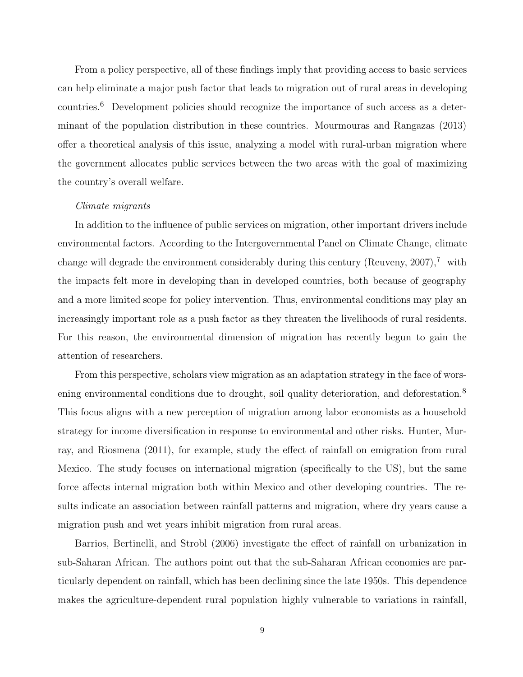From a policy perspective, all of these findings imply that providing access to basic services can help eliminate a major push factor that leads to migration out of rural areas in developing countries.<sup>6</sup> Development policies should recognize the importance of such access as a determinant of the population distribution in these countries. Mourmouras and Rangazas (2013) offer a theoretical analysis of this issue, analyzing a model with rural-urban migration where the government allocates public services between the two areas with the goal of maximizing the country's overall welfare.

#### Climate migrants

In addition to the influence of public services on migration, other important drivers include environmental factors. According to the Intergovernmental Panel on Climate Change, climate change will degrade the environment considerably during this century (Reuveny, 2007),<sup>7</sup> with the impacts felt more in developing than in developed countries, both because of geography and a more limited scope for policy intervention. Thus, environmental conditions may play an increasingly important role as a push factor as they threaten the livelihoods of rural residents. For this reason, the environmental dimension of migration has recently begun to gain the attention of researchers.

From this perspective, scholars view migration as an adaptation strategy in the face of worsening environmental conditions due to drought, soil quality deterioration, and deforestation.<sup>8</sup> This focus aligns with a new perception of migration among labor economists as a household strategy for income diversification in response to environmental and other risks. Hunter, Murray, and Riosmena (2011), for example, study the effect of rainfall on emigration from rural Mexico. The study focuses on international migration (specifically to the US), but the same force affects internal migration both within Mexico and other developing countries. The results indicate an association between rainfall patterns and migration, where dry years cause a migration push and wet years inhibit migration from rural areas.

Barrios, Bertinelli, and Strobl (2006) investigate the effect of rainfall on urbanization in sub-Saharan African. The authors point out that the sub-Saharan African economies are particularly dependent on rainfall, which has been declining since the late 1950s. This dependence makes the agriculture-dependent rural population highly vulnerable to variations in rainfall,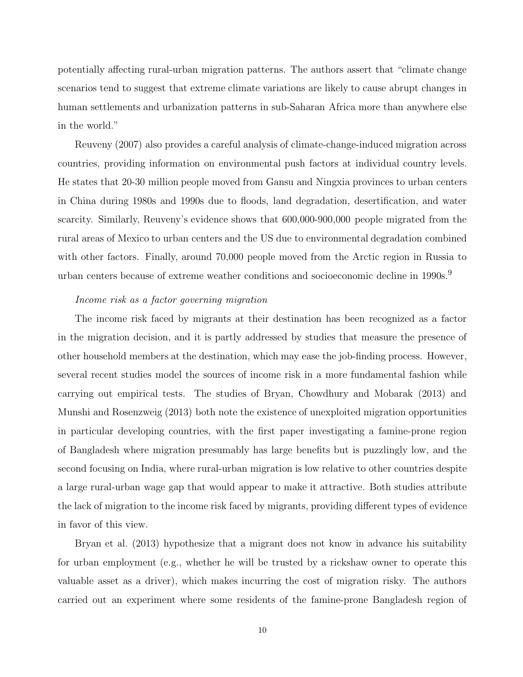potentially affecting rural-urban migration patterns. The authors assert that "climate change scenarios tend to suggest that extreme climate variations are likely to cause abrupt changes in human settlements and urbanization patterns in sub-Saharan Africa more than anywhere else in the world."

Reuveny (2007) also provides a careful analysis of climate-change-induced migration across countries, providing information on environmental push factors at individual country levels. He states that 20-30 million people moved from Gansu and Ningxia provinces to urban centers in China during 1980s and 1990s due to floods, land degradation, desertification, and water scarcity. Similarly, Reuveny's evidence shows that 600,000-900,000 people migrated from the rural areas of Mexico to urban centers and the US due to environmental degradation combined with other factors. Finally, around 70,000 people moved from the Arctic region in Russia to urban centers because of extreme weather conditions and socioeconomic decline in 1990s.<sup>9</sup>

#### Income risk as a factor governing migration

The income risk faced by migrants at their destination has been recognized as a factor in the migration decision, and it is partly addressed by studies that measure the presence of other household members at the destination, which may ease the job-finding process. However, several recent studies model the sources of income risk in a more fundamental fashion while carrying out empirical tests. The studies of Bryan, Chowdhury and Mobarak (2013) and Munshi and Rosenzweig (2013) both note the existence of unexploited migration opportunities in particular developing countries, with the first paper investigating a famine-prone region of Bangladesh where migration presumably has large benefits but is puzzlingly low, and the second focusing on India, where rural-urban migration is low relative to other countries despite a large rural-urban wage gap that would appear to make it attractive. Both studies attribute the lack of migration to the income risk faced by migrants, providing different types of evidence in favor of this view.

Bryan et al. (2013) hypothesize that a migrant does not know in advance his suitability for urban employment (e.g., whether he will be trusted by a rickshaw owner to operate this valuable asset as a driver), which makes incurring the cost of migration risky. The authors carried out an experiment where some residents of the famine-prone Bangladesh region of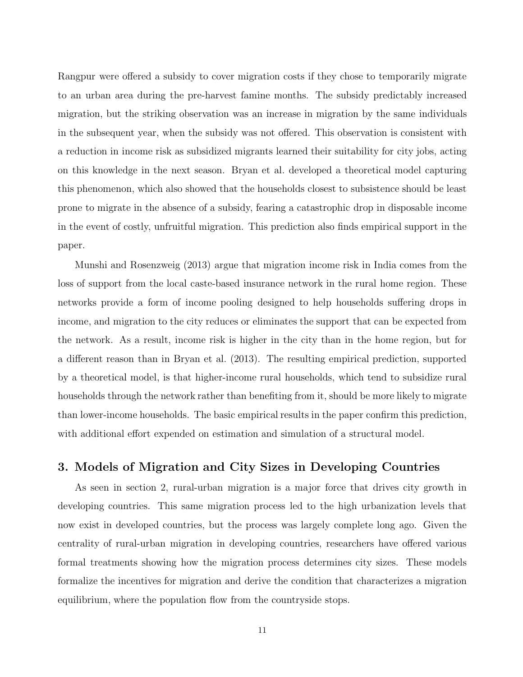Rangpur were offered a subsidy to cover migration costs if they chose to temporarily migrate to an urban area during the pre-harvest famine months. The subsidy predictably increased migration, but the striking observation was an increase in migration by the same individuals in the subsequent year, when the subsidy was not offered. This observation is consistent with a reduction in income risk as subsidized migrants learned their suitability for city jobs, acting on this knowledge in the next season. Bryan et al. developed a theoretical model capturing this phenomenon, which also showed that the households closest to subsistence should be least prone to migrate in the absence of a subsidy, fearing a catastrophic drop in disposable income in the event of costly, unfruitful migration. This prediction also finds empirical support in the paper.

Munshi and Rosenzweig (2013) argue that migration income risk in India comes from the loss of support from the local caste-based insurance network in the rural home region. These networks provide a form of income pooling designed to help households suffering drops in income, and migration to the city reduces or eliminates the support that can be expected from the network. As a result, income risk is higher in the city than in the home region, but for a different reason than in Bryan et al. (2013). The resulting empirical prediction, supported by a theoretical model, is that higher-income rural households, which tend to subsidize rural households through the network rather than benefiting from it, should be more likely to migrate than lower-income households. The basic empirical results in the paper confirm this prediction, with additional effort expended on estimation and simulation of a structural model.

## 3. Models of Migration and City Sizes in Developing Countries

As seen in section 2, rural-urban migration is a major force that drives city growth in developing countries. This same migration process led to the high urbanization levels that now exist in developed countries, but the process was largely complete long ago. Given the centrality of rural-urban migration in developing countries, researchers have offered various formal treatments showing how the migration process determines city sizes. These models formalize the incentives for migration and derive the condition that characterizes a migration equilibrium, where the population flow from the countryside stops.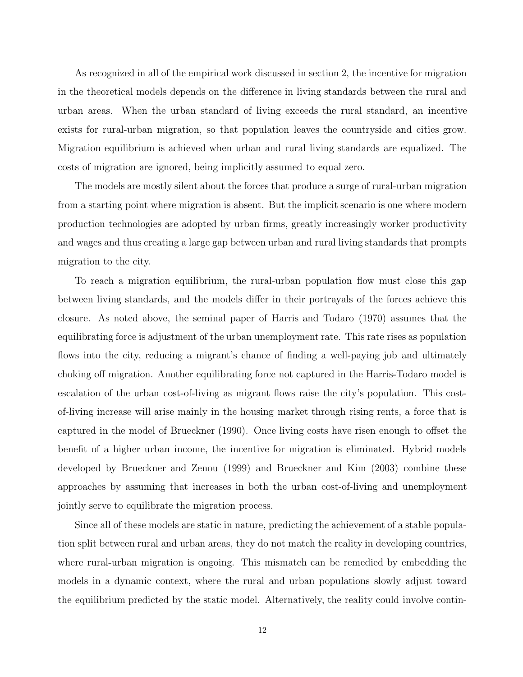As recognized in all of the empirical work discussed in section 2, the incentive for migration in the theoretical models depends on the difference in living standards between the rural and urban areas. When the urban standard of living exceeds the rural standard, an incentive exists for rural-urban migration, so that population leaves the countryside and cities grow. Migration equilibrium is achieved when urban and rural living standards are equalized. The costs of migration are ignored, being implicitly assumed to equal zero.

The models are mostly silent about the forces that produce a surge of rural-urban migration from a starting point where migration is absent. But the implicit scenario is one where modern production technologies are adopted by urban firms, greatly increasingly worker productivity and wages and thus creating a large gap between urban and rural living standards that prompts migration to the city.

To reach a migration equilibrium, the rural-urban population flow must close this gap between living standards, and the models differ in their portrayals of the forces achieve this closure. As noted above, the seminal paper of Harris and Todaro (1970) assumes that the equilibrating force is adjustment of the urban unemployment rate. This rate rises as population flows into the city, reducing a migrant's chance of finding a well-paying job and ultimately choking off migration. Another equilibrating force not captured in the Harris-Todaro model is escalation of the urban cost-of-living as migrant flows raise the city's population. This costof-living increase will arise mainly in the housing market through rising rents, a force that is captured in the model of Brueckner (1990). Once living costs have risen enough to offset the benefit of a higher urban income, the incentive for migration is eliminated. Hybrid models developed by Brueckner and Zenou (1999) and Brueckner and Kim (2003) combine these approaches by assuming that increases in both the urban cost-of-living and unemployment jointly serve to equilibrate the migration process.

Since all of these models are static in nature, predicting the achievement of a stable population split between rural and urban areas, they do not match the reality in developing countries, where rural-urban migration is ongoing. This mismatch can be remedied by embedding the models in a dynamic context, where the rural and urban populations slowly adjust toward the equilibrium predicted by the static model. Alternatively, the reality could involve contin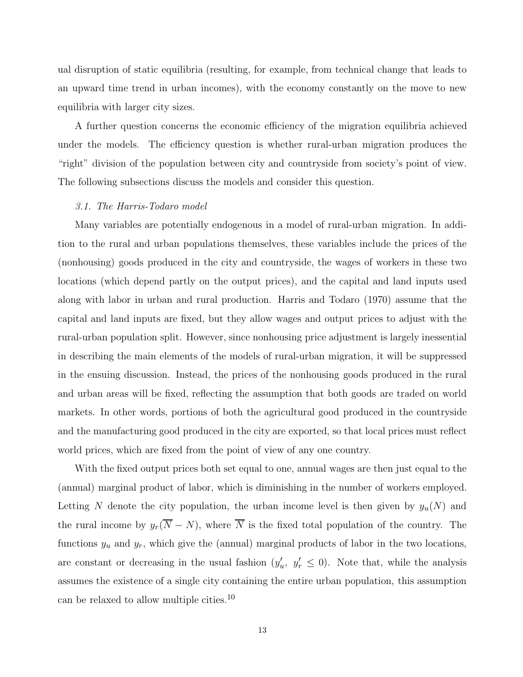ual disruption of static equilibria (resulting, for example, from technical change that leads to an upward time trend in urban incomes), with the economy constantly on the move to new equilibria with larger city sizes.

A further question concerns the economic efficiency of the migration equilibria achieved under the models. The efficiency question is whether rural-urban migration produces the "right" division of the population between city and countryside from society's point of view. The following subsections discuss the models and consider this question.

#### 3.1. The Harris-Todaro model

Many variables are potentially endogenous in a model of rural-urban migration. In addition to the rural and urban populations themselves, these variables include the prices of the (nonhousing) goods produced in the city and countryside, the wages of workers in these two locations (which depend partly on the output prices), and the capital and land inputs used along with labor in urban and rural production. Harris and Todaro (1970) assume that the capital and land inputs are fixed, but they allow wages and output prices to adjust with the rural-urban population split. However, since nonhousing price adjustment is largely inessential in describing the main elements of the models of rural-urban migration, it will be suppressed in the ensuing discussion. Instead, the prices of the nonhousing goods produced in the rural and urban areas will be fixed, reflecting the assumption that both goods are traded on world markets. In other words, portions of both the agricultural good produced in the countryside and the manufacturing good produced in the city are exported, so that local prices must reflect world prices, which are fixed from the point of view of any one country.

With the fixed output prices both set equal to one, annual wages are then just equal to the (annual) marginal product of labor, which is diminishing in the number of workers employed. Letting N denote the city population, the urban income level is then given by  $y_u(N)$  and the rural income by  $y_r(\overline{N} - N)$ , where  $\overline{N}$  is the fixed total population of the country. The functions  $y_u$  and  $y_r$ , which give the (annual) marginal products of labor in the two locations, are constant or decreasing in the usual fashion  $(y'_i)$  $y'_u, y'_r \leq 0$ . Note that, while the analysis assumes the existence of a single city containing the entire urban population, this assumption can be relaxed to allow multiple cities.<sup>10</sup>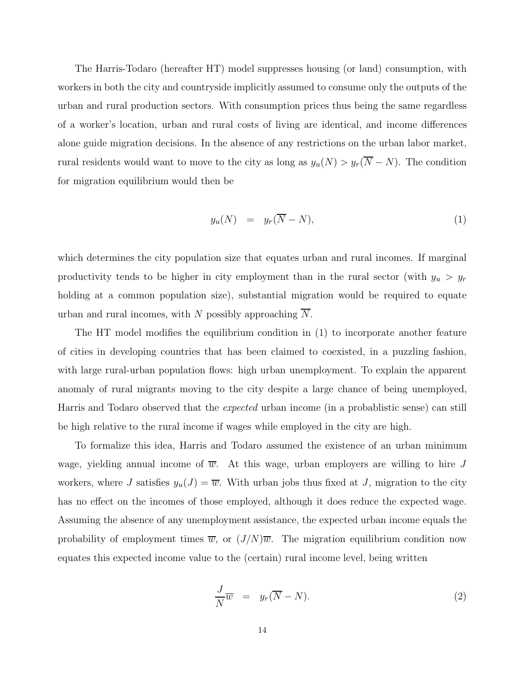The Harris-Todaro (hereafter HT) model suppresses housing (or land) consumption, with workers in both the city and countryside implicitly assumed to consume only the outputs of the urban and rural production sectors. With consumption prices thus being the same regardless of a worker's location, urban and rural costs of living are identical, and income differences alone guide migration decisions. In the absence of any restrictions on the urban labor market, rural residents would want to move to the city as long as  $y_u(N) > y_r(\overline{N} - N)$ . The condition for migration equilibrium would then be

$$
y_u(N) = y_r(\overline{N} - N), \tag{1}
$$

which determines the city population size that equates urban and rural incomes. If marginal productivity tends to be higher in city employment than in the rural sector (with  $y_u > y_r$ holding at a common population size), substantial migration would be required to equate urban and rural incomes, with N possibly approaching  $\overline{N}$ .

The HT model modifies the equilibrium condition in (1) to incorporate another feature of cities in developing countries that has been claimed to coexisted, in a puzzling fashion, with large rural-urban population flows: high urban unemployment. To explain the apparent anomaly of rural migrants moving to the city despite a large chance of being unemployed, Harris and Todaro observed that the expected urban income (in a probablistic sense) can still be high relative to the rural income if wages while employed in the city are high.

To formalize this idea, Harris and Todaro assumed the existence of an urban minimum wage, yielding annual income of  $\overline{w}$ . At this wage, urban employers are willing to hire J workers, where J satisfies  $y_u(J) = \overline{w}$ . With urban jobs thus fixed at J, migration to the city has no effect on the incomes of those employed, although it does reduce the expected wage. Assuming the absence of any unemployment assistance, the expected urban income equals the probability of employment times  $\overline{w}$ , or  $(J/N)\overline{w}$ . The migration equilibrium condition now equates this expected income value to the (certain) rural income level, being written

$$
\frac{J}{N}\overline{w} = y_r(\overline{N} - N). \tag{2}
$$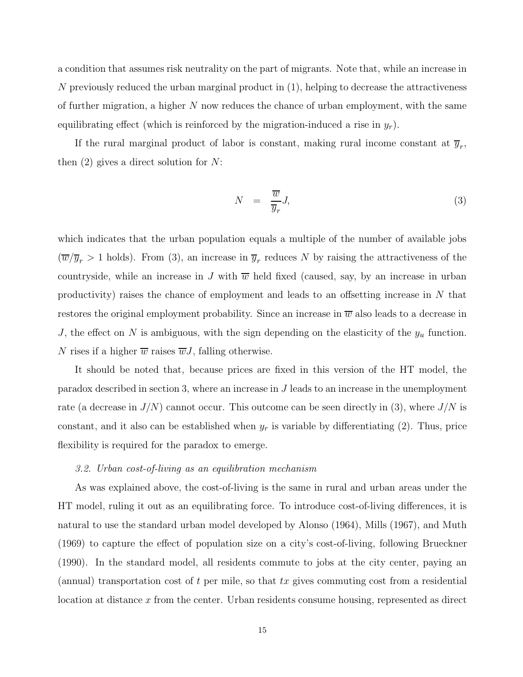a condition that assumes risk neutrality on the part of migrants. Note that, while an increase in N previously reduced the urban marginal product in (1), helping to decrease the attractiveness of further migration, a higher  $N$  now reduces the chance of urban employment, with the same equilibrating effect (which is reinforced by the migration-induced a rise in  $y_r$ ).

If the rural marginal product of labor is constant, making rural income constant at  $\overline{y}_r$ , then  $(2)$  gives a direct solution for N:

$$
N = \frac{\overline{w}}{\overline{y}_r} J,\tag{3}
$$

which indicates that the urban population equals a multiple of the number of available jobs  $(\overline{w}/\overline{y}_r > 1)$  holds). From (3), an increase in  $\overline{y}_r$  reduces N by raising the attractiveness of the countryside, while an increase in J with  $\overline{w}$  held fixed (caused, say, by an increase in urban productivity) raises the chance of employment and leads to an offsetting increase in N that restores the original employment probability. Since an increase in  $\overline{w}$  also leads to a decrease in J, the effect on  $N$  is ambiguous, with the sign depending on the elasticity of the  $y_u$  function. N rises if a higher  $\overline{w}$  raises  $\overline{w}J$ , falling otherwise.

It should be noted that, because prices are fixed in this version of the HT model, the paradox described in section 3, where an increase in  $J$  leads to an increase in the unemployment rate (a decrease in  $J/N$ ) cannot occur. This outcome can be seen directly in (3), where  $J/N$  is constant, and it also can be established when  $y_r$  is variable by differentiating (2). Thus, price flexibility is required for the paradox to emerge.

#### 3.2. Urban cost-of-living as an equilibration mechanism

As was explained above, the cost-of-living is the same in rural and urban areas under the HT model, ruling it out as an equilibrating force. To introduce cost-of-living differences, it is natural to use the standard urban model developed by Alonso (1964), Mills (1967), and Muth (1969) to capture the effect of population size on a city's cost-of-living, following Brueckner (1990). In the standard model, all residents commute to jobs at the city center, paying an (annual) transportation cost of  $t$  per mile, so that  $tx$  gives commuting cost from a residential location at distance x from the center. Urban residents consume housing, represented as direct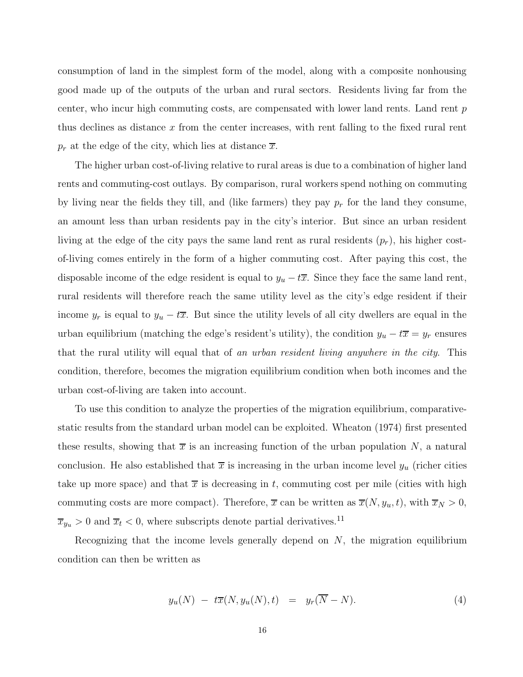consumption of land in the simplest form of the model, along with a composite nonhousing good made up of the outputs of the urban and rural sectors. Residents living far from the center, who incur high commuting costs, are compensated with lower land rents. Land rent p thus declines as distance  $x$  from the center increases, with rent falling to the fixed rural rent  $p_r$  at the edge of the city, which lies at distance  $\overline{x}$ .

The higher urban cost-of-living relative to rural areas is due to a combination of higher land rents and commuting-cost outlays. By comparison, rural workers spend nothing on commuting by living near the fields they till, and (like farmers) they pay  $p_r$  for the land they consume, an amount less than urban residents pay in the city's interior. But since an urban resident living at the edge of the city pays the same land rent as rural residents  $(p_r)$ , his higher costof-living comes entirely in the form of a higher commuting cost. After paying this cost, the disposable income of the edge resident is equal to  $y_u - t\overline{x}$ . Since they face the same land rent, rural residents will therefore reach the same utility level as the city's edge resident if their income  $y_r$  is equal to  $y_u - t\overline{x}$ . But since the utility levels of all city dwellers are equal in the urban equilibrium (matching the edge's resident's utility), the condition  $y_u - t\overline{x} = y_r$  ensures that the rural utility will equal that of an urban resident living anywhere in the city. This condition, therefore, becomes the migration equilibrium condition when both incomes and the urban cost-of-living are taken into account.

To use this condition to analyze the properties of the migration equilibrium, comparativestatic results from the standard urban model can be exploited. Wheaton (1974) first presented these results, showing that  $\bar{x}$  is an increasing function of the urban population N, a natural conclusion. He also established that  $\bar{x}$  is increasing in the urban income level  $y_u$  (richer cities take up more space) and that  $\bar{x}$  is decreasing in t, commuting cost per mile (cities with high commuting costs are more compact). Therefore,  $\bar{x}$  can be written as  $\bar{x}(N, y_u, t)$ , with  $\bar{x}_N > 0$ ,  $\overline{x}_{y_u} > 0$  and  $\overline{x}_t < 0$ , where subscripts denote partial derivatives.<sup>11</sup>

Recognizing that the income levels generally depend on  $N$ , the migration equilibrium condition can then be written as

$$
y_u(N) - t\overline{x}(N, y_u(N), t) = y_r(\overline{N} - N).
$$
\n(4)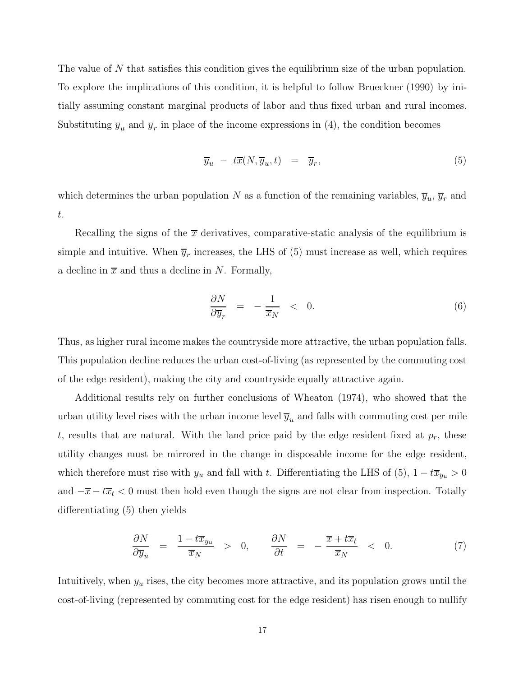The value of N that satisfies this condition gives the equilibrium size of the urban population. To explore the implications of this condition, it is helpful to follow Brueckner (1990) by initially assuming constant marginal products of labor and thus fixed urban and rural incomes. Substituting  $\overline{y}_u$  and  $\overline{y}_r$  in place of the income expressions in (4), the condition becomes

$$
\overline{y}_u - t\overline{x}(N, \overline{y}_u, t) = \overline{y}_r, \tag{5}
$$

which determines the urban population N as a function of the remaining variables,  $\overline{y}_u$ ,  $\overline{y}_r$  and t.

Recalling the signs of the  $\bar{x}$  derivatives, comparative-static analysis of the equilibrium is simple and intuitive. When  $\overline{y}_r$  increases, the LHS of (5) must increase as well, which requires a decline in  $\bar{x}$  and thus a decline in N. Formally,

$$
\frac{\partial N}{\partial \overline{y}_r} = -\frac{1}{\overline{x}_N} < 0. \tag{6}
$$

Thus, as higher rural income makes the countryside more attractive, the urban population falls. This population decline reduces the urban cost-of-living (as represented by the commuting cost of the edge resident), making the city and countryside equally attractive again.

Additional results rely on further conclusions of Wheaton (1974), who showed that the urban utility level rises with the urban income level  $\overline{y}_u$  and falls with commuting cost per mile t, results that are natural. With the land price paid by the edge resident fixed at  $p_r$ , these utility changes must be mirrored in the change in disposable income for the edge resident, which therefore must rise with  $y_u$  and fall with t. Differentiating the LHS of (5),  $1 - t\overline{x}_{y_u} > 0$ and  $-\overline{x} - t\overline{x}_t < 0$  must then hold even though the signs are not clear from inspection. Totally differentiating (5) then yields

$$
\frac{\partial N}{\partial \overline{y}_u} = \frac{1 - t \overline{x}_{y_u}}{\overline{x}_N} > 0, \qquad \frac{\partial N}{\partial t} = -\frac{\overline{x} + t \overline{x}_t}{\overline{x}_N} < 0. \tag{7}
$$

Intuitively, when  $y_u$  rises, the city becomes more attractive, and its population grows until the cost-of-living (represented by commuting cost for the edge resident) has risen enough to nullify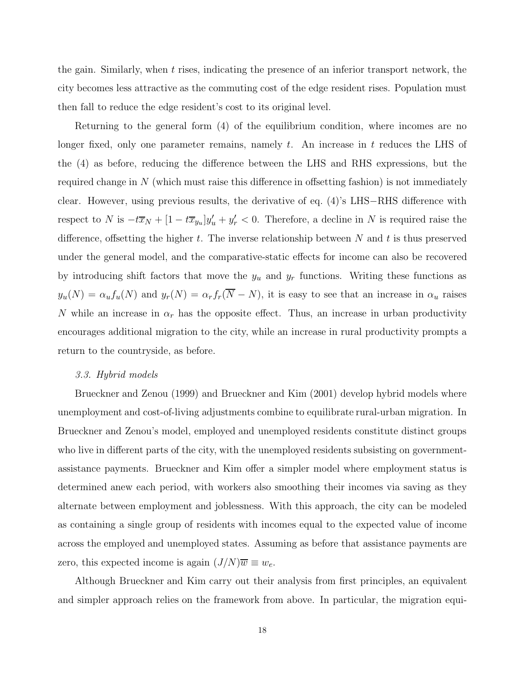the gain. Similarly, when t rises, indicating the presence of an inferior transport network, the city becomes less attractive as the commuting cost of the edge resident rises. Population must then fall to reduce the edge resident's cost to its original level.

Returning to the general form (4) of the equilibrium condition, where incomes are no longer fixed, only one parameter remains, namely t. An increase in t reduces the LHS of the (4) as before, reducing the difference between the LHS and RHS expressions, but the required change in  $N$  (which must raise this difference in offsetting fashion) is not immediately clear. However, using previous results, the derivative of eq. (4)'s LHS−RHS difference with respect to N is  $-t\overline{x}_N + [1 - t\overline{x}_{y_u}]y'_u + y'_r < 0$ . Therefore, a decline in N is required raise the difference, offsetting the higher  $t$ . The inverse relationship between  $N$  and  $t$  is thus preserved under the general model, and the comparative-static effects for income can also be recovered by introducing shift factors that move the  $y_u$  and  $y_r$  functions. Writing these functions as  $y_u(N) = \alpha_u f_u(N)$  and  $y_r(N) = \alpha_r f_r(\overline{N} - N)$ , it is easy to see that an increase in  $\alpha_u$  raises N while an increase in  $\alpha_r$  has the opposite effect. Thus, an increase in urban productivity encourages additional migration to the city, while an increase in rural productivity prompts a return to the countryside, as before.

#### 3.3. Hybrid models

Brueckner and Zenou (1999) and Brueckner and Kim (2001) develop hybrid models where unemployment and cost-of-living adjustments combine to equilibrate rural-urban migration. In Brueckner and Zenou's model, employed and unemployed residents constitute distinct groups who live in different parts of the city, with the unemployed residents subsisting on governmentassistance payments. Brueckner and Kim offer a simpler model where employment status is determined anew each period, with workers also smoothing their incomes via saving as they alternate between employment and joblessness. With this approach, the city can be modeled as containing a single group of residents with incomes equal to the expected value of income across the employed and unemployed states. Assuming as before that assistance payments are zero, this expected income is again  $(J/N)\overline{w} \equiv w_e$ .

Although Brueckner and Kim carry out their analysis from first principles, an equivalent and simpler approach relies on the framework from above. In particular, the migration equi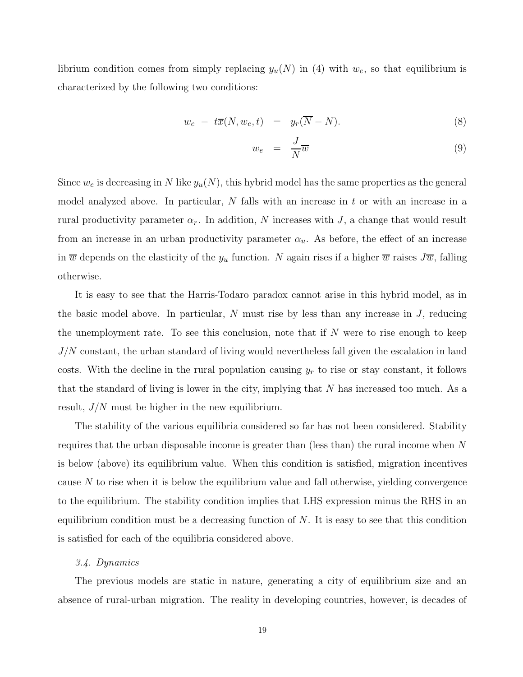librium condition comes from simply replacing  $y_u(N)$  in (4) with  $w_e$ , so that equilibrium is characterized by the following two conditions:

$$
w_e - t\overline{x}(N, w_e, t) = y_r(\overline{N} - N).
$$
\n(8)

$$
w_e = \frac{J}{N}\overline{w} \tag{9}
$$

Since  $w_e$  is decreasing in N like  $y_u(N)$ , this hybrid model has the same properties as the general model analyzed above. In particular,  $N$  falls with an increase in  $t$  or with an increase in a rural productivity parameter  $\alpha_r$ . In addition, N increases with J, a change that would result from an increase in an urban productivity parameter  $\alpha_u$ . As before, the effect of an increase in  $\overline{w}$  depends on the elasticity of the  $y_u$  function. N again rises if a higher  $\overline{w}$  raises  $J\overline{w}$ , falling otherwise.

It is easy to see that the Harris-Todaro paradox cannot arise in this hybrid model, as in the basic model above. In particular,  $N$  must rise by less than any increase in  $J$ , reducing the unemployment rate. To see this conclusion, note that if  $N$  were to rise enough to keep  $J/N$  constant, the urban standard of living would nevertheless fall given the escalation in land costs. With the decline in the rural population causing  $y_r$  to rise or stay constant, it follows that the standard of living is lower in the city, implying that  $N$  has increased too much. As a result,  $J/N$  must be higher in the new equilibrium.

The stability of the various equilibria considered so far has not been considered. Stability requires that the urban disposable income is greater than (less than) the rural income when N is below (above) its equilibrium value. When this condition is satisfied, migration incentives cause  $N$  to rise when it is below the equilibrium value and fall otherwise, yielding convergence to the equilibrium. The stability condition implies that LHS expression minus the RHS in an equilibrium condition must be a decreasing function of  $N$ . It is easy to see that this condition is satisfied for each of the equilibria considered above.

#### 3.4. Dynamics

The previous models are static in nature, generating a city of equilibrium size and an absence of rural-urban migration. The reality in developing countries, however, is decades of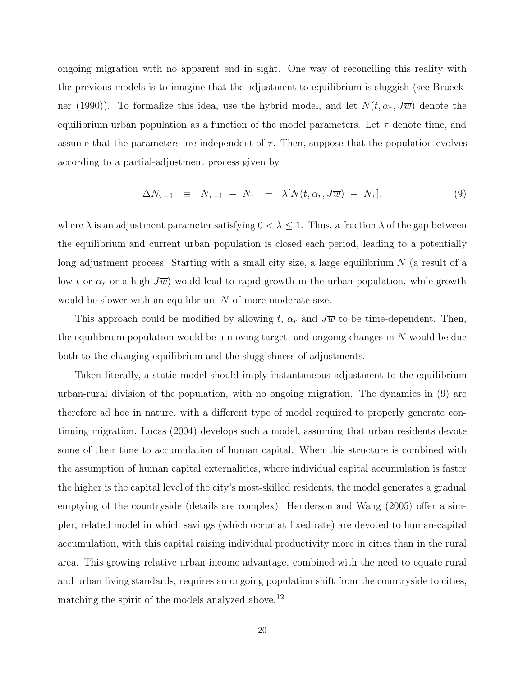ongoing migration with no apparent end in sight. One way of reconciling this reality with the previous models is to imagine that the adjustment to equilibrium is sluggish (see Brueckner (1990)). To formalize this idea, use the hybrid model, and let  $N(t, \alpha_r, J\overline{w})$  denote the equilibrium urban population as a function of the model parameters. Let  $\tau$  denote time, and assume that the parameters are independent of  $\tau$ . Then, suppose that the population evolves according to a partial-adjustment process given by

$$
\Delta N_{\tau+1} \equiv N_{\tau+1} - N_{\tau} = \lambda [N(t, \alpha_r, J\overline{w}) - N_{\tau}], \tag{9}
$$

where  $\lambda$  is an adjustment parameter satisfying  $0 < \lambda \leq 1$ . Thus, a fraction  $\lambda$  of the gap between the equilibrium and current urban population is closed each period, leading to a potentially long adjustment process. Starting with a small city size, a large equilibrium  $N$  (a result of a low t or  $\alpha_r$  or a high  $J\overline{w}$  would lead to rapid growth in the urban population, while growth would be slower with an equilibrium  $N$  of more-moderate size.

This approach could be modified by allowing t,  $\alpha_r$  and  $J\overline{w}$  to be time-dependent. Then, the equilibrium population would be a moving target, and ongoing changes in  $N$  would be due both to the changing equilibrium and the sluggishness of adjustments.

Taken literally, a static model should imply instantaneous adjustment to the equilibrium urban-rural division of the population, with no ongoing migration. The dynamics in (9) are therefore ad hoc in nature, with a different type of model required to properly generate continuing migration. Lucas (2004) develops such a model, assuming that urban residents devote some of their time to accumulation of human capital. When this structure is combined with the assumption of human capital externalities, where individual capital accumulation is faster the higher is the capital level of the city's most-skilled residents, the model generates a gradual emptying of the countryside (details are complex). Henderson and Wang (2005) offer a simpler, related model in which savings (which occur at fixed rate) are devoted to human-capital accumulation, with this capital raising individual productivity more in cities than in the rural area. This growing relative urban income advantage, combined with the need to equate rural and urban living standards, requires an ongoing population shift from the countryside to cities, matching the spirit of the models analyzed above.<sup>12</sup>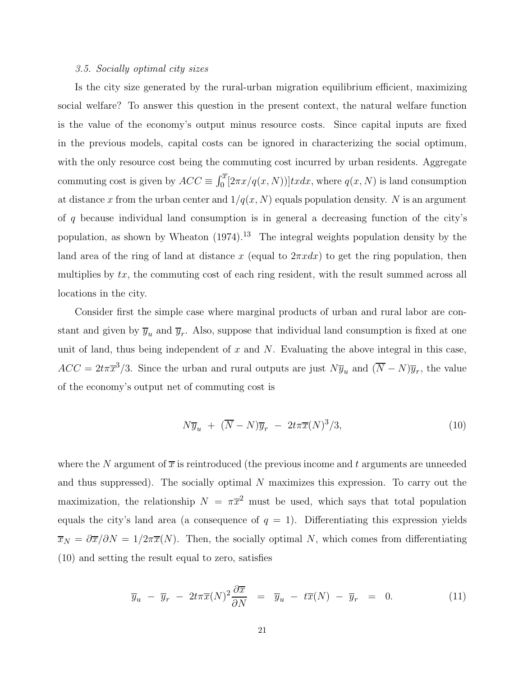#### 3.5. Socially optimal city sizes

Is the city size generated by the rural-urban migration equilibrium efficient, maximizing social welfare? To answer this question in the present context, the natural welfare function is the value of the economy's output minus resource costs. Since capital inputs are fixed in the previous models, capital costs can be ignored in characterizing the social optimum, with the only resource cost being the commuting cost incurred by urban residents. Aggregate commuting cost is given by  $ACC \equiv \int_0^{\overline{x}} [2\pi x/q(x,N))]txdx$ , where  $q(x,N)$  is land consumption at distance x from the urban center and  $1/q(x, N)$  equals population density. N is an argument of q because individual land consumption is in general a decreasing function of the city's population, as shown by Wheaton  $(1974).<sup>13</sup>$  The integral weights population density by the land area of the ring of land at distance x (equal to  $2\pi x dx$ ) to get the ring population, then multiplies by  $tx$ , the commuting cost of each ring resident, with the result summed across all locations in the city.

Consider first the simple case where marginal products of urban and rural labor are constant and given by  $\overline{y}_u$  and  $\overline{y}_r$ . Also, suppose that individual land consumption is fixed at one unit of land, thus being independent of  $x$  and  $N$ . Evaluating the above integral in this case,  $ACC = 2t\pi\overline{x}^3/3$ . Since the urban and rural outputs are just  $N\overline{y}_u$  and  $(\overline{N} - N)\overline{y}_r$ , the value of the economy's output net of commuting cost is

$$
N\overline{y}_u + (\overline{N} - N)\overline{y}_r - 2t\pi\overline{x}(N)^3/3, \qquad (10)
$$

where the N argument of  $\bar{x}$  is reintroduced (the previous income and t arguments are unneeded and thus suppressed). The socially optimal  $N$  maximizes this expression. To carry out the maximization, the relationship  $N = \pi \bar{x}^2$  must be used, which says that total population equals the city's land area (a consequence of  $q = 1$ ). Differentiating this expression yields  $\overline{x}_N = \partial \overline{x}/\partial N = 1/2\pi \overline{x}(N)$ . Then, the socially optimal N, which comes from differentiating (10) and setting the result equal to zero, satisfies

$$
\overline{y}_u - \overline{y}_r - 2t\pi \overline{x}(N)^2 \frac{\partial \overline{x}}{\partial N} = \overline{y}_u - t\overline{x}(N) - \overline{y}_r = 0.
$$
 (11)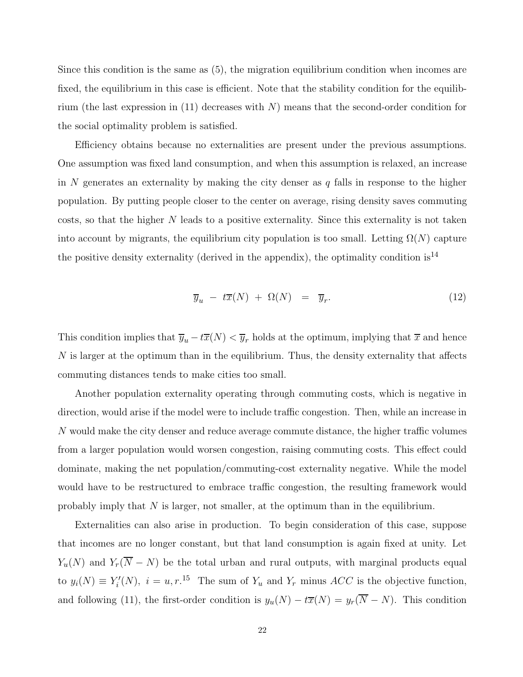Since this condition is the same as (5), the migration equilibrium condition when incomes are fixed, the equilibrium in this case is efficient. Note that the stability condition for the equilibrium (the last expression in  $(11)$  decreases with N) means that the second-order condition for the social optimality problem is satisfied.

Efficiency obtains because no externalities are present under the previous assumptions. One assumption was fixed land consumption, and when this assumption is relaxed, an increase in N generates an externality by making the city denser as  $q$  falls in response to the higher population. By putting people closer to the center on average, rising density saves commuting costs, so that the higher N leads to a positive externality. Since this externality is not taken into account by migrants, the equilibrium city population is too small. Letting  $\Omega(N)$  capture the positive density externality (derived in the appendix), the optimality condition is<sup>14</sup>

$$
\overline{y}_u - t\overline{x}(N) + \Omega(N) = \overline{y}_r.
$$
\n(12)

This condition implies that  $\overline{y}_u - t\overline{x}(N) < \overline{y}_r$  holds at the optimum, implying that  $\overline{x}$  and hence N is larger at the optimum than in the equilibrium. Thus, the density externality that affects commuting distances tends to make cities too small.

Another population externality operating through commuting costs, which is negative in direction, would arise if the model were to include traffic congestion. Then, while an increase in N would make the city denser and reduce average commute distance, the higher traffic volumes from a larger population would worsen congestion, raising commuting costs. This effect could dominate, making the net population/commuting-cost externality negative. While the model would have to be restructured to embrace traffic congestion, the resulting framework would probably imply that N is larger, not smaller, at the optimum than in the equilibrium.

Externalities can also arise in production. To begin consideration of this case, suppose that incomes are no longer constant, but that land consumption is again fixed at unity. Let  $Y_u(N)$  and  $Y_r(\overline{N} - N)$  be the total urban and rural outputs, with marginal products equal to  $y_i(N) \equiv Y'_i$  $i(N)$ ,  $i = u, r$ .<sup>15</sup> The sum of  $Y_u$  and  $Y_r$  minus ACC is the objective function, and following (11), the first-order condition is  $y_u(N) - t\overline{x}(N) = y_r(\overline{N} - N)$ . This condition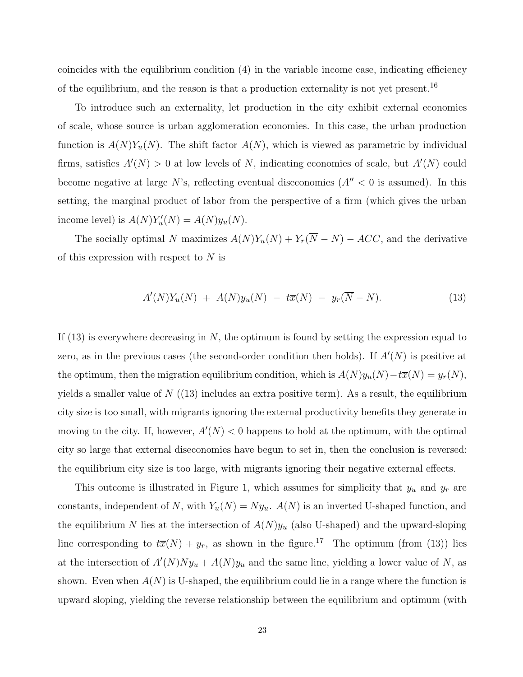coincides with the equilibrium condition (4) in the variable income case, indicating efficiency of the equilibrium, and the reason is that a production externality is not yet present.<sup>16</sup>

To introduce such an externality, let production in the city exhibit external economies of scale, whose source is urban agglomeration economies. In this case, the urban production function is  $A(N)Y_u(N)$ . The shift factor  $A(N)$ , which is viewed as parametric by individual firms, satisfies  $A'(N) > 0$  at low levels of N, indicating economies of scale, but  $A'(N)$  could become negative at large N's, reflecting eventual diseconomies  $(A'' < 0$  is assumed). In this setting, the marginal product of labor from the perspective of a firm (which gives the urban income level) is  $A(N)Y'_u$  $u''_u(N) = A(N) y_u(N).$ 

The socially optimal N maximizes  $A(N)Y_u(N) + Y_r(\overline{N} - N) - ACC$ , and the derivative of this expression with respect to  $N$  is

$$
A'(N)Y_u(N) + A(N)y_u(N) - t\overline{x}(N) - y_r(\overline{N} - N). \tag{13}
$$

If  $(13)$  is everywhere decreasing in N, the optimum is found by setting the expression equal to zero, as in the previous cases (the second-order condition then holds). If  $A'(N)$  is positive at the optimum, then the migration equilibrium condition, which is  $A(N)y_u(N)-t\overline{x}(N) = y_r(N)$ , yields a smaller value of  $N(13)$  includes an extra positive term). As a result, the equilibrium city size is too small, with migrants ignoring the external productivity benefits they generate in moving to the city. If, however,  $A'(N) < 0$  happens to hold at the optimum, with the optimal city so large that external diseconomies have begun to set in, then the conclusion is reversed: the equilibrium city size is too large, with migrants ignoring their negative external effects.

This outcome is illustrated in Figure 1, which assumes for simplicity that  $y_u$  and  $y_r$  are constants, independent of N, with  $Y_u(N) = Ny_u$ .  $A(N)$  is an inverted U-shaped function, and the equilibrium N lies at the intersection of  $A(N)y_u$  (also U-shaped) and the upward-sloping line corresponding to  $t\overline{x}(N) + y_r$ , as shown in the figure.<sup>17</sup> The optimum (from (13)) lies at the intersection of  $A'(N)Ny_u + A(N)y_u$  and the same line, yielding a lower value of N, as shown. Even when  $A(N)$  is U-shaped, the equilibrium could lie in a range where the function is upward sloping, yielding the reverse relationship between the equilibrium and optimum (with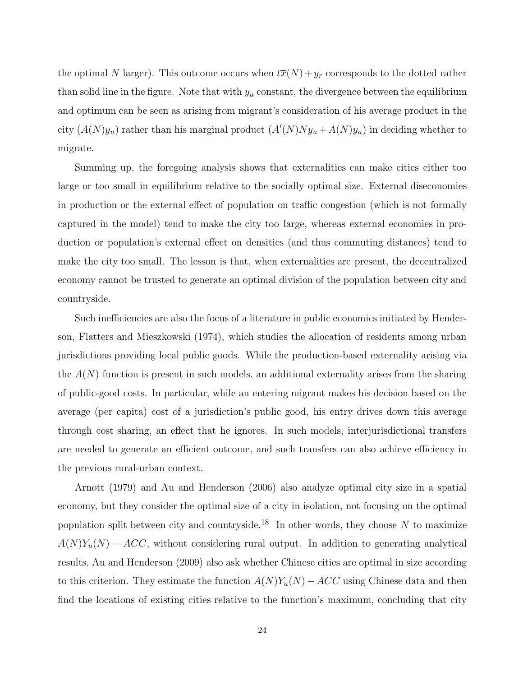the optimal N larger). This outcome occurs when  $t\overline{x}(N) + y_r$  corresponds to the dotted rather than solid line in the figure. Note that with  $y_u$  constant, the divergence between the equilibrium and optimum can be seen as arising from migrant's consideration of his average product in the city  $(A(N)y_u)$  rather than his marginal product  $(A'(N)Ny_u+A(N)y_u)$  in deciding whether to migrate.

Summing up, the foregoing analysis shows that externalities can make cities either too large or too small in equilibrium relative to the socially optimal size. External diseconomies in production or the external effect of population on traffic congestion (which is not formally captured in the model) tend to make the city too large, whereas external economies in production or population's external effect on densities (and thus commuting distances) tend to make the city too small. The lesson is that, when externalities are present, the decentralized economy cannot be trusted to generate an optimal division of the population between city and countryside.

Such inefficiencies are also the focus of a literature in public economics initiated by Henderson, Flatters and Mieszkowski (1974), which studies the allocation of residents among urban jurisdictions providing local public goods. While the production-based externality arising via the  $A(N)$  function is present in such models, an additional externality arises from the sharing of public-good costs. In particular, while an entering migrant makes his decision based on the average (per capita) cost of a jurisdiction's public good, his entry drives down this average through cost sharing, an effect that he ignores. In such models, interjurisdictional transfers are needed to generate an efficient outcome, and such transfers can also achieve efficiency in the previous rural-urban context.

Arnott (1979) and Au and Henderson (2006) also analyze optimal city size in a spatial economy, but they consider the optimal size of a city in isolation, not focusing on the optimal population split between city and countryside.<sup>18</sup> In other words, they choose N to maximize  $A(N)Y_u(N) - ACC$ , without considering rural output. In addition to generating analytical results, Au and Henderson (2009) also ask whether Chinese cities are optimal in size according to this criterion. They estimate the function  $A(N)Y_u(N) - ACC$  using Chinese data and then find the locations of existing cities relative to the function's maximum, concluding that city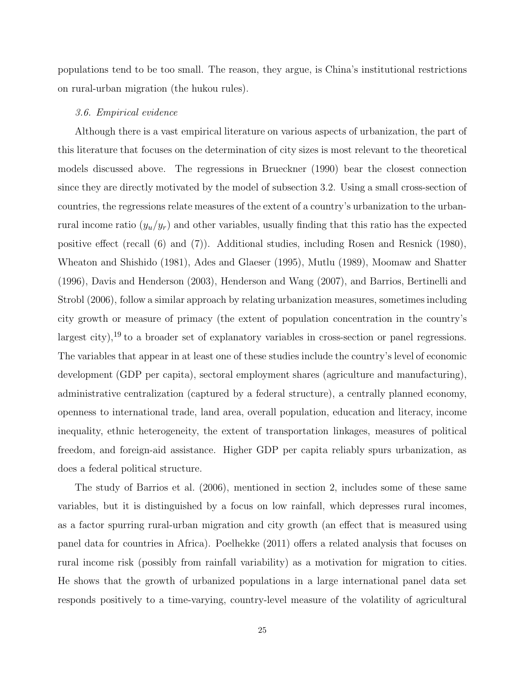populations tend to be too small. The reason, they argue, is China's institutional restrictions on rural-urban migration (the hukou rules).

#### 3.6. Empirical evidence

Although there is a vast empirical literature on various aspects of urbanization, the part of this literature that focuses on the determination of city sizes is most relevant to the theoretical models discussed above. The regressions in Brueckner (1990) bear the closest connection since they are directly motivated by the model of subsection 3.2. Using a small cross-section of countries, the regressions relate measures of the extent of a country's urbanization to the urbanrural income ratio  $(y_u/y_r)$  and other variables, usually finding that this ratio has the expected positive effect (recall (6) and (7)). Additional studies, including Rosen and Resnick (1980), Wheaton and Shishido (1981), Ades and Glaeser (1995), Mutlu (1989), Moomaw and Shatter (1996), Davis and Henderson (2003), Henderson and Wang (2007), and Barrios, Bertinelli and Strobl (2006), follow a similar approach by relating urbanization measures, sometimes including city growth or measure of primacy (the extent of population concentration in the country's largest city),<sup>19</sup> to a broader set of explanatory variables in cross-section or panel regressions. The variables that appear in at least one of these studies include the country's level of economic development (GDP per capita), sectoral employment shares (agriculture and manufacturing), administrative centralization (captured by a federal structure), a centrally planned economy, openness to international trade, land area, overall population, education and literacy, income inequality, ethnic heterogeneity, the extent of transportation linkages, measures of political freedom, and foreign-aid assistance. Higher GDP per capita reliably spurs urbanization, as does a federal political structure.

The study of Barrios et al. (2006), mentioned in section 2, includes some of these same variables, but it is distinguished by a focus on low rainfall, which depresses rural incomes, as a factor spurring rural-urban migration and city growth (an effect that is measured using panel data for countries in Africa). Poelhekke (2011) offers a related analysis that focuses on rural income risk (possibly from rainfall variability) as a motivation for migration to cities. He shows that the growth of urbanized populations in a large international panel data set responds positively to a time-varying, country-level measure of the volatility of agricultural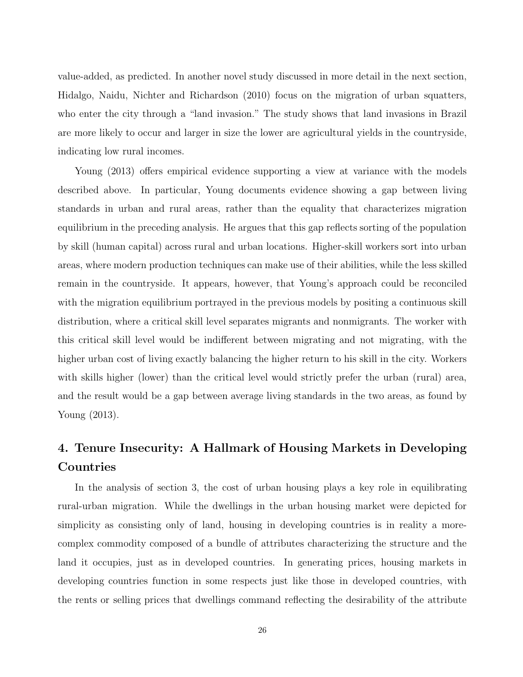value-added, as predicted. In another novel study discussed in more detail in the next section, Hidalgo, Naidu, Nichter and Richardson (2010) focus on the migration of urban squatters, who enter the city through a "land invasion." The study shows that land invasions in Brazil are more likely to occur and larger in size the lower are agricultural yields in the countryside, indicating low rural incomes.

Young (2013) offers empirical evidence supporting a view at variance with the models described above. In particular, Young documents evidence showing a gap between living standards in urban and rural areas, rather than the equality that characterizes migration equilibrium in the preceding analysis. He argues that this gap reflects sorting of the population by skill (human capital) across rural and urban locations. Higher-skill workers sort into urban areas, where modern production techniques can make use of their abilities, while the less skilled remain in the countryside. It appears, however, that Young's approach could be reconciled with the migration equilibrium portrayed in the previous models by positing a continuous skill distribution, where a critical skill level separates migrants and nonmigrants. The worker with this critical skill level would be indifferent between migrating and not migrating, with the higher urban cost of living exactly balancing the higher return to his skill in the city. Workers with skills higher (lower) than the critical level would strictly prefer the urban (rural) area, and the result would be a gap between average living standards in the two areas, as found by Young (2013).

# 4. Tenure Insecurity: A Hallmark of Housing Markets in Developing Countries

In the analysis of section 3, the cost of urban housing plays a key role in equilibrating rural-urban migration. While the dwellings in the urban housing market were depicted for simplicity as consisting only of land, housing in developing countries is in reality a morecomplex commodity composed of a bundle of attributes characterizing the structure and the land it occupies, just as in developed countries. In generating prices, housing markets in developing countries function in some respects just like those in developed countries, with the rents or selling prices that dwellings command reflecting the desirability of the attribute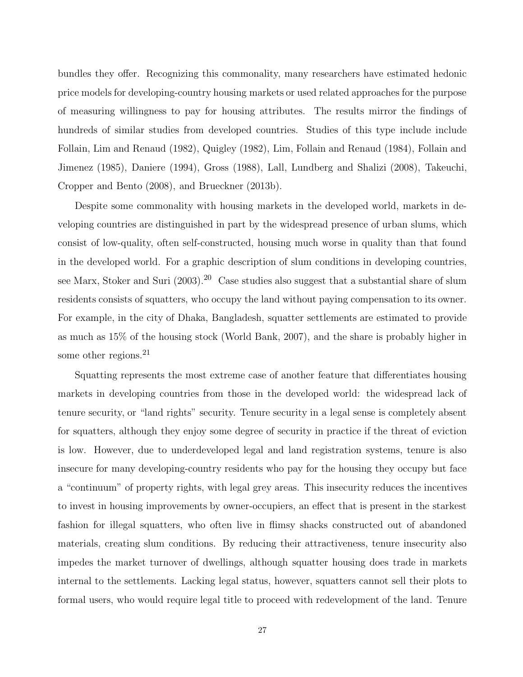bundles they offer. Recognizing this commonality, many researchers have estimated hedonic price models for developing-country housing markets or used related approaches for the purpose of measuring willingness to pay for housing attributes. The results mirror the findings of hundreds of similar studies from developed countries. Studies of this type include include Follain, Lim and Renaud (1982), Quigley (1982), Lim, Follain and Renaud (1984), Follain and Jimenez (1985), Daniere (1994), Gross (1988), Lall, Lundberg and Shalizi (2008), Takeuchi, Cropper and Bento (2008), and Brueckner (2013b).

Despite some commonality with housing markets in the developed world, markets in developing countries are distinguished in part by the widespread presence of urban slums, which consist of low-quality, often self-constructed, housing much worse in quality than that found in the developed world. For a graphic description of slum conditions in developing countries, see Marx, Stoker and Suri  $(2003).^{20}$  Case studies also suggest that a substantial share of slum residents consists of squatters, who occupy the land without paying compensation to its owner. For example, in the city of Dhaka, Bangladesh, squatter settlements are estimated to provide as much as 15% of the housing stock (World Bank, 2007), and the share is probably higher in some other regions.<sup>21</sup>

Squatting represents the most extreme case of another feature that differentiates housing markets in developing countries from those in the developed world: the widespread lack of tenure security, or "land rights" security. Tenure security in a legal sense is completely absent for squatters, although they enjoy some degree of security in practice if the threat of eviction is low. However, due to underdeveloped legal and land registration systems, tenure is also insecure for many developing-country residents who pay for the housing they occupy but face a "continuum" of property rights, with legal grey areas. This insecurity reduces the incentives to invest in housing improvements by owner-occupiers, an effect that is present in the starkest fashion for illegal squatters, who often live in flimsy shacks constructed out of abandoned materials, creating slum conditions. By reducing their attractiveness, tenure insecurity also impedes the market turnover of dwellings, although squatter housing does trade in markets internal to the settlements. Lacking legal status, however, squatters cannot sell their plots to formal users, who would require legal title to proceed with redevelopment of the land. Tenure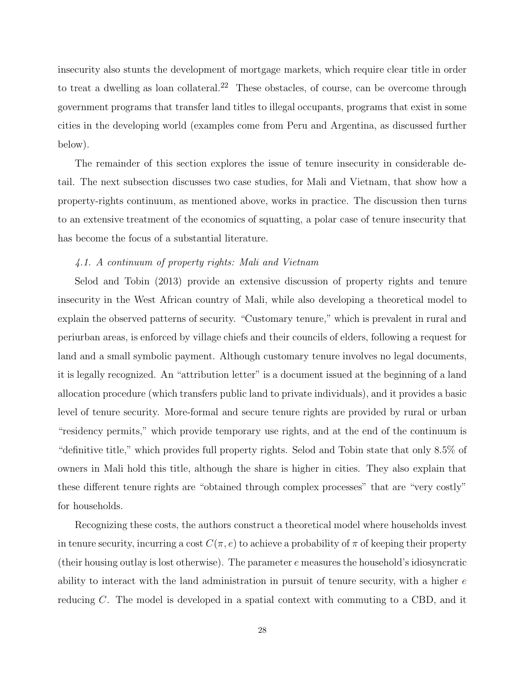insecurity also stunts the development of mortgage markets, which require clear title in order to treat a dwelling as loan collateral.<sup>22</sup> These obstacles, of course, can be overcome through government programs that transfer land titles to illegal occupants, programs that exist in some cities in the developing world (examples come from Peru and Argentina, as discussed further below).

The remainder of this section explores the issue of tenure insecurity in considerable detail. The next subsection discusses two case studies, for Mali and Vietnam, that show how a property-rights continuum, as mentioned above, works in practice. The discussion then turns to an extensive treatment of the economics of squatting, a polar case of tenure insecurity that has become the focus of a substantial literature.

## 4.1. A continuum of property rights: Mali and Vietnam

Selod and Tobin (2013) provide an extensive discussion of property rights and tenure insecurity in the West African country of Mali, while also developing a theoretical model to explain the observed patterns of security. "Customary tenure," which is prevalent in rural and periurban areas, is enforced by village chiefs and their councils of elders, following a request for land and a small symbolic payment. Although customary tenure involves no legal documents, it is legally recognized. An "attribution letter" is a document issued at the beginning of a land allocation procedure (which transfers public land to private individuals), and it provides a basic level of tenure security. More-formal and secure tenure rights are provided by rural or urban "residency permits," which provide temporary use rights, and at the end of the continuum is "definitive title," which provides full property rights. Selod and Tobin state that only 8.5% of owners in Mali hold this title, although the share is higher in cities. They also explain that these different tenure rights are "obtained through complex processes" that are "very costly" for households.

Recognizing these costs, the authors construct a theoretical model where households invest in tenure security, incurring a cost  $C(\pi, e)$  to achieve a probability of  $\pi$  of keeping their property (their housing outlay is lost otherwise). The parameter  $e$  measures the household's idiosyncratic ability to interact with the land administration in pursuit of tenure security, with a higher  $e$ reducing C. The model is developed in a spatial context with commuting to a CBD, and it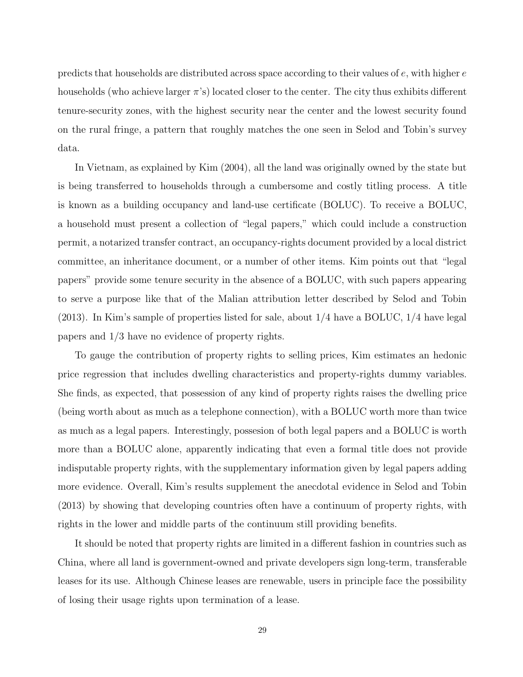predicts that households are distributed across space according to their values of  $e$ , with higher  $e$ households (who achieve larger  $\pi$ 's) located closer to the center. The city thus exhibits different tenure-security zones, with the highest security near the center and the lowest security found on the rural fringe, a pattern that roughly matches the one seen in Selod and Tobin's survey data.

In Vietnam, as explained by Kim (2004), all the land was originally owned by the state but is being transferred to households through a cumbersome and costly titling process. A title is known as a building occupancy and land-use certificate (BOLUC). To receive a BOLUC, a household must present a collection of "legal papers," which could include a construction permit, a notarized transfer contract, an occupancy-rights document provided by a local district committee, an inheritance document, or a number of other items. Kim points out that "legal papers" provide some tenure security in the absence of a BOLUC, with such papers appearing to serve a purpose like that of the Malian attribution letter described by Selod and Tobin (2013). In Kim's sample of properties listed for sale, about  $1/4$  have a BOLUC,  $1/4$  have legal papers and 1/3 have no evidence of property rights.

To gauge the contribution of property rights to selling prices, Kim estimates an hedonic price regression that includes dwelling characteristics and property-rights dummy variables. She finds, as expected, that possession of any kind of property rights raises the dwelling price (being worth about as much as a telephone connection), with a BOLUC worth more than twice as much as a legal papers. Interestingly, possesion of both legal papers and a BOLUC is worth more than a BOLUC alone, apparently indicating that even a formal title does not provide indisputable property rights, with the supplementary information given by legal papers adding more evidence. Overall, Kim's results supplement the anecdotal evidence in Selod and Tobin (2013) by showing that developing countries often have a continuum of property rights, with rights in the lower and middle parts of the continuum still providing benefits.

It should be noted that property rights are limited in a different fashion in countries such as China, where all land is government-owned and private developers sign long-term, transferable leases for its use. Although Chinese leases are renewable, users in principle face the possibility of losing their usage rights upon termination of a lease.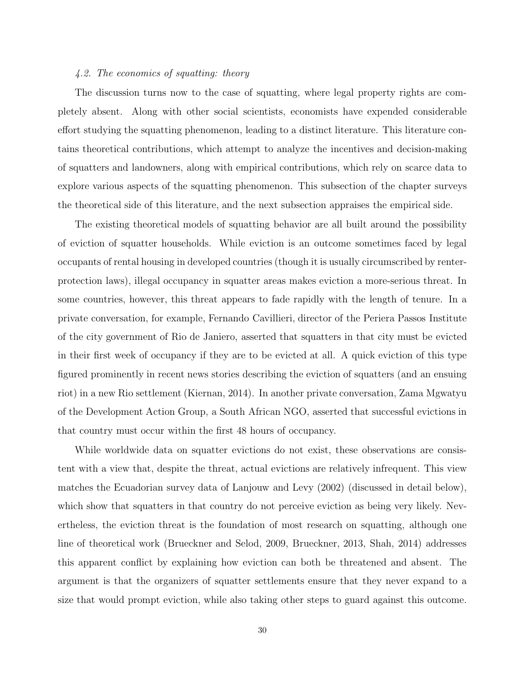#### 4.2. The economics of squatting: theory

The discussion turns now to the case of squatting, where legal property rights are completely absent. Along with other social scientists, economists have expended considerable effort studying the squatting phenomenon, leading to a distinct literature. This literature contains theoretical contributions, which attempt to analyze the incentives and decision-making of squatters and landowners, along with empirical contributions, which rely on scarce data to explore various aspects of the squatting phenomenon. This subsection of the chapter surveys the theoretical side of this literature, and the next subsection appraises the empirical side.

The existing theoretical models of squatting behavior are all built around the possibility of eviction of squatter households. While eviction is an outcome sometimes faced by legal occupants of rental housing in developed countries (though it is usually circumscribed by renterprotection laws), illegal occupancy in squatter areas makes eviction a more-serious threat. In some countries, however, this threat appears to fade rapidly with the length of tenure. In a private conversation, for example, Fernando Cavillieri, director of the Periera Passos Institute of the city government of Rio de Janiero, asserted that squatters in that city must be evicted in their first week of occupancy if they are to be evicted at all. A quick eviction of this type figured prominently in recent news stories describing the eviction of squatters (and an ensuing riot) in a new Rio settlement (Kiernan, 2014). In another private conversation, Zama Mgwatyu of the Development Action Group, a South African NGO, asserted that successful evictions in that country must occur within the first 48 hours of occupancy.

While worldwide data on squatter evictions do not exist, these observations are consistent with a view that, despite the threat, actual evictions are relatively infrequent. This view matches the Ecuadorian survey data of Lanjouw and Levy (2002) (discussed in detail below), which show that squatters in that country do not perceive eviction as being very likely. Nevertheless, the eviction threat is the foundation of most research on squatting, although one line of theoretical work (Brueckner and Selod, 2009, Brueckner, 2013, Shah, 2014) addresses this apparent conflict by explaining how eviction can both be threatened and absent. The argument is that the organizers of squatter settlements ensure that they never expand to a size that would prompt eviction, while also taking other steps to guard against this outcome.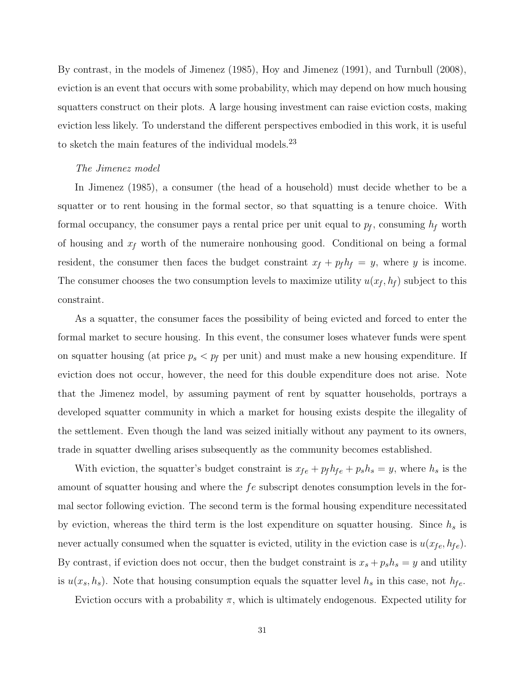By contrast, in the models of Jimenez (1985), Hoy and Jimenez (1991), and Turnbull (2008), eviction is an event that occurs with some probability, which may depend on how much housing squatters construct on their plots. A large housing investment can raise eviction costs, making eviction less likely. To understand the different perspectives embodied in this work, it is useful to sketch the main features of the individual models. $^{23}$ 

#### The Jimenez model

In Jimenez (1985), a consumer (the head of a household) must decide whether to be a squatter or to rent housing in the formal sector, so that squatting is a tenure choice. With formal occupancy, the consumer pays a rental price per unit equal to  $p_f$ , consuming  $h_f$  worth of housing and  $x<sub>f</sub>$  worth of the numeraire nonhousing good. Conditional on being a formal resident, the consumer then faces the budget constraint  $x_f + p_f h_f = y$ , where y is income. The consumer chooses the two consumption levels to maximize utility  $u(x_f, h_f)$  subject to this constraint.

As a squatter, the consumer faces the possibility of being evicted and forced to enter the formal market to secure housing. In this event, the consumer loses whatever funds were spent on squatter housing (at price  $p_s < p_f$  per unit) and must make a new housing expenditure. If eviction does not occur, however, the need for this double expenditure does not arise. Note that the Jimenez model, by assuming payment of rent by squatter households, portrays a developed squatter community in which a market for housing exists despite the illegality of the settlement. Even though the land was seized initially without any payment to its owners, trade in squatter dwelling arises subsequently as the community becomes established.

With eviction, the squatter's budget constraint is  $x_{fe} + p_f h_{fe} + p_s h_s = y$ , where  $h_s$  is the amount of squatter housing and where the fe subscript denotes consumption levels in the formal sector following eviction. The second term is the formal housing expenditure necessitated by eviction, whereas the third term is the lost expenditure on squatter housing. Since  $h_s$  is never actually consumed when the squatter is evicted, utility in the eviction case is  $u(x_{fe}, h_{fe})$ . By contrast, if eviction does not occur, then the budget constraint is  $x_s + p_s h_s = y$  and utility is  $u(x_s, h_s)$ . Note that housing consumption equals the squatter level  $h_s$  in this case, not  $h_{fe}$ .

Eviction occurs with a probability  $\pi$ , which is ultimately endogenous. Expected utility for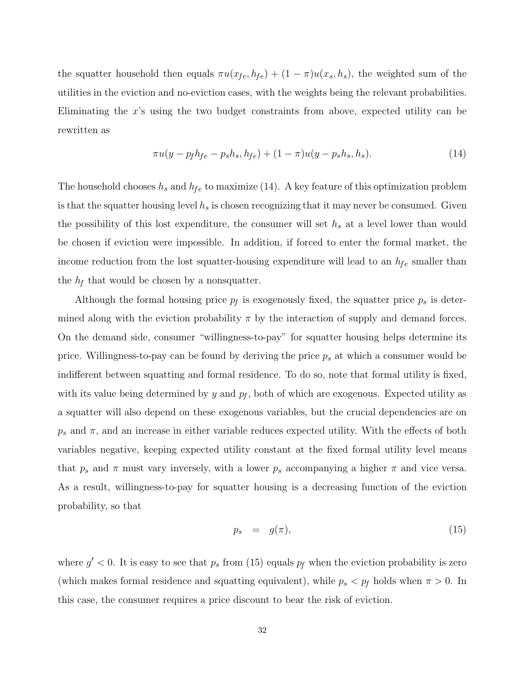the squatter household then equals  $\pi u(x_{fe}, h_{fe}) + (1 - \pi)u(x_s, h_s)$ , the weighted sum of the utilities in the eviction and no-eviction cases, with the weights being the relevant probabilities. Eliminating the x's using the two budget constraints from above, expected utility can be rewritten as

$$
\pi u(y - p_f h_{fe} - p_s h_s, h_{fe}) + (1 - \pi)u(y - p_s h_s, h_s). \tag{14}
$$

The household chooses  $h_s$  and  $h_{fe}$  to maximize (14). A key feature of this optimization problem is that the squatter housing level  $h_s$  is chosen recognizing that it may never be consumed. Given the possibility of this lost expenditure, the consumer will set  $h_s$  at a level lower than would be chosen if eviction were impossible. In addition, if forced to enter the formal market, the income reduction from the lost squatter-housing expenditure will lead to an  $h_{fe}$  smaller than the  $h_f$  that would be chosen by a nonsquatter.

Although the formal housing price  $p_f$  is exogenously fixed, the squatter price  $p_s$  is determined along with the eviction probability  $\pi$  by the interaction of supply and demand forces. On the demand side, consumer "willingness-to-pay" for squatter housing helps determine its price. Willingness-to-pay can be found by deriving the price  $p_s$  at which a consumer would be indifferent between squatting and formal residence. To do so, note that formal utility is fixed, with its value being determined by y and  $p_f$ , both of which are exogenous. Expected utility as a squatter will also depend on these exogenous variables, but the crucial dependencies are on  $p_s$  and  $\pi$ , and an increase in either variable reduces expected utility. With the effects of both variables negative, keeping expected utility constant at the fixed formal utility level means that  $p_s$  and  $\pi$  must vary inversely, with a lower  $p_s$  accompanying a higher  $\pi$  and vice versa. As a result, willingness-to-pay for squatter housing is a decreasing function of the eviction probability, so that

$$
p_s = g(\pi), \tag{15}
$$

where  $g' < 0$ . It is easy to see that  $p_s$  from (15) equals  $p_f$  when the eviction probability is zero (which makes formal residence and squatting equivalent), while  $p_s < p_f$  holds when  $\pi > 0$ . In this case, the consumer requires a price discount to bear the risk of eviction.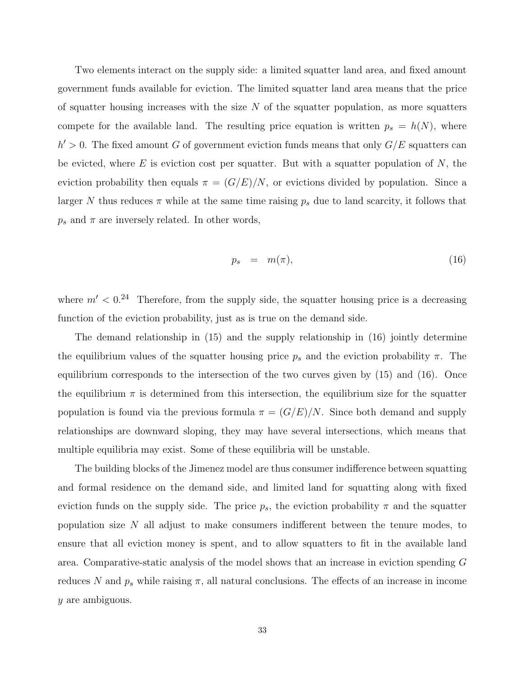Two elements interact on the supply side: a limited squatter land area, and fixed amount government funds available for eviction. The limited squatter land area means that the price of squatter housing increases with the size  $N$  of the squatter population, as more squatters compete for the available land. The resulting price equation is written  $p_s = h(N)$ , where  $h' > 0$ . The fixed amount G of government eviction funds means that only  $G/E$  squatters can be evicted, where  $E$  is eviction cost per squatter. But with a squatter population of  $N$ , the eviction probability then equals  $\pi = (G/E)/N$ , or evictions divided by population. Since a larger N thus reduces  $\pi$  while at the same time raising  $p_s$  due to land scarcity, it follows that  $p_s$  and  $\pi$  are inversely related. In other words,

$$
p_s = m(\pi), \tag{16}
$$

where  $m' < 0.^{24}$  Therefore, from the supply side, the squatter housing price is a decreasing function of the eviction probability, just as is true on the demand side.

The demand relationship in (15) and the supply relationship in (16) jointly determine the equilibrium values of the squatter housing price  $p_s$  and the eviction probability  $\pi$ . The equilibrium corresponds to the intersection of the two curves given by (15) and (16). Once the equilibrium  $\pi$  is determined from this intersection, the equilibrium size for the squatter population is found via the previous formula  $\pi = (G/E)/N$ . Since both demand and supply relationships are downward sloping, they may have several intersections, which means that multiple equilibria may exist. Some of these equilibria will be unstable.

The building blocks of the Jimenez model are thus consumer indifference between squatting and formal residence on the demand side, and limited land for squatting along with fixed eviction funds on the supply side. The price  $p_s$ , the eviction probability  $\pi$  and the squatter population size N all adjust to make consumers indifferent between the tenure modes, to ensure that all eviction money is spent, and to allow squatters to fit in the available land area. Comparative-static analysis of the model shows that an increase in eviction spending G reduces N and  $p_s$  while raising  $\pi$ , all natural conclusions. The effects of an increase in income y are ambiguous.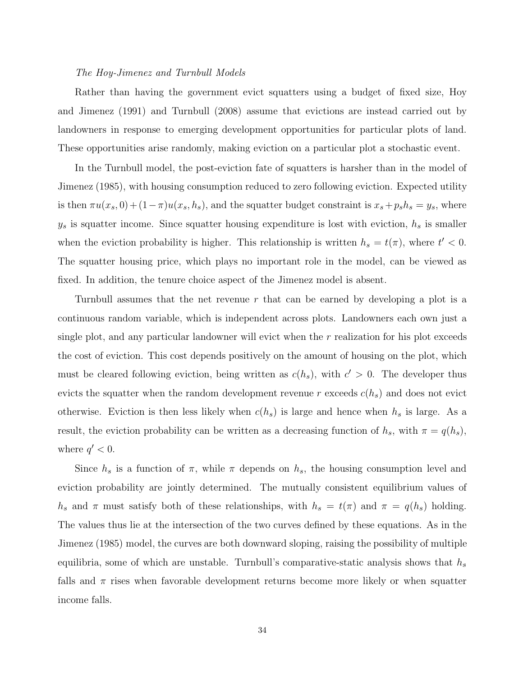#### The Hoy-Jimenez and Turnbull Models

Rather than having the government evict squatters using a budget of fixed size, Hoy and Jimenez (1991) and Turnbull (2008) assume that evictions are instead carried out by landowners in response to emerging development opportunities for particular plots of land. These opportunities arise randomly, making eviction on a particular plot a stochastic event.

In the Turnbull model, the post-eviction fate of squatters is harsher than in the model of Jimenez (1985), with housing consumption reduced to zero following eviction. Expected utility is then  $\pi u(x_s, 0) + (1 - \pi)u(x_s, h_s)$ , and the squatter budget constraint is  $x_s + p_s h_s = y_s$ , where  $y_s$  is squatter income. Since squatter housing expenditure is lost with eviction,  $h_s$  is smaller when the eviction probability is higher. This relationship is written  $h_s = t(\pi)$ , where  $t' < 0$ . The squatter housing price, which plays no important role in the model, can be viewed as fixed. In addition, the tenure choice aspect of the Jimenez model is absent.

Turnbull assumes that the net revenue r that can be earned by developing a plot is a continuous random variable, which is independent across plots. Landowners each own just a single plot, and any particular landowner will evict when the  $r$  realization for his plot exceeds the cost of eviction. This cost depends positively on the amount of housing on the plot, which must be cleared following eviction, being written as  $c(h_s)$ , with  $c' > 0$ . The developer thus evicts the squatter when the random development revenue  $r$  exceeds  $c(h_s)$  and does not evict otherwise. Eviction is then less likely when  $c(h_s)$  is large and hence when  $h_s$  is large. As a result, the eviction probability can be written as a decreasing function of  $h_s$ , with  $\pi = q(h_s)$ , where  $q' < 0$ .

Since  $h_s$  is a function of  $\pi$ , while  $\pi$  depends on  $h_s$ , the housing consumption level and eviction probability are jointly determined. The mutually consistent equilibrium values of h<sub>s</sub> and  $\pi$  must satisfy both of these relationships, with  $h_s = t(\pi)$  and  $\pi = q(h_s)$  holding. The values thus lie at the intersection of the two curves defined by these equations. As in the Jimenez (1985) model, the curves are both downward sloping, raising the possibility of multiple equilibria, some of which are unstable. Turnbull's comparative-static analysis shows that  $h_s$ falls and  $\pi$  rises when favorable development returns become more likely or when squatter income falls.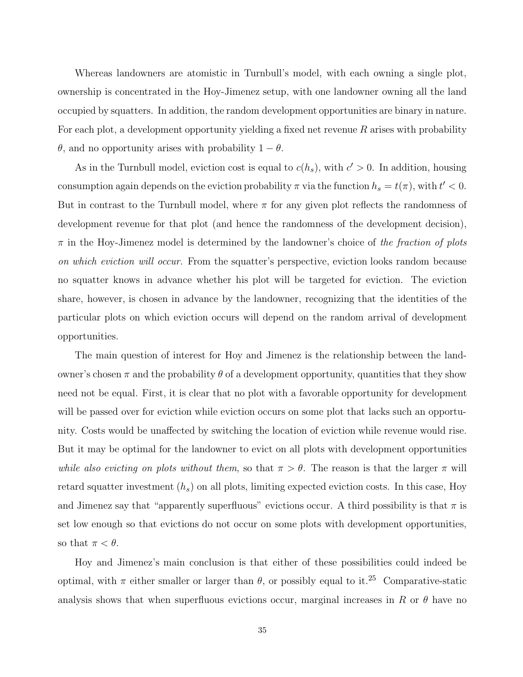Whereas landowners are atomistic in Turnbull's model, with each owning a single plot, ownership is concentrated in the Hoy-Jimenez setup, with one landowner owning all the land occupied by squatters. In addition, the random development opportunities are binary in nature. For each plot, a development opportunity yielding a fixed net revenue  $R$  arises with probability  $θ$ , and no opportunity arises with probability 1 −  $θ$ .

As in the Turnbull model, eviction cost is equal to  $c(h_s)$ , with  $c' > 0$ . In addition, housing consumption again depends on the eviction probability  $\pi$  via the function  $h_s = t(\pi)$ , with  $t' < 0$ . But in contrast to the Turnbull model, where  $\pi$  for any given plot reflects the randomness of development revenue for that plot (and hence the randomness of the development decision),  $\pi$  in the Hoy-Jimenez model is determined by the landowner's choice of the fraction of plots on which eviction will occur. From the squatter's perspective, eviction looks random because no squatter knows in advance whether his plot will be targeted for eviction. The eviction share, however, is chosen in advance by the landowner, recognizing that the identities of the particular plots on which eviction occurs will depend on the random arrival of development opportunities.

The main question of interest for Hoy and Jimenez is the relationship between the landowner's chosen  $\pi$  and the probability  $\theta$  of a development opportunity, quantities that they show need not be equal. First, it is clear that no plot with a favorable opportunity for development will be passed over for eviction while eviction occurs on some plot that lacks such an opportunity. Costs would be unaffected by switching the location of eviction while revenue would rise. But it may be optimal for the landowner to evict on all plots with development opportunities while also evicting on plots without them, so that  $\pi > \theta$ . The reason is that the larger  $\pi$  will retard squatter investment  $(h_s)$  on all plots, limiting expected eviction costs. In this case, Hoy and Jimenez say that "apparently superfluous" evictions occur. A third possibility is that  $\pi$  is set low enough so that evictions do not occur on some plots with development opportunities, so that  $\pi < \theta$ .

Hoy and Jimenez's main conclusion is that either of these possibilities could indeed be optimal, with  $\pi$  either smaller or larger than  $\theta$ , or possibly equal to it.<sup>25</sup> Comparative-static analysis shows that when superfluous evictions occur, marginal increases in R or  $\theta$  have no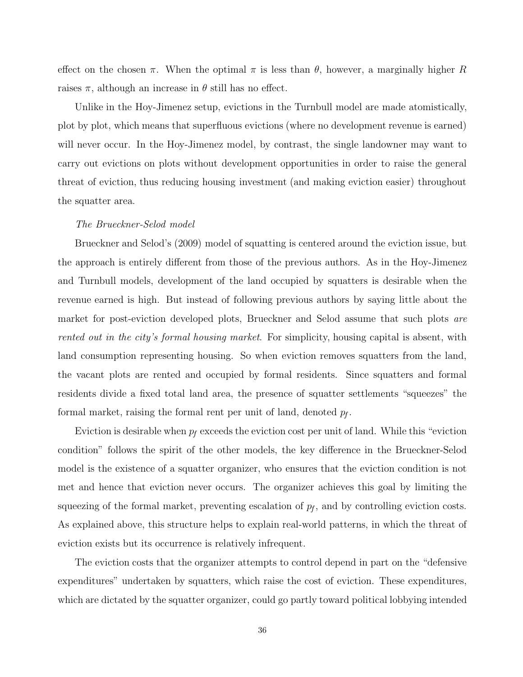effect on the chosen  $\pi$ . When the optimal  $\pi$  is less than  $\theta$ , however, a marginally higher R raises  $\pi$ , although an increase in  $\theta$  still has no effect.

Unlike in the Hoy-Jimenez setup, evictions in the Turnbull model are made atomistically, plot by plot, which means that superfluous evictions (where no development revenue is earned) will never occur. In the Hoy-Jimenez model, by contrast, the single landowner may want to carry out evictions on plots without development opportunities in order to raise the general threat of eviction, thus reducing housing investment (and making eviction easier) throughout the squatter area.

#### The Brueckner-Selod model

Brueckner and Selod's (2009) model of squatting is centered around the eviction issue, but the approach is entirely different from those of the previous authors. As in the Hoy-Jimenez and Turnbull models, development of the land occupied by squatters is desirable when the revenue earned is high. But instead of following previous authors by saying little about the market for post-eviction developed plots, Brueckner and Selod assume that such plots are rented out in the city's formal housing market. For simplicity, housing capital is absent, with land consumption representing housing. So when eviction removes squatters from the land, the vacant plots are rented and occupied by formal residents. Since squatters and formal residents divide a fixed total land area, the presence of squatter settlements "squeezes" the formal market, raising the formal rent per unit of land, denoted  $p_f$ .

Eviction is desirable when  $p_f$  exceeds the eviction cost per unit of land. While this "eviction" condition" follows the spirit of the other models, the key difference in the Brueckner-Selod model is the existence of a squatter organizer, who ensures that the eviction condition is not met and hence that eviction never occurs. The organizer achieves this goal by limiting the squeezing of the formal market, preventing escalation of  $p_f$ , and by controlling eviction costs. As explained above, this structure helps to explain real-world patterns, in which the threat of eviction exists but its occurrence is relatively infrequent.

The eviction costs that the organizer attempts to control depend in part on the "defensive expenditures" undertaken by squatters, which raise the cost of eviction. These expenditures, which are dictated by the squatter organizer, could go partly toward political lobbying intended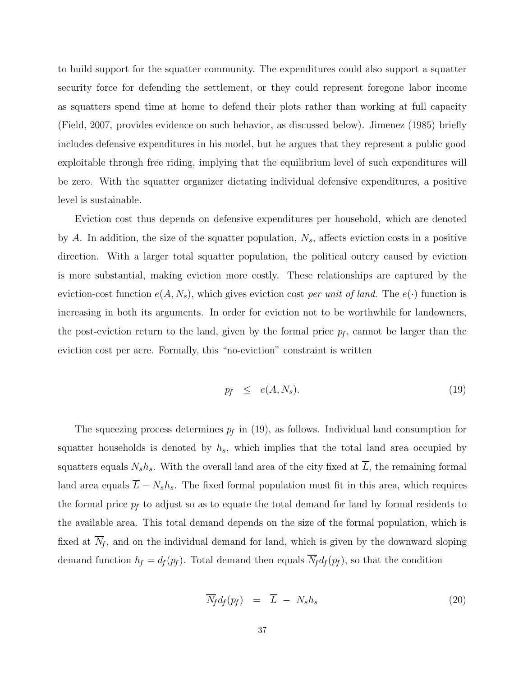to build support for the squatter community. The expenditures could also support a squatter security force for defending the settlement, or they could represent foregone labor income as squatters spend time at home to defend their plots rather than working at full capacity (Field, 2007, provides evidence on such behavior, as discussed below). Jimenez (1985) briefly includes defensive expenditures in his model, but he argues that they represent a public good exploitable through free riding, implying that the equilibrium level of such expenditures will be zero. With the squatter organizer dictating individual defensive expenditures, a positive level is sustainable.

Eviction cost thus depends on defensive expenditures per household, which are denoted by A. In addition, the size of the squatter population,  $N_s$ , affects eviction costs in a positive direction. With a larger total squatter population, the political outcry caused by eviction is more substantial, making eviction more costly. These relationships are captured by the eviction-cost function  $e(A, N_s)$ , which gives eviction cost per unit of land. The  $e(\cdot)$  function is increasing in both its arguments. In order for eviction not to be worthwhile for landowners, the post-eviction return to the land, given by the formal price  $p_f$ , cannot be larger than the eviction cost per acre. Formally, this "no-eviction" constraint is written

$$
p_f \leq e(A, N_s). \tag{19}
$$

The squeezing process determines  $p_f$  in (19), as follows. Individual land consumption for squatter households is denoted by  $h_s$ , which implies that the total land area occupied by squatters equals  $N_s h_s$ . With the overall land area of the city fixed at  $\overline{L}$ , the remaining formal land area equals  $\overline{L} - N_s h_s$ . The fixed formal population must fit in this area, which requires the formal price  $p_f$  to adjust so as to equate the total demand for land by formal residents to the available area. This total demand depends on the size of the formal population, which is fixed at  $\overline{N}_f$ , and on the individual demand for land, which is given by the downward sloping demand function  $h_f = d_f(p_f)$ . Total demand then equals  $\overline{N}_f d_f(p_f)$ , so that the condition

$$
\overline{N}_f d_f(p_f) = \overline{L} - N_s h_s \tag{20}
$$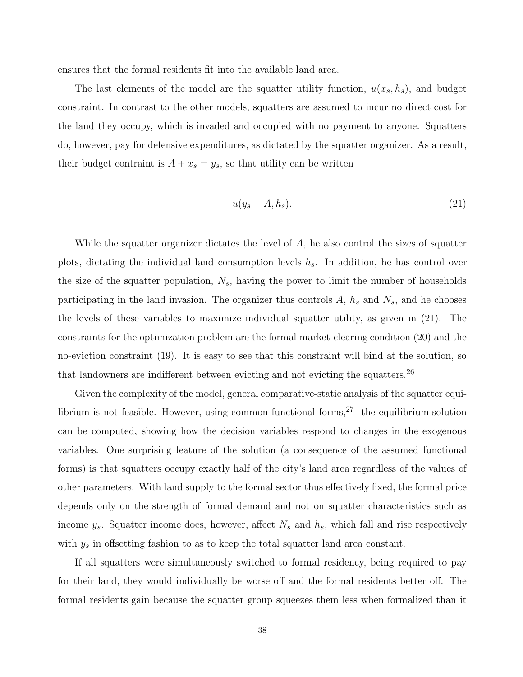ensures that the formal residents fit into the available land area.

The last elements of the model are the squatter utility function,  $u(x_s, h_s)$ , and budget constraint. In contrast to the other models, squatters are assumed to incur no direct cost for the land they occupy, which is invaded and occupied with no payment to anyone. Squatters do, however, pay for defensive expenditures, as dictated by the squatter organizer. As a result, their budget contraint is  $A + x_s = y_s$ , so that utility can be written

$$
u(y_s - A, h_s). \tag{21}
$$

While the squatter organizer dictates the level of A, he also control the sizes of squatter plots, dictating the individual land consumption levels  $h_s$ . In addition, he has control over the size of the squatter population,  $N_s$ , having the power to limit the number of households participating in the land invasion. The organizer thus controls  $A$ ,  $h_s$  and  $N_s$ , and he chooses the levels of these variables to maximize individual squatter utility, as given in (21). The constraints for the optimization problem are the formal market-clearing condition (20) and the no-eviction constraint (19). It is easy to see that this constraint will bind at the solution, so that landowners are indifferent between evicting and not evicting the squatters.<sup>26</sup>

Given the complexity of the model, general comparative-static analysis of the squatter equilibrium is not feasible. However, using common functional forms,  $27$  the equilibrium solution can be computed, showing how the decision variables respond to changes in the exogenous variables. One surprising feature of the solution (a consequence of the assumed functional forms) is that squatters occupy exactly half of the city's land area regardless of the values of other parameters. With land supply to the formal sector thus effectively fixed, the formal price depends only on the strength of formal demand and not on squatter characteristics such as income  $y_s$ . Squatter income does, however, affect  $N_s$  and  $h_s$ , which fall and rise respectively with  $y_s$  in offsetting fashion to as to keep the total squatter land area constant.

If all squatters were simultaneously switched to formal residency, being required to pay for their land, they would individually be worse off and the formal residents better off. The formal residents gain because the squatter group squeezes them less when formalized than it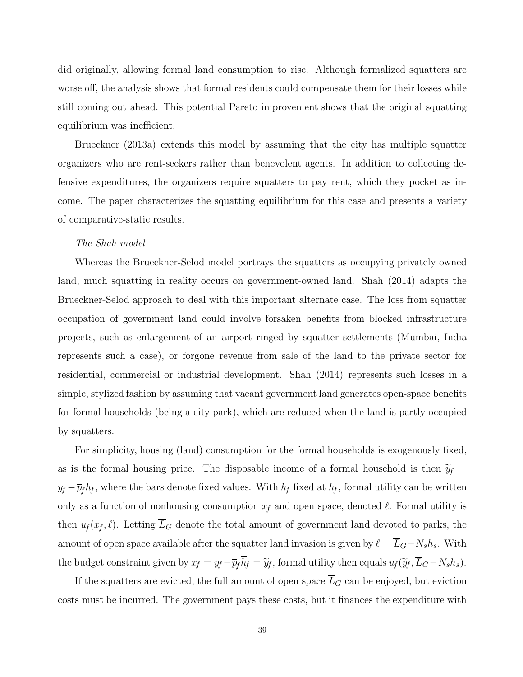did originally, allowing formal land consumption to rise. Although formalized squatters are worse off, the analysis shows that formal residents could compensate them for their losses while still coming out ahead. This potential Pareto improvement shows that the original squatting equilibrium was inefficient.

Brueckner (2013a) extends this model by assuming that the city has multiple squatter organizers who are rent-seekers rather than benevolent agents. In addition to collecting defensive expenditures, the organizers require squatters to pay rent, which they pocket as income. The paper characterizes the squatting equilibrium for this case and presents a variety of comparative-static results.

#### The Shah model

Whereas the Brueckner-Selod model portrays the squatters as occupying privately owned land, much squatting in reality occurs on government-owned land. Shah (2014) adapts the Brueckner-Selod approach to deal with this important alternate case. The loss from squatter occupation of government land could involve forsaken benefits from blocked infrastructure projects, such as enlargement of an airport ringed by squatter settlements (Mumbai, India represents such a case), or forgone revenue from sale of the land to the private sector for residential, commercial or industrial development. Shah (2014) represents such losses in a simple, stylized fashion by assuming that vacant government land generates open-space benefits for formal households (being a city park), which are reduced when the land is partly occupied by squatters.

For simplicity, housing (land) consumption for the formal households is exogenously fixed, as is the formal housing price. The disposable income of a formal household is then  $\tilde{y}_f$  =  $y_f - \overline{p}_f \overline{h}_f$ , where the bars denote fixed values. With  $h_f$  fixed at  $\overline{h}_f$ , formal utility can be written only as a function of nonhousing consumption  $x_f$  and open space, denoted  $\ell$ . Formal utility is then  $u_f(x_f, \ell)$ . Letting  $\overline{L}_G$  denote the total amount of government land devoted to parks, the amount of open space available after the squatter land invasion is given by  $\ell = \overline{L}_G - N_s h_s$ . With the budget constraint given by  $x_f = y_f - \overline{p}_f \overline{h}_f = \widetilde{y}_f$ , formal utility then equals  $u_f(\widetilde{y}_f, \overline{L}_G - N_s h_s)$ .

If the squatters are evicted, the full amount of open space  $\overline{L}_G$  can be enjoyed, but eviction costs must be incurred. The government pays these costs, but it finances the expenditure with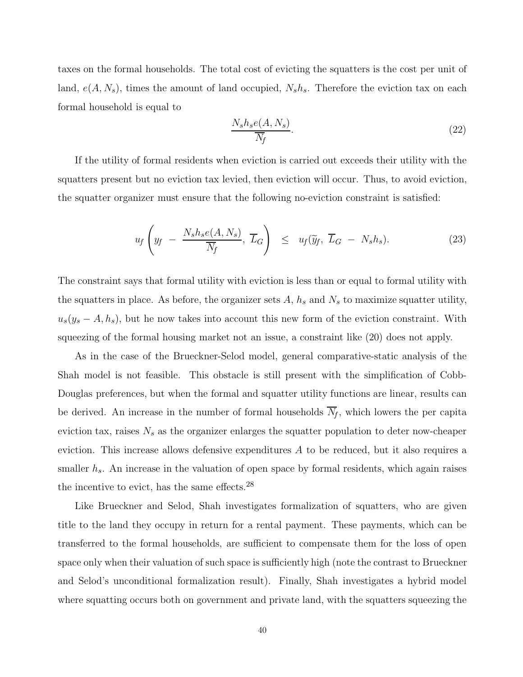taxes on the formal households. The total cost of evicting the squatters is the cost per unit of land,  $e(A, N_s)$ , times the amount of land occupied,  $N_s h_s$ . Therefore the eviction tax on each formal household is equal to

$$
\frac{N_s h_s e(A, N_s)}{\overline{N}_f}.
$$
\n(22)

If the utility of formal residents when eviction is carried out exceeds their utility with the squatters present but no eviction tax levied, then eviction will occur. Thus, to avoid eviction, the squatter organizer must ensure that the following no-eviction constraint is satisfied:

$$
u_f\left(y_f - \frac{N_s h_s e(A, N_s)}{\overline{N}_f}, \overline{L}_G\right) \leq u_f(\widetilde{y}_f, \overline{L}_G - N_s h_s). \tag{23}
$$

The constraint says that formal utility with eviction is less than or equal to formal utility with the squatters in place. As before, the organizer sets  $A$ ,  $h_s$  and  $N_s$  to maximize squatter utility,  $u_s(y_s - A, h_s)$ , but he now takes into account this new form of the eviction constraint. With squeezing of the formal housing market not an issue, a constraint like (20) does not apply.

As in the case of the Brueckner-Selod model, general comparative-static analysis of the Shah model is not feasible. This obstacle is still present with the simplification of Cobb-Douglas preferences, but when the formal and squatter utility functions are linear, results can be derived. An increase in the number of formal households  $\overline{N}_f$ , which lowers the per capita eviction tax, raises  $N_s$  as the organizer enlarges the squatter population to deter now-cheaper eviction. This increase allows defensive expenditures  $A$  to be reduced, but it also requires a smaller  $h_s$ . An increase in the valuation of open space by formal residents, which again raises the incentive to evict, has the same effects.<sup>28</sup>

Like Brueckner and Selod, Shah investigates formalization of squatters, who are given title to the land they occupy in return for a rental payment. These payments, which can be transferred to the formal households, are sufficient to compensate them for the loss of open space only when their valuation of such space is sufficiently high (note the contrast to Brueckner and Selod's unconditional formalization result). Finally, Shah investigates a hybrid model where squatting occurs both on government and private land, with the squatters squeezing the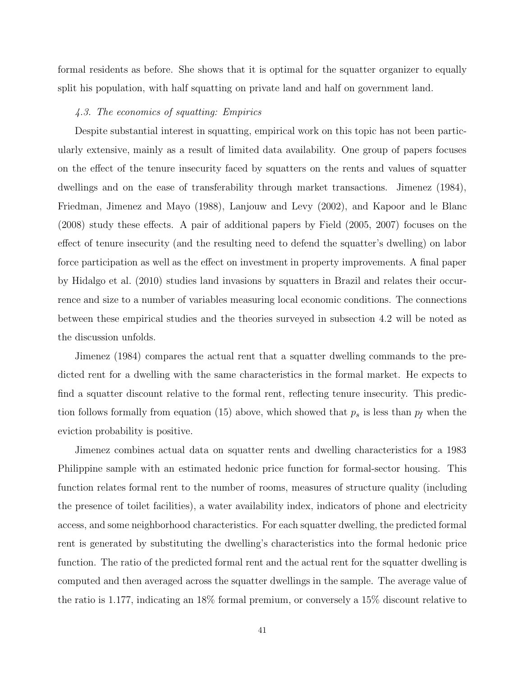formal residents as before. She shows that it is optimal for the squatter organizer to equally split his population, with half squatting on private land and half on government land.

#### 4.3. The economics of squatting: Empirics

Despite substantial interest in squatting, empirical work on this topic has not been particularly extensive, mainly as a result of limited data availability. One group of papers focuses on the effect of the tenure insecurity faced by squatters on the rents and values of squatter dwellings and on the ease of transferability through market transactions. Jimenez (1984), Friedman, Jimenez and Mayo (1988), Lanjouw and Levy (2002), and Kapoor and le Blanc (2008) study these effects. A pair of additional papers by Field (2005, 2007) focuses on the effect of tenure insecurity (and the resulting need to defend the squatter's dwelling) on labor force participation as well as the effect on investment in property improvements. A final paper by Hidalgo et al. (2010) studies land invasions by squatters in Brazil and relates their occurrence and size to a number of variables measuring local economic conditions. The connections between these empirical studies and the theories surveyed in subsection 4.2 will be noted as the discussion unfolds.

Jimenez (1984) compares the actual rent that a squatter dwelling commands to the predicted rent for a dwelling with the same characteristics in the formal market. He expects to find a squatter discount relative to the formal rent, reflecting tenure insecurity. This prediction follows formally from equation (15) above, which showed that  $p_s$  is less than  $p_f$  when the eviction probability is positive.

Jimenez combines actual data on squatter rents and dwelling characteristics for a 1983 Philippine sample with an estimated hedonic price function for formal-sector housing. This function relates formal rent to the number of rooms, measures of structure quality (including the presence of toilet facilities), a water availability index, indicators of phone and electricity access, and some neighborhood characteristics. For each squatter dwelling, the predicted formal rent is generated by substituting the dwelling's characteristics into the formal hedonic price function. The ratio of the predicted formal rent and the actual rent for the squatter dwelling is computed and then averaged across the squatter dwellings in the sample. The average value of the ratio is 1.177, indicating an 18% formal premium, or conversely a 15% discount relative to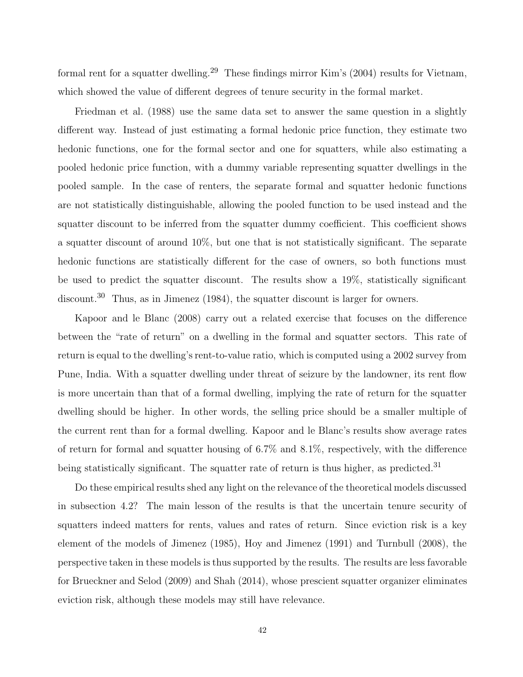formal rent for a squatter dwelling.<sup>29</sup> These findings mirror Kim's (2004) results for Vietnam, which showed the value of different degrees of tenure security in the formal market.

Friedman et al. (1988) use the same data set to answer the same question in a slightly different way. Instead of just estimating a formal hedonic price function, they estimate two hedonic functions, one for the formal sector and one for squatters, while also estimating a pooled hedonic price function, with a dummy variable representing squatter dwellings in the pooled sample. In the case of renters, the separate formal and squatter hedonic functions are not statistically distinguishable, allowing the pooled function to be used instead and the squatter discount to be inferred from the squatter dummy coefficient. This coefficient shows a squatter discount of around 10%, but one that is not statistically significant. The separate hedonic functions are statistically different for the case of owners, so both functions must be used to predict the squatter discount. The results show a 19%, statistically significant discount.<sup>30</sup> Thus, as in Jimenez (1984), the squatter discount is larger for owners.

Kapoor and le Blanc (2008) carry out a related exercise that focuses on the difference between the "rate of return" on a dwelling in the formal and squatter sectors. This rate of return is equal to the dwelling's rent-to-value ratio, which is computed using a 2002 survey from Pune, India. With a squatter dwelling under threat of seizure by the landowner, its rent flow is more uncertain than that of a formal dwelling, implying the rate of return for the squatter dwelling should be higher. In other words, the selling price should be a smaller multiple of the current rent than for a formal dwelling. Kapoor and le Blanc's results show average rates of return for formal and squatter housing of 6.7% and 8.1%, respectively, with the difference being statistically significant. The squatter rate of return is thus higher, as predicted.<sup>31</sup>

Do these empirical results shed any light on the relevance of the theoretical models discussed in subsection 4.2? The main lesson of the results is that the uncertain tenure security of squatters indeed matters for rents, values and rates of return. Since eviction risk is a key element of the models of Jimenez (1985), Hoy and Jimenez (1991) and Turnbull (2008), the perspective taken in these models is thus supported by the results. The results are less favorable for Brueckner and Selod (2009) and Shah (2014), whose prescient squatter organizer eliminates eviction risk, although these models may still have relevance.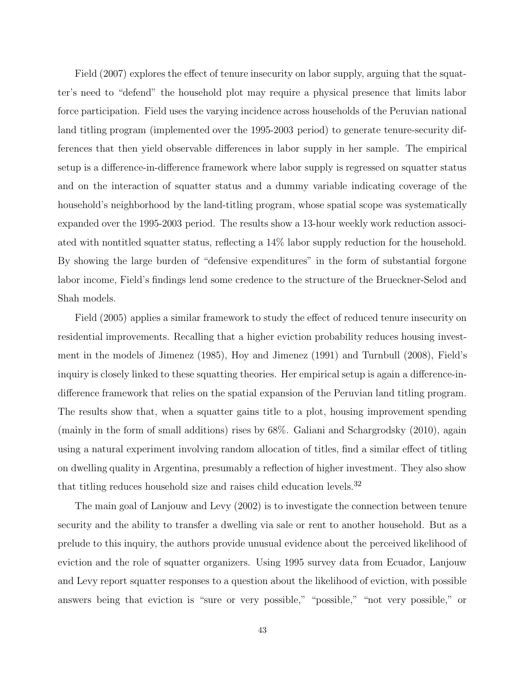Field (2007) explores the effect of tenure insecurity on labor supply, arguing that the squatter's need to "defend" the household plot may require a physical presence that limits labor force participation. Field uses the varying incidence across households of the Peruvian national land titling program (implemented over the 1995-2003 period) to generate tenure-security differences that then yield observable differences in labor supply in her sample. The empirical setup is a difference-in-difference framework where labor supply is regressed on squatter status and on the interaction of squatter status and a dummy variable indicating coverage of the household's neighborhood by the land-titling program, whose spatial scope was systematically expanded over the 1995-2003 period. The results show a 13-hour weekly work reduction associated with nontitled squatter status, reflecting a 14% labor supply reduction for the household. By showing the large burden of "defensive expenditures" in the form of substantial forgone labor income, Field's findings lend some credence to the structure of the Brueckner-Selod and Shah models.

Field (2005) applies a similar framework to study the effect of reduced tenure insecurity on residential improvements. Recalling that a higher eviction probability reduces housing investment in the models of Jimenez (1985), Hoy and Jimenez (1991) and Turnbull (2008), Field's inquiry is closely linked to these squatting theories. Her empirical setup is again a difference-indifference framework that relies on the spatial expansion of the Peruvian land titling program. The results show that, when a squatter gains title to a plot, housing improvement spending (mainly in the form of small additions) rises by 68%. Galiani and Schargrodsky (2010), again using a natural experiment involving random allocation of titles, find a similar effect of titling on dwelling quality in Argentina, presumably a reflection of higher investment. They also show that titling reduces household size and raises child education levels.<sup>32</sup>

The main goal of Lanjouw and Levy (2002) is to investigate the connection between tenure security and the ability to transfer a dwelling via sale or rent to another household. But as a prelude to this inquiry, the authors provide unusual evidence about the perceived likelihood of eviction and the role of squatter organizers. Using 1995 survey data from Ecuador, Lanjouw and Levy report squatter responses to a question about the likelihood of eviction, with possible answers being that eviction is "sure or very possible," "possible," "not very possible," or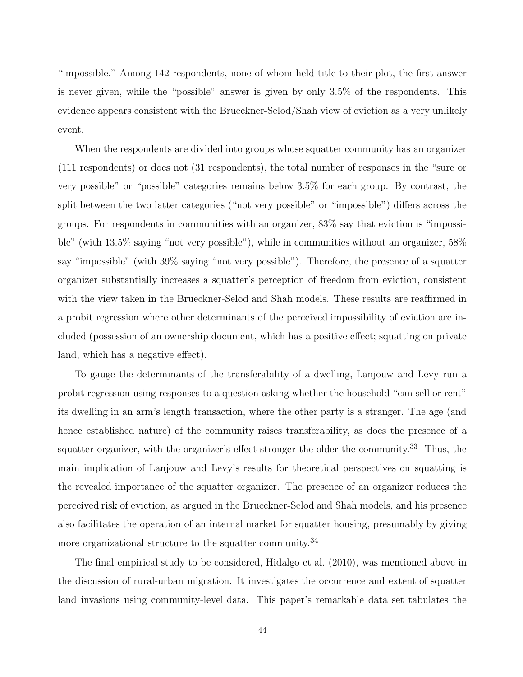"impossible." Among 142 respondents, none of whom held title to their plot, the first answer is never given, while the "possible" answer is given by only 3.5% of the respondents. This evidence appears consistent with the Brueckner-Selod/Shah view of eviction as a very unlikely event.

When the respondents are divided into groups whose squatter community has an organizer (111 respondents) or does not (31 respondents), the total number of responses in the "sure or very possible" or "possible" categories remains below 3.5% for each group. By contrast, the split between the two latter categories ("not very possible" or "impossible") differs across the groups. For respondents in communities with an organizer, 83% say that eviction is "impossible" (with 13.5% saying "not very possible"), while in communities without an organizer, 58% say "impossible" (with 39% saying "not very possible"). Therefore, the presence of a squatter organizer substantially increases a squatter's perception of freedom from eviction, consistent with the view taken in the Brueckner-Selod and Shah models. These results are reaffirmed in a probit regression where other determinants of the perceived impossibility of eviction are included (possession of an ownership document, which has a positive effect; squatting on private land, which has a negative effect).

To gauge the determinants of the transferability of a dwelling, Lanjouw and Levy run a probit regression using responses to a question asking whether the household "can sell or rent" its dwelling in an arm's length transaction, where the other party is a stranger. The age (and hence established nature) of the community raises transferability, as does the presence of a squatter organizer, with the organizer's effect stronger the older the community.<sup>33</sup> Thus, the main implication of Lanjouw and Levy's results for theoretical perspectives on squatting is the revealed importance of the squatter organizer. The presence of an organizer reduces the perceived risk of eviction, as argued in the Brueckner-Selod and Shah models, and his presence also facilitates the operation of an internal market for squatter housing, presumably by giving more organizational structure to the squatter community.<sup>34</sup>

The final empirical study to be considered, Hidalgo et al. (2010), was mentioned above in the discussion of rural-urban migration. It investigates the occurrence and extent of squatter land invasions using community-level data. This paper's remarkable data set tabulates the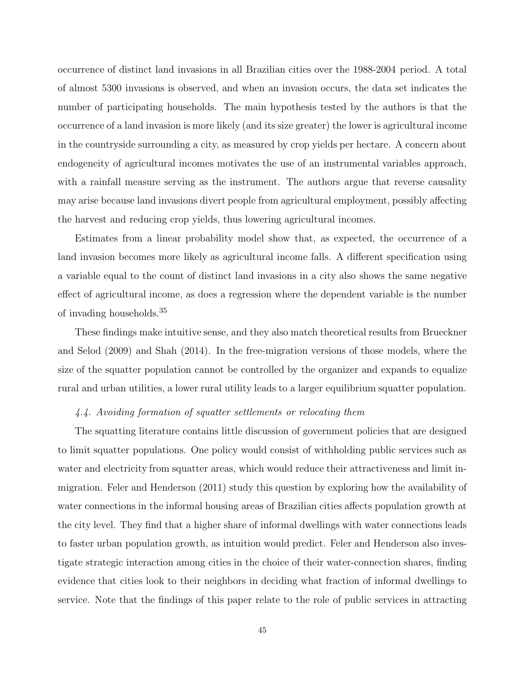occurrence of distinct land invasions in all Brazilian cities over the 1988-2004 period. A total of almost 5300 invasions is observed, and when an invasion occurs, the data set indicates the number of participating households. The main hypothesis tested by the authors is that the occurrence of a land invasion is more likely (and its size greater) the lower is agricultural income in the countryside surrounding a city, as measured by crop yields per hectare. A concern about endogeneity of agricultural incomes motivates the use of an instrumental variables approach, with a rainfall measure serving as the instrument. The authors argue that reverse causality may arise because land invasions divert people from agricultural employment, possibly affecting the harvest and reducing crop yields, thus lowering agricultural incomes.

Estimates from a linear probability model show that, as expected, the occurrence of a land invasion becomes more likely as agricultural income falls. A different specification using a variable equal to the count of distinct land invasions in a city also shows the same negative effect of agricultural income, as does a regression where the dependent variable is the number of invading households.<sup>35</sup>

These findings make intuitive sense, and they also match theoretical results from Brueckner and Selod (2009) and Shah (2014). In the free-migration versions of those models, where the size of the squatter population cannot be controlled by the organizer and expands to equalize rural and urban utilities, a lower rural utility leads to a larger equilibrium squatter population.

## 4.4. Avoiding formation of squatter settlements or relocating them

The squatting literature contains little discussion of government policies that are designed to limit squatter populations. One policy would consist of withholding public services such as water and electricity from squatter areas, which would reduce their attractiveness and limit inmigration. Feler and Henderson (2011) study this question by exploring how the availability of water connections in the informal housing areas of Brazilian cities affects population growth at the city level. They find that a higher share of informal dwellings with water connections leads to faster urban population growth, as intuition would predict. Feler and Henderson also investigate strategic interaction among cities in the choice of their water-connection shares, finding evidence that cities look to their neighbors in deciding what fraction of informal dwellings to service. Note that the findings of this paper relate to the role of public services in attracting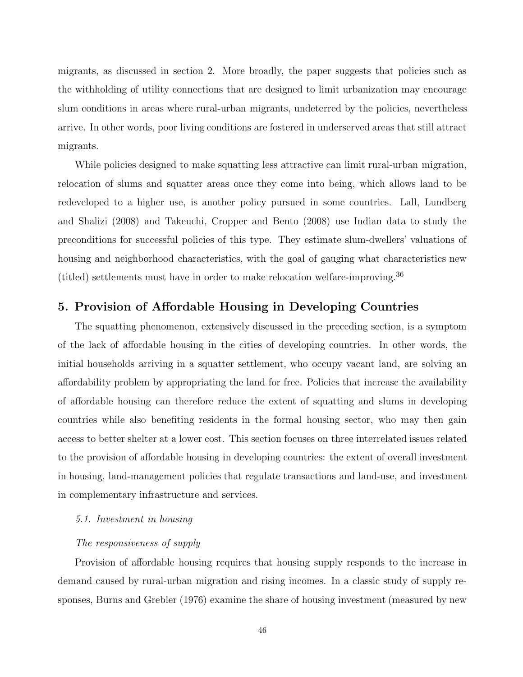migrants, as discussed in section 2. More broadly, the paper suggests that policies such as the withholding of utility connections that are designed to limit urbanization may encourage slum conditions in areas where rural-urban migrants, undeterred by the policies, nevertheless arrive. In other words, poor living conditions are fostered in underserved areas that still attract migrants.

While policies designed to make squatting less attractive can limit rural-urban migration, relocation of slums and squatter areas once they come into being, which allows land to be redeveloped to a higher use, is another policy pursued in some countries. Lall, Lundberg and Shalizi (2008) and Takeuchi, Cropper and Bento (2008) use Indian data to study the preconditions for successful policies of this type. They estimate slum-dwellers' valuations of housing and neighborhood characteristics, with the goal of gauging what characteristics new (titled) settlements must have in order to make relocation welfare-improving.<sup>36</sup>

## 5. Provision of Affordable Housing in Developing Countries

The squatting phenomenon, extensively discussed in the preceding section, is a symptom of the lack of affordable housing in the cities of developing countries. In other words, the initial households arriving in a squatter settlement, who occupy vacant land, are solving an affordability problem by appropriating the land for free. Policies that increase the availability of affordable housing can therefore reduce the extent of squatting and slums in developing countries while also benefiting residents in the formal housing sector, who may then gain access to better shelter at a lower cost. This section focuses on three interrelated issues related to the provision of affordable housing in developing countries: the extent of overall investment in housing, land-management policies that regulate transactions and land-use, and investment in complementary infrastructure and services.

## 5.1. Investment in housing

#### The responsiveness of supply

Provision of affordable housing requires that housing supply responds to the increase in demand caused by rural-urban migration and rising incomes. In a classic study of supply responses, Burns and Grebler (1976) examine the share of housing investment (measured by new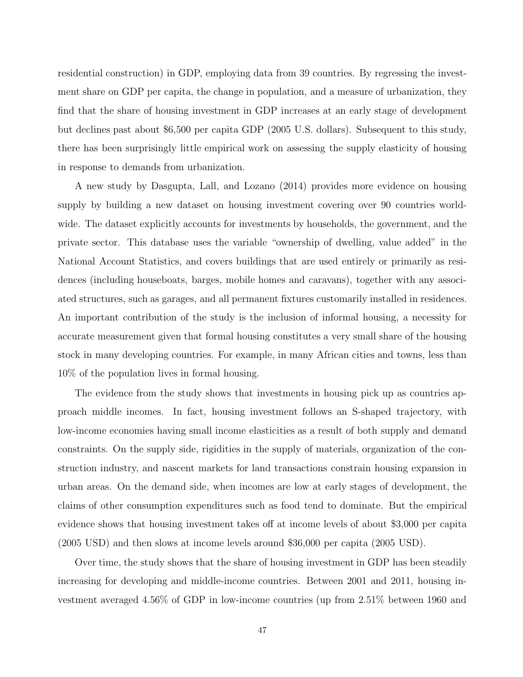residential construction) in GDP, employing data from 39 countries. By regressing the investment share on GDP per capita, the change in population, and a measure of urbanization, they find that the share of housing investment in GDP increases at an early stage of development but declines past about \$6,500 per capita GDP (2005 U.S. dollars). Subsequent to this study, there has been surprisingly little empirical work on assessing the supply elasticity of housing in response to demands from urbanization.

A new study by Dasgupta, Lall, and Lozano (2014) provides more evidence on housing supply by building a new dataset on housing investment covering over 90 countries worldwide. The dataset explicitly accounts for investments by households, the government, and the private sector. This database uses the variable "ownership of dwelling, value added" in the National Account Statistics, and covers buildings that are used entirely or primarily as residences (including houseboats, barges, mobile homes and caravans), together with any associated structures, such as garages, and all permanent fixtures customarily installed in residences. An important contribution of the study is the inclusion of informal housing, a necessity for accurate measurement given that formal housing constitutes a very small share of the housing stock in many developing countries. For example, in many African cities and towns, less than 10% of the population lives in formal housing.

The evidence from the study shows that investments in housing pick up as countries approach middle incomes. In fact, housing investment follows an S-shaped trajectory, with low-income economies having small income elasticities as a result of both supply and demand constraints. On the supply side, rigidities in the supply of materials, organization of the construction industry, and nascent markets for land transactions constrain housing expansion in urban areas. On the demand side, when incomes are low at early stages of development, the claims of other consumption expenditures such as food tend to dominate. But the empirical evidence shows that housing investment takes off at income levels of about \$3,000 per capita (2005 USD) and then slows at income levels around \$36,000 per capita (2005 USD).

Over time, the study shows that the share of housing investment in GDP has been steadily increasing for developing and middle-income countries. Between 2001 and 2011, housing investment averaged 4.56% of GDP in low-income countries (up from 2.51% between 1960 and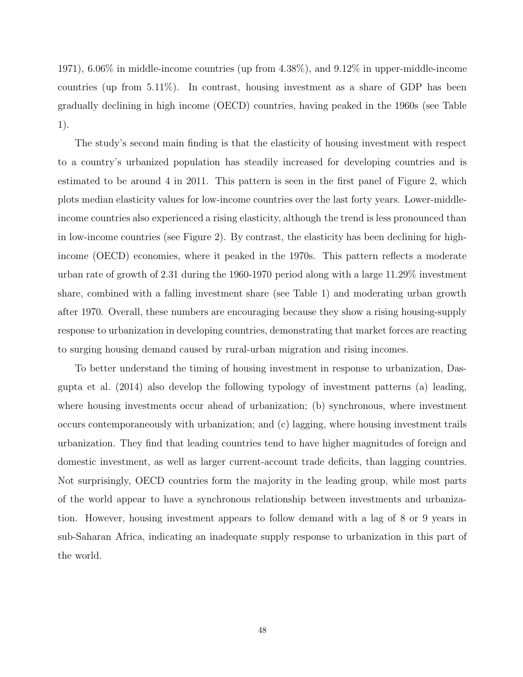1971), 6.06% in middle-income countries (up from 4.38%), and 9.12% in upper-middle-income countries (up from 5.11%). In contrast, housing investment as a share of GDP has been gradually declining in high income (OECD) countries, having peaked in the 1960s (see Table 1).

The study's second main finding is that the elasticity of housing investment with respect to a country's urbanized population has steadily increased for developing countries and is estimated to be around 4 in 2011. This pattern is seen in the first panel of Figure 2, which plots median elasticity values for low-income countries over the last forty years. Lower-middleincome countries also experienced a rising elasticity, although the trend is less pronounced than in low-income countries (see Figure 2). By contrast, the elasticity has been declining for highincome (OECD) economies, where it peaked in the 1970s. This pattern reflects a moderate urban rate of growth of 2.31 during the 1960-1970 period along with a large 11.29% investment share, combined with a falling investment share (see Table 1) and moderating urban growth after 1970. Overall, these numbers are encouraging because they show a rising housing-supply response to urbanization in developing countries, demonstrating that market forces are reacting to surging housing demand caused by rural-urban migration and rising incomes.

To better understand the timing of housing investment in response to urbanization, Dasgupta et al. (2014) also develop the following typology of investment patterns (a) leading, where housing investments occur ahead of urbanization; (b) synchronous, where investment occurs contemporaneously with urbanization; and (c) lagging, where housing investment trails urbanization. They find that leading countries tend to have higher magnitudes of foreign and domestic investment, as well as larger current-account trade deficits, than lagging countries. Not surprisingly, OECD countries form the majority in the leading group, while most parts of the world appear to have a synchronous relationship between investments and urbanization. However, housing investment appears to follow demand with a lag of 8 or 9 years in sub-Saharan Africa, indicating an inadequate supply response to urbanization in this part of the world.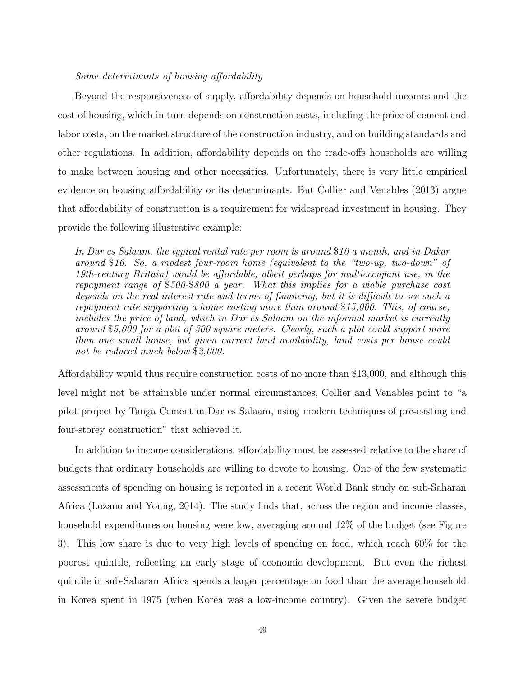#### Some determinants of housing affordability

Beyond the responsiveness of supply, affordability depends on household incomes and the cost of housing, which in turn depends on construction costs, including the price of cement and labor costs, on the market structure of the construction industry, and on building standards and other regulations. In addition, affordability depends on the trade-offs households are willing to make between housing and other necessities. Unfortunately, there is very little empirical evidence on housing affordability or its determinants. But Collier and Venables (2013) argue that affordability of construction is a requirement for widespread investment in housing. They provide the following illustrative example:

In Dar es Salaam, the typical rental rate per room is around \$10 a month, and in Dakar around \$16. So, a modest four-room home (equivalent to the "two-up, two-down" of 19th-century Britain) would be affordable, albeit perhaps for multioccupant use, in the repayment range of \$500-\$800 a year. What this implies for a viable purchase cost depends on the real interest rate and terms of financing, but it is difficult to see such a repayment rate supporting a home costing more than around \$15,000. This, of course, includes the price of land, which in Dar es Salaam on the informal market is currently around \$5,000 for a plot of 300 square meters. Clearly, such a plot could support more than one small house, but given current land availability, land costs per house could not be reduced much below \$2,000.

Affordability would thus require construction costs of no more than \$13,000, and although this level might not be attainable under normal circumstances, Collier and Venables point to "a pilot project by Tanga Cement in Dar es Salaam, using modern techniques of pre-casting and four-storey construction" that achieved it.

In addition to income considerations, affordability must be assessed relative to the share of budgets that ordinary households are willing to devote to housing. One of the few systematic assessments of spending on housing is reported in a recent World Bank study on sub-Saharan Africa (Lozano and Young, 2014). The study finds that, across the region and income classes, household expenditures on housing were low, averaging around 12% of the budget (see Figure 3). This low share is due to very high levels of spending on food, which reach 60% for the poorest quintile, reflecting an early stage of economic development. But even the richest quintile in sub-Saharan Africa spends a larger percentage on food than the average household in Korea spent in 1975 (when Korea was a low-income country). Given the severe budget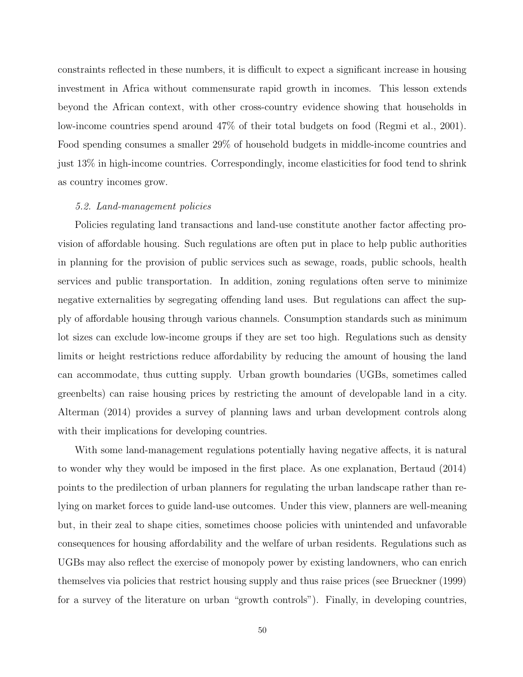constraints reflected in these numbers, it is difficult to expect a significant increase in housing investment in Africa without commensurate rapid growth in incomes. This lesson extends beyond the African context, with other cross-country evidence showing that households in low-income countries spend around 47% of their total budgets on food (Regmi et al., 2001). Food spending consumes a smaller 29% of household budgets in middle-income countries and just 13% in high-income countries. Correspondingly, income elasticities for food tend to shrink as country incomes grow.

#### 5.2. Land-management policies

Policies regulating land transactions and land-use constitute another factor affecting provision of affordable housing. Such regulations are often put in place to help public authorities in planning for the provision of public services such as sewage, roads, public schools, health services and public transportation. In addition, zoning regulations often serve to minimize negative externalities by segregating offending land uses. But regulations can affect the supply of affordable housing through various channels. Consumption standards such as minimum lot sizes can exclude low-income groups if they are set too high. Regulations such as density limits or height restrictions reduce affordability by reducing the amount of housing the land can accommodate, thus cutting supply. Urban growth boundaries (UGBs, sometimes called greenbelts) can raise housing prices by restricting the amount of developable land in a city. Alterman (2014) provides a survey of planning laws and urban development controls along with their implications for developing countries.

With some land-management regulations potentially having negative affects, it is natural to wonder why they would be imposed in the first place. As one explanation, Bertaud (2014) points to the predilection of urban planners for regulating the urban landscape rather than relying on market forces to guide land-use outcomes. Under this view, planners are well-meaning but, in their zeal to shape cities, sometimes choose policies with unintended and unfavorable consequences for housing affordability and the welfare of urban residents. Regulations such as UGBs may also reflect the exercise of monopoly power by existing landowners, who can enrich themselves via policies that restrict housing supply and thus raise prices (see Brueckner (1999) for a survey of the literature on urban "growth controls"). Finally, in developing countries,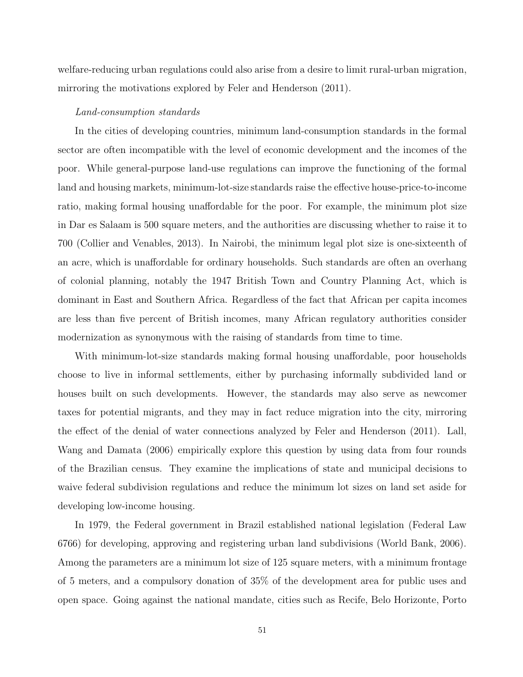welfare-reducing urban regulations could also arise from a desire to limit rural-urban migration, mirroring the motivations explored by Feler and Henderson (2011).

#### Land-consumption standards

In the cities of developing countries, minimum land-consumption standards in the formal sector are often incompatible with the level of economic development and the incomes of the poor. While general-purpose land-use regulations can improve the functioning of the formal land and housing markets, minimum-lot-size standards raise the effective house-price-to-income ratio, making formal housing unaffordable for the poor. For example, the minimum plot size in Dar es Salaam is 500 square meters, and the authorities are discussing whether to raise it to 700 (Collier and Venables, 2013). In Nairobi, the minimum legal plot size is one-sixteenth of an acre, which is unaffordable for ordinary households. Such standards are often an overhang of colonial planning, notably the 1947 British Town and Country Planning Act, which is dominant in East and Southern Africa. Regardless of the fact that African per capita incomes are less than five percent of British incomes, many African regulatory authorities consider modernization as synonymous with the raising of standards from time to time.

With minimum-lot-size standards making formal housing unaffordable, poor households choose to live in informal settlements, either by purchasing informally subdivided land or houses built on such developments. However, the standards may also serve as newcomer taxes for potential migrants, and they may in fact reduce migration into the city, mirroring the effect of the denial of water connections analyzed by Feler and Henderson (2011). Lall, Wang and Damata (2006) empirically explore this question by using data from four rounds of the Brazilian census. They examine the implications of state and municipal decisions to waive federal subdivision regulations and reduce the minimum lot sizes on land set aside for developing low-income housing.

In 1979, the Federal government in Brazil established national legislation (Federal Law 6766) for developing, approving and registering urban land subdivisions (World Bank, 2006). Among the parameters are a minimum lot size of 125 square meters, with a minimum frontage of 5 meters, and a compulsory donation of 35% of the development area for public uses and open space. Going against the national mandate, cities such as Recife, Belo Horizonte, Porto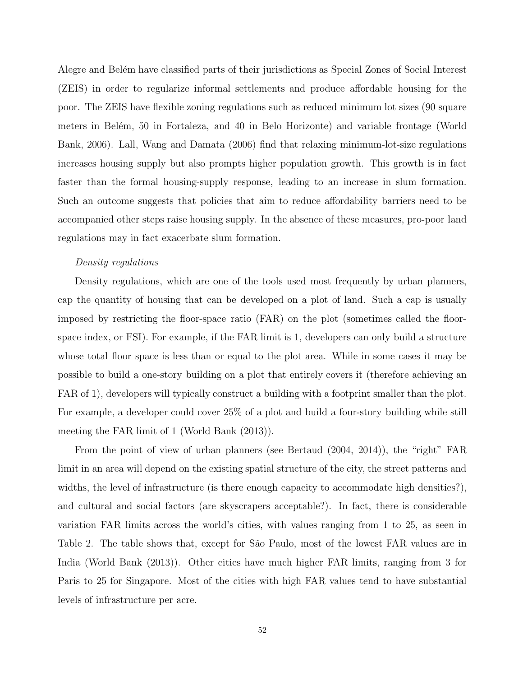Alegre and Belém have classified parts of their jurisdictions as Special Zones of Social Interest (ZEIS) in order to regularize informal settlements and produce affordable housing for the poor. The ZEIS have flexible zoning regulations such as reduced minimum lot sizes (90 square meters in Belém, 50 in Fortaleza, and 40 in Belo Horizonte) and variable frontage (World Bank, 2006). Lall, Wang and Damata (2006) find that relaxing minimum-lot-size regulations increases housing supply but also prompts higher population growth. This growth is in fact faster than the formal housing-supply response, leading to an increase in slum formation. Such an outcome suggests that policies that aim to reduce affordability barriers need to be accompanied other steps raise housing supply. In the absence of these measures, pro-poor land regulations may in fact exacerbate slum formation.

#### Density regulations

Density regulations, which are one of the tools used most frequently by urban planners, cap the quantity of housing that can be developed on a plot of land. Such a cap is usually imposed by restricting the floor-space ratio (FAR) on the plot (sometimes called the floorspace index, or FSI). For example, if the FAR limit is 1, developers can only build a structure whose total floor space is less than or equal to the plot area. While in some cases it may be possible to build a one-story building on a plot that entirely covers it (therefore achieving an FAR of 1), developers will typically construct a building with a footprint smaller than the plot. For example, a developer could cover 25% of a plot and build a four-story building while still meeting the FAR limit of 1 (World Bank (2013)).

From the point of view of urban planners (see Bertaud (2004, 2014)), the "right" FAR limit in an area will depend on the existing spatial structure of the city, the street patterns and widths, the level of infrastructure (is there enough capacity to accommodate high densities?), and cultural and social factors (are skyscrapers acceptable?). In fact, there is considerable variation FAR limits across the world's cities, with values ranging from 1 to 25, as seen in Table 2. The table shows that, except for São Paulo, most of the lowest FAR values are in India (World Bank (2013)). Other cities have much higher FAR limits, ranging from 3 for Paris to 25 for Singapore. Most of the cities with high FAR values tend to have substantial levels of infrastructure per acre.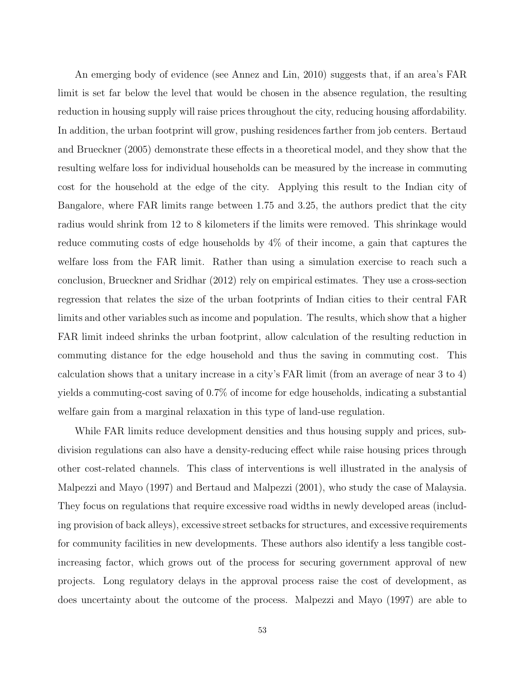An emerging body of evidence (see Annez and Lin, 2010) suggests that, if an area's FAR limit is set far below the level that would be chosen in the absence regulation, the resulting reduction in housing supply will raise prices throughout the city, reducing housing affordability. In addition, the urban footprint will grow, pushing residences farther from job centers. Bertaud and Brueckner (2005) demonstrate these effects in a theoretical model, and they show that the resulting welfare loss for individual households can be measured by the increase in commuting cost for the household at the edge of the city. Applying this result to the Indian city of Bangalore, where FAR limits range between 1.75 and 3.25, the authors predict that the city radius would shrink from 12 to 8 kilometers if the limits were removed. This shrinkage would reduce commuting costs of edge households by 4% of their income, a gain that captures the welfare loss from the FAR limit. Rather than using a simulation exercise to reach such a conclusion, Brueckner and Sridhar (2012) rely on empirical estimates. They use a cross-section regression that relates the size of the urban footprints of Indian cities to their central FAR limits and other variables such as income and population. The results, which show that a higher FAR limit indeed shrinks the urban footprint, allow calculation of the resulting reduction in commuting distance for the edge household and thus the saving in commuting cost. This calculation shows that a unitary increase in a city's FAR limit (from an average of near 3 to 4) yields a commuting-cost saving of 0.7% of income for edge households, indicating a substantial welfare gain from a marginal relaxation in this type of land-use regulation.

While FAR limits reduce development densities and thus housing supply and prices, subdivision regulations can also have a density-reducing effect while raise housing prices through other cost-related channels. This class of interventions is well illustrated in the analysis of Malpezzi and Mayo (1997) and Bertaud and Malpezzi (2001), who study the case of Malaysia. They focus on regulations that require excessive road widths in newly developed areas (including provision of back alleys), excessive street setbacks for structures, and excessive requirements for community facilities in new developments. These authors also identify a less tangible costincreasing factor, which grows out of the process for securing government approval of new projects. Long regulatory delays in the approval process raise the cost of development, as does uncertainty about the outcome of the process. Malpezzi and Mayo (1997) are able to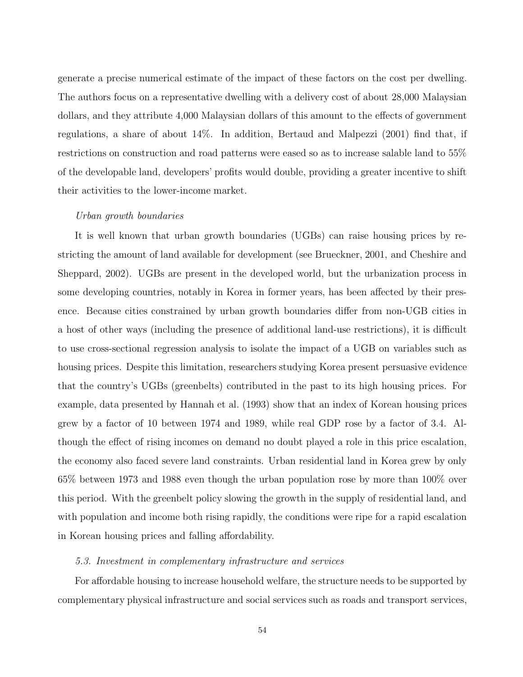generate a precise numerical estimate of the impact of these factors on the cost per dwelling. The authors focus on a representative dwelling with a delivery cost of about 28,000 Malaysian dollars, and they attribute 4,000 Malaysian dollars of this amount to the effects of government regulations, a share of about 14%. In addition, Bertaud and Malpezzi (2001) find that, if restrictions on construction and road patterns were eased so as to increase salable land to 55% of the developable land, developers' profits would double, providing a greater incentive to shift their activities to the lower-income market.

#### Urban growth boundaries

It is well known that urban growth boundaries (UGBs) can raise housing prices by restricting the amount of land available for development (see Brueckner, 2001, and Cheshire and Sheppard, 2002). UGBs are present in the developed world, but the urbanization process in some developing countries, notably in Korea in former years, has been affected by their presence. Because cities constrained by urban growth boundaries differ from non-UGB cities in a host of other ways (including the presence of additional land-use restrictions), it is difficult to use cross-sectional regression analysis to isolate the impact of a UGB on variables such as housing prices. Despite this limitation, researchers studying Korea present persuasive evidence that the country's UGBs (greenbelts) contributed in the past to its high housing prices. For example, data presented by Hannah et al. (1993) show that an index of Korean housing prices grew by a factor of 10 between 1974 and 1989, while real GDP rose by a factor of 3.4. Although the effect of rising incomes on demand no doubt played a role in this price escalation, the economy also faced severe land constraints. Urban residential land in Korea grew by only 65% between 1973 and 1988 even though the urban population rose by more than 100% over this period. With the greenbelt policy slowing the growth in the supply of residential land, and with population and income both rising rapidly, the conditions were ripe for a rapid escalation in Korean housing prices and falling affordability.

#### 5.3. Investment in complementary infrastructure and services

For affordable housing to increase household welfare, the structure needs to be supported by complementary physical infrastructure and social services such as roads and transport services,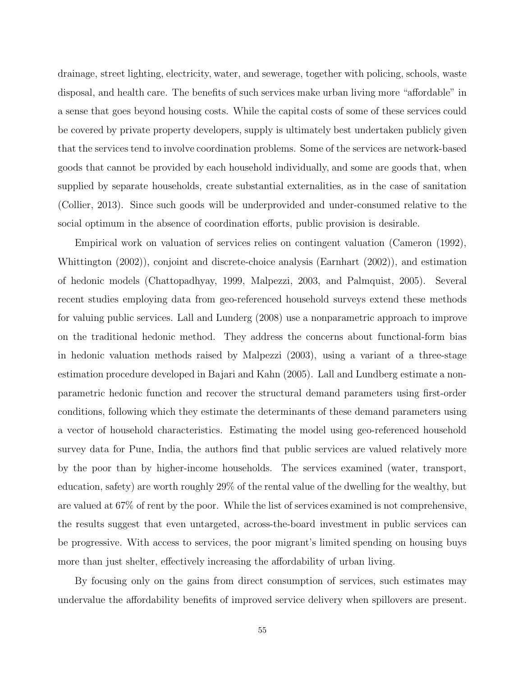drainage, street lighting, electricity, water, and sewerage, together with policing, schools, waste disposal, and health care. The benefits of such services make urban living more "affordable" in a sense that goes beyond housing costs. While the capital costs of some of these services could be covered by private property developers, supply is ultimately best undertaken publicly given that the services tend to involve coordination problems. Some of the services are network-based goods that cannot be provided by each household individually, and some are goods that, when supplied by separate households, create substantial externalities, as in the case of sanitation (Collier, 2013). Since such goods will be underprovided and under-consumed relative to the social optimum in the absence of coordination efforts, public provision is desirable.

Empirical work on valuation of services relies on contingent valuation (Cameron (1992), Whittington (2002)), conjoint and discrete-choice analysis (Earnhart (2002)), and estimation of hedonic models (Chattopadhyay, 1999, Malpezzi, 2003, and Palmquist, 2005). Several recent studies employing data from geo-referenced household surveys extend these methods for valuing public services. Lall and Lunderg (2008) use a nonparametric approach to improve on the traditional hedonic method. They address the concerns about functional-form bias in hedonic valuation methods raised by Malpezzi (2003), using a variant of a three-stage estimation procedure developed in Bajari and Kahn (2005). Lall and Lundberg estimate a nonparametric hedonic function and recover the structural demand parameters using first-order conditions, following which they estimate the determinants of these demand parameters using a vector of household characteristics. Estimating the model using geo-referenced household survey data for Pune, India, the authors find that public services are valued relatively more by the poor than by higher-income households. The services examined (water, transport, education, safety) are worth roughly 29% of the rental value of the dwelling for the wealthy, but are valued at 67% of rent by the poor. While the list of services examined is not comprehensive, the results suggest that even untargeted, across-the-board investment in public services can be progressive. With access to services, the poor migrant's limited spending on housing buys more than just shelter, effectively increasing the affordability of urban living.

By focusing only on the gains from direct consumption of services, such estimates may undervalue the affordability benefits of improved service delivery when spillovers are present.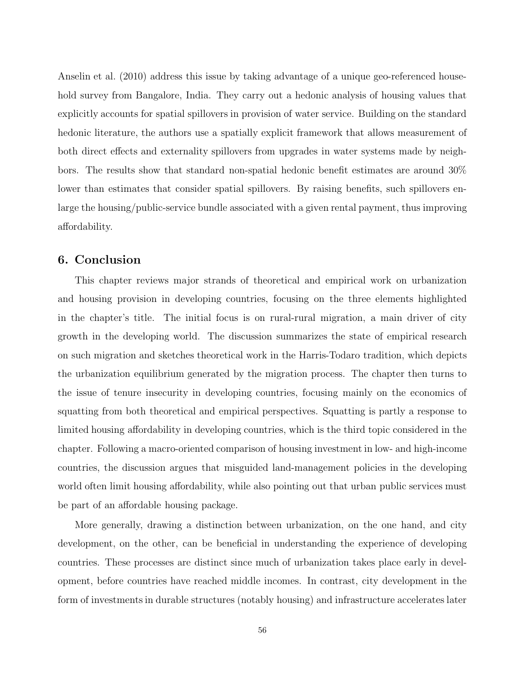Anselin et al. (2010) address this issue by taking advantage of a unique geo-referenced household survey from Bangalore, India. They carry out a hedonic analysis of housing values that explicitly accounts for spatial spillovers in provision of water service. Building on the standard hedonic literature, the authors use a spatially explicit framework that allows measurement of both direct effects and externality spillovers from upgrades in water systems made by neighbors. The results show that standard non-spatial hedonic benefit estimates are around 30% lower than estimates that consider spatial spillovers. By raising benefits, such spillovers enlarge the housing/public-service bundle associated with a given rental payment, thus improving affordability.

## 6. Conclusion

This chapter reviews major strands of theoretical and empirical work on urbanization and housing provision in developing countries, focusing on the three elements highlighted in the chapter's title. The initial focus is on rural-rural migration, a main driver of city growth in the developing world. The discussion summarizes the state of empirical research on such migration and sketches theoretical work in the Harris-Todaro tradition, which depicts the urbanization equilibrium generated by the migration process. The chapter then turns to the issue of tenure insecurity in developing countries, focusing mainly on the economics of squatting from both theoretical and empirical perspectives. Squatting is partly a response to limited housing affordability in developing countries, which is the third topic considered in the chapter. Following a macro-oriented comparison of housing investment in low- and high-income countries, the discussion argues that misguided land-management policies in the developing world often limit housing affordability, while also pointing out that urban public services must be part of an affordable housing package.

More generally, drawing a distinction between urbanization, on the one hand, and city development, on the other, can be beneficial in understanding the experience of developing countries. These processes are distinct since much of urbanization takes place early in development, before countries have reached middle incomes. In contrast, city development in the form of investments in durable structures (notably housing) and infrastructure accelerates later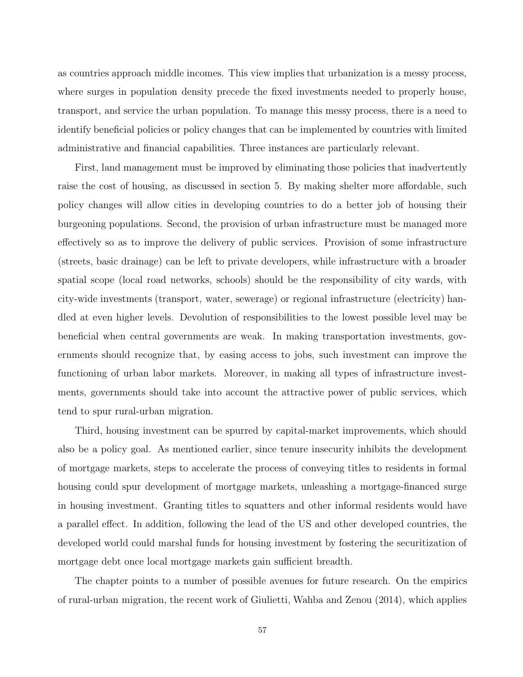as countries approach middle incomes. This view implies that urbanization is a messy process, where surges in population density precede the fixed investments needed to properly house, transport, and service the urban population. To manage this messy process, there is a need to identify beneficial policies or policy changes that can be implemented by countries with limited administrative and financial capabilities. Three instances are particularly relevant.

First, land management must be improved by eliminating those policies that inadvertently raise the cost of housing, as discussed in section 5. By making shelter more affordable, such policy changes will allow cities in developing countries to do a better job of housing their burgeoning populations. Second, the provision of urban infrastructure must be managed more effectively so as to improve the delivery of public services. Provision of some infrastructure (streets, basic drainage) can be left to private developers, while infrastructure with a broader spatial scope (local road networks, schools) should be the responsibility of city wards, with city-wide investments (transport, water, sewerage) or regional infrastructure (electricity) handled at even higher levels. Devolution of responsibilities to the lowest possible level may be beneficial when central governments are weak. In making transportation investments, governments should recognize that, by easing access to jobs, such investment can improve the functioning of urban labor markets. Moreover, in making all types of infrastructure investments, governments should take into account the attractive power of public services, which tend to spur rural-urban migration.

Third, housing investment can be spurred by capital-market improvements, which should also be a policy goal. As mentioned earlier, since tenure insecurity inhibits the development of mortgage markets, steps to accelerate the process of conveying titles to residents in formal housing could spur development of mortgage markets, unleashing a mortgage-financed surge in housing investment. Granting titles to squatters and other informal residents would have a parallel effect. In addition, following the lead of the US and other developed countries, the developed world could marshal funds for housing investment by fostering the securitization of mortgage debt once local mortgage markets gain sufficient breadth.

The chapter points to a number of possible avenues for future research. On the empirics of rural-urban migration, the recent work of Giulietti, Wahba and Zenou (2014), which applies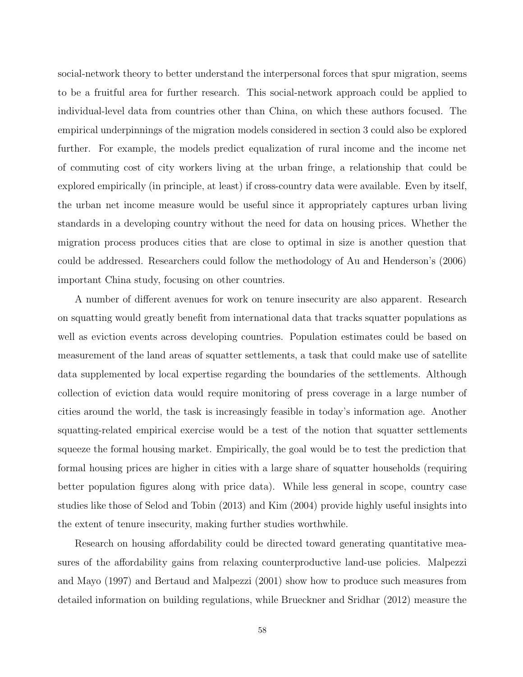social-network theory to better understand the interpersonal forces that spur migration, seems to be a fruitful area for further research. This social-network approach could be applied to individual-level data from countries other than China, on which these authors focused. The empirical underpinnings of the migration models considered in section 3 could also be explored further. For example, the models predict equalization of rural income and the income net of commuting cost of city workers living at the urban fringe, a relationship that could be explored empirically (in principle, at least) if cross-country data were available. Even by itself, the urban net income measure would be useful since it appropriately captures urban living standards in a developing country without the need for data on housing prices. Whether the migration process produces cities that are close to optimal in size is another question that could be addressed. Researchers could follow the methodology of Au and Henderson's (2006) important China study, focusing on other countries.

A number of different avenues for work on tenure insecurity are also apparent. Research on squatting would greatly benefit from international data that tracks squatter populations as well as eviction events across developing countries. Population estimates could be based on measurement of the land areas of squatter settlements, a task that could make use of satellite data supplemented by local expertise regarding the boundaries of the settlements. Although collection of eviction data would require monitoring of press coverage in a large number of cities around the world, the task is increasingly feasible in today's information age. Another squatting-related empirical exercise would be a test of the notion that squatter settlements squeeze the formal housing market. Empirically, the goal would be to test the prediction that formal housing prices are higher in cities with a large share of squatter households (requiring better population figures along with price data). While less general in scope, country case studies like those of Selod and Tobin (2013) and Kim (2004) provide highly useful insights into the extent of tenure insecurity, making further studies worthwhile.

Research on housing affordability could be directed toward generating quantitative measures of the affordability gains from relaxing counterproductive land-use policies. Malpezzi and Mayo (1997) and Bertaud and Malpezzi (2001) show how to produce such measures from detailed information on building regulations, while Brueckner and Sridhar (2012) measure the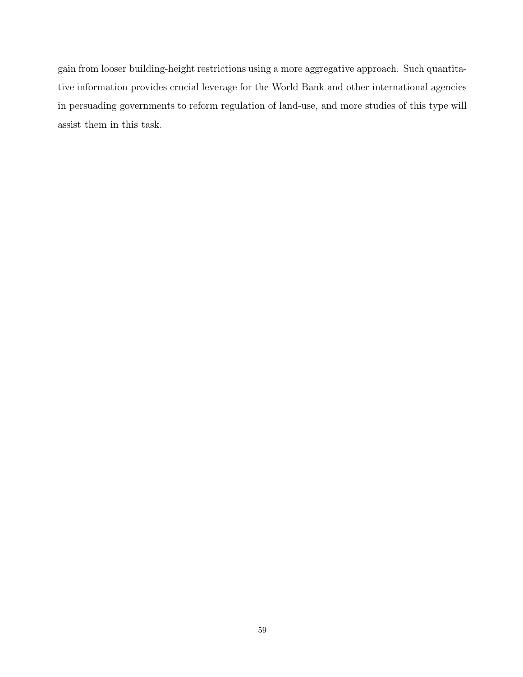gain from looser building-height restrictions using a more aggregative approach. Such quantitative information provides crucial leverage for the World Bank and other international agencies in persuading governments to reform regulation of land-use, and more studies of this type will assist them in this task.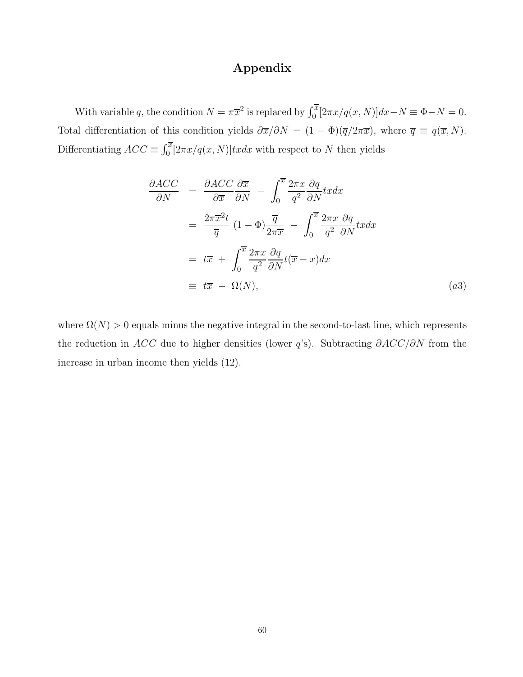# Appendix

With variable q, the condition  $N = \pi \overline{x}^2$  is replaced by  $\int_0^{\overline{x}} [2\pi x/q(x, N)] dx - N \equiv \Phi - N = 0$ . Total differentiation of this condition yields  $\partial \overline{x}/\partial N = (1 - \Phi)(\overline{q}/2\pi \overline{x})$ , where  $\overline{q} \equiv q(\overline{x}, N)$ . Differentiating  $ACC \equiv \int_0^{\overline{x}} [2\pi x/q(x,N)]txdx$  with respect to N then yields

$$
\frac{\partial ACC}{\partial N} = \frac{\partial ACC}{\partial \overline{x}} \frac{\partial \overline{x}}{\partial N} - \int_0^{\overline{x}} \frac{2\pi x}{q^2} \frac{\partial q}{\partial N} t x dx
$$
  
\n
$$
= \frac{2\pi \overline{x}^2 t}{\overline{q}} (1 - \Phi) \frac{\overline{q}}{2\pi \overline{x}} - \int_0^{\overline{x}} \frac{2\pi x}{q^2} \frac{\partial q}{\partial N} t x dx
$$
  
\n
$$
= t\overline{x} + \int_0^{\overline{x}} \frac{2\pi x}{q^2} \frac{\partial q}{\partial N} t (\overline{x} - x) dx
$$
  
\n
$$
\equiv t\overline{x} - \Omega(N), \qquad (a3)
$$

where  $\Omega(N) > 0$  equals minus the negative integral in the second-to-last line, which represents the reduction in ACC due to higher densities (lower q's). Subtracting  $\partial ACC/\partial N$  from the increase in urban income then yields (12).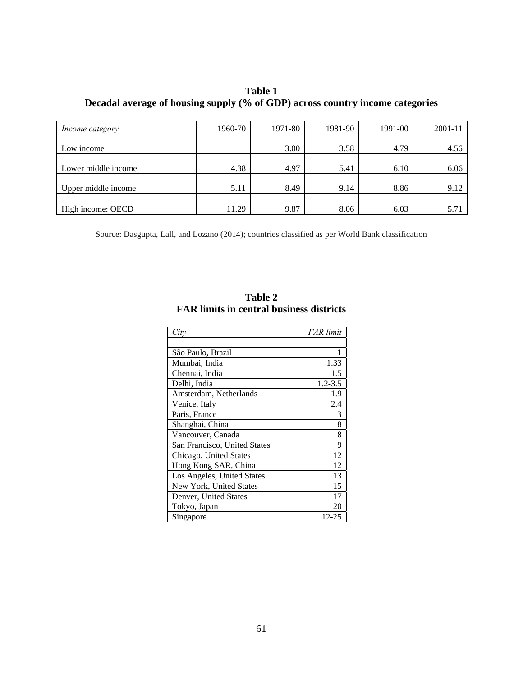**Table 1 Decadal average of housing supply (% of GDP) across country income categories** 

| Income category     | 1960-70 | 1971-80 | 1981-90 | 1991-00 | 2001-11 |
|---------------------|---------|---------|---------|---------|---------|
| Low income          |         | 3.00    | 3.58    | 4.79    | 4.56    |
| Lower middle income | 4.38    | 4.97    | 5.41    | 6.10    | 6.06    |
| Upper middle income | 5.11    | 8.49    | 9.14    | 8.86    | 9.12    |
| High income: OECD   | 11.29   | 9.87    | 8.06    | 6.03    | 5.71    |

Source: Dasgupta, Lall, and Lozano (2014); countries classified as per World Bank classification

| City                         | FAR limit   |
|------------------------------|-------------|
|                              |             |
| São Paulo, Brazil            |             |
| Mumbai, India                | 1.33        |
| Chennai, India               | 1.5         |
| Delhi, India                 | $1.2 - 3.5$ |
| Amsterdam, Netherlands       | 1.9         |
| Venice, Italy                | 2.4         |
| Paris, France                | 3           |
| Shanghai, China              | 8           |
| Vancouver, Canada            | 8           |
| San Francisco, United States | 9           |
| Chicago, United States       | 12          |
| Hong Kong SAR, China         | 12          |
| Los Angeles, United States   | 13          |
| New York, United States      | 15          |
| Denver, United States        | 17          |
| Tokyo, Japan                 | 20          |
| Singapore                    | 12-25       |

**Table 2 FAR limits in central business districts**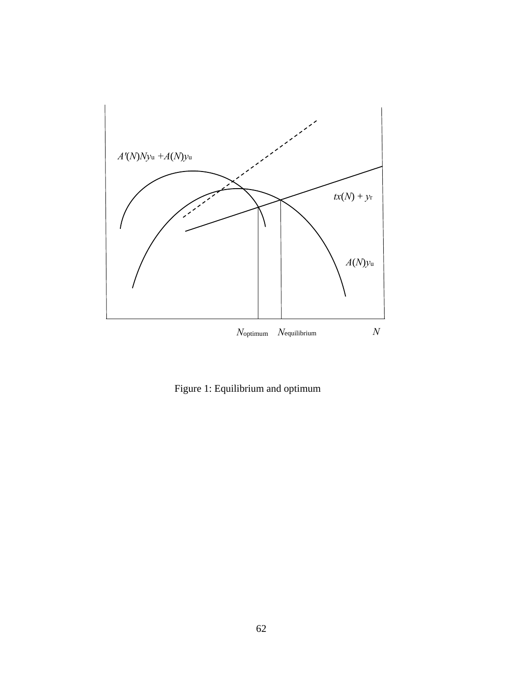

Figure 1: Equilibrium and optimum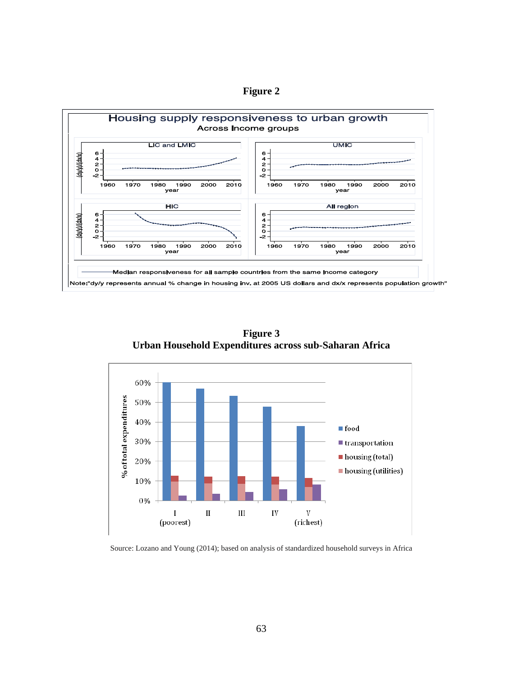**Figure 2** 



**Figure 3 Urban Household Expenditures across sub-Saharan Africa** 



Source: Lozano and Young (2014); based on analysis of standardized household surveys in Africa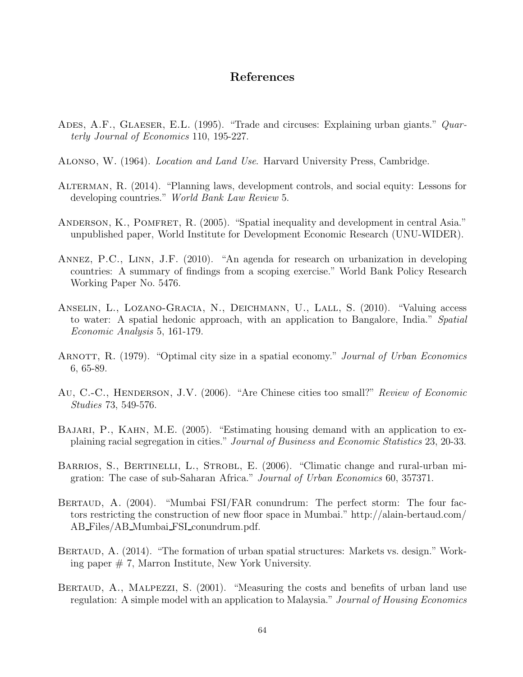## References

- ADES, A.F., GLAESER, E.L. (1995). "Trade and circuses: Explaining urban giants." *Quar*terly Journal of Economics 110, 195-227.
- Alonso, W. (1964). Location and Land Use. Harvard University Press, Cambridge.
- Alterman, R. (2014). "Planning laws, development controls, and social equity: Lessons for developing countries." World Bank Law Review 5.
- ANDERSON, K., POMFRET, R. (2005). "Spatial inequality and development in central Asia." unpublished paper, World Institute for Development Economic Research (UNU-WIDER).
- Annez, P.C., Linn, J.F. (2010). "An agenda for research on urbanization in developing countries: A summary of findings from a scoping exercise." World Bank Policy Research Working Paper No. 5476.
- ANSELIN, L., LOZANO-GRACIA, N., DEICHMANN, U., LALL, S. (2010). "Valuing access to water: A spatial hedonic approach, with an application to Bangalore, India." Spatial Economic Analysis 5, 161-179.
- ARNOTT, R. (1979). "Optimal city size in a spatial economy." Journal of Urban Economics 6, 65-89.
- Au, C.-C., HENDERSON, J.V. (2006). "Are Chinese cities too small?" Review of Economic Studies 73, 549-576.
- BAJARI, P., KAHN, M.E. (2005). "Estimating housing demand with an application to explaining racial segregation in cities." Journal of Business and Economic Statistics 23, 20-33.
- BARRIOS, S., BERTINELLI, L., STROBL, E. (2006). "Climatic change and rural-urban migration: The case of sub-Saharan Africa." Journal of Urban Economics 60, 357371.
- BERTAUD, A. (2004). "Mumbai FSI/FAR conundrum: The perfect storm: The four factors restricting the construction of new floor space in Mumbai." http://alain-bertaud.com/ AB Files/AB Mumbai FSI conundrum.pdf.
- BERTAUD, A. (2014). "The formation of urban spatial structures: Markets vs. design." Working paper  $# 7$ , Marron Institute, New York University.
- BERTAUD, A., MALPEZZI, S. (2001). "Measuring the costs and benefits of urban land use regulation: A simple model with an application to Malaysia." Journal of Housing Economics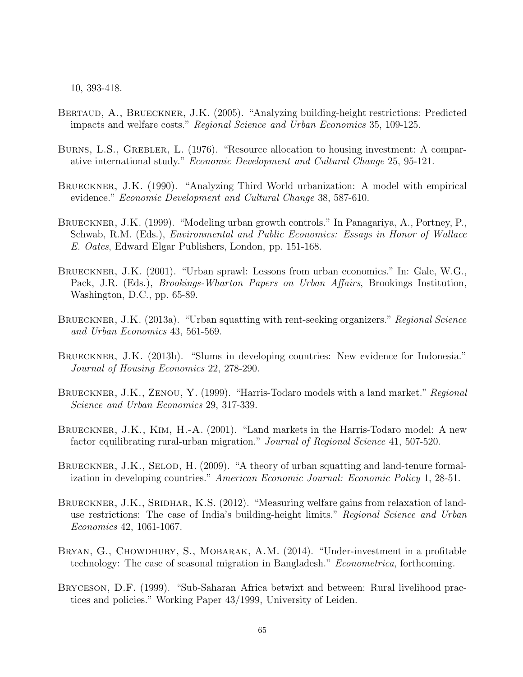10, 393-418.

- BERTAUD, A., BRUECKNER, J.K. (2005). "Analyzing building-height restrictions: Predicted impacts and welfare costs." Regional Science and Urban Economics 35, 109-125.
- BURNS, L.S., GREBLER, L. (1976). "Resource allocation to housing investment: A comparative international study." Economic Development and Cultural Change 25, 95-121.
- Brueckner, J.K. (1990). "Analyzing Third World urbanization: A model with empirical evidence." Economic Development and Cultural Change 38, 587-610.
- Brueckner, J.K. (1999). "Modeling urban growth controls." In Panagariya, A., Portney, P., Schwab, R.M. (Eds.), Environmental and Public Economics: Essays in Honor of Wallace E. Oates, Edward Elgar Publishers, London, pp. 151-168.
- Brueckner, J.K. (2001). "Urban sprawl: Lessons from urban economics." In: Gale, W.G., Pack, J.R. (Eds.), Brookings-Wharton Papers on Urban Affairs, Brookings Institution, Washington, D.C., pp. 65-89.
- BRUECKNER, J.K. (2013a). "Urban squatting with rent-seeking organizers." Regional Science and Urban Economics 43, 561-569.
- Brueckner, J.K. (2013b). "Slums in developing countries: New evidence for Indonesia." Journal of Housing Economics 22, 278-290.
- BRUECKNER, J.K., ZENOU, Y. (1999). "Harris-Todaro models with a land market." Regional Science and Urban Economics 29, 317-339.
- Brueckner, J.K., Kim, H.-A. (2001). "Land markets in the Harris-Todaro model: A new factor equilibrating rural-urban migration." Journal of Regional Science 41, 507-520.
- BRUECKNER, J.K., SELOD, H. (2009). "A theory of urban squatting and land-tenure formalization in developing countries." American Economic Journal: Economic Policy 1, 28-51.
- BRUECKNER, J.K., SRIDHAR, K.S. (2012). "Measuring welfare gains from relaxation of landuse restrictions: The case of India's building-height limits." Regional Science and Urban Economics 42, 1061-1067.
- BRYAN, G., CHOWDHURY, S., MOBARAK, A.M. (2014). "Under-investment in a profitable technology: The case of seasonal migration in Bangladesh." Econometrica, forthcoming.
- Bryceson, D.F. (1999). "Sub-Saharan Africa betwixt and between: Rural livelihood practices and policies." Working Paper 43/1999, University of Leiden.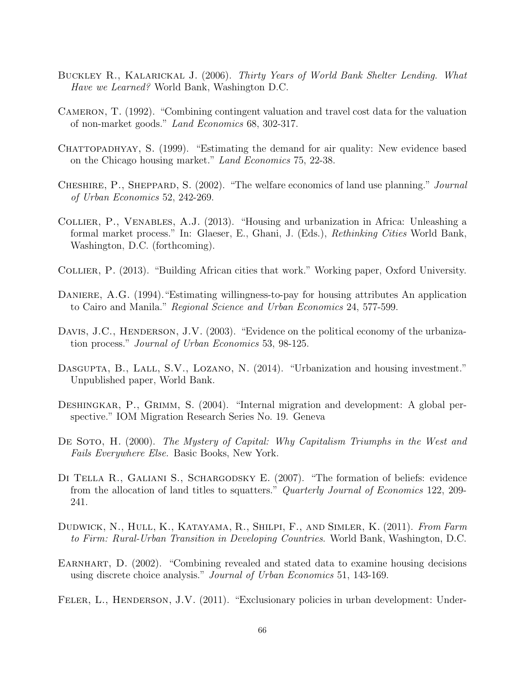- BUCKLEY R., KALARICKAL J. (2006). Thirty Years of World Bank Shelter Lending. What Have we Learned? World Bank, Washington D.C.
- Cameron, T. (1992). "Combining contingent valuation and travel cost data for the valuation of non-market goods." Land Economics 68, 302-317.
- CHATTOPADHYAY, S. (1999). "Estimating the demand for air quality: New evidence based on the Chicago housing market." Land Economics 75, 22-38.
- CHESHIRE, P., SHEPPARD, S. (2002). "The welfare economics of land use planning." *Journal* of Urban Economics 52, 242-269.
- Collier, P., Venables, A.J. (2013). "Housing and urbanization in Africa: Unleashing a formal market process." In: Glaeser, E., Ghani, J. (Eds.), Rethinking Cities World Bank, Washington, D.C. (forthcoming).
- Collier, P. (2013). "Building African cities that work." Working paper, Oxford University.
- DANIERE, A.G. (1994). "Estimating willingness-to-pay for housing attributes An application to Cairo and Manila." Regional Science and Urban Economics 24, 577-599.
- DAVIS, J.C., HENDERSON, J.V. (2003). "Evidence on the political economy of the urbanization process." Journal of Urban Economics 53, 98-125.
- DASGUPTA, B., LALL, S.V., LOZANO, N. (2014). "Urbanization and housing investment." Unpublished paper, World Bank.
- Deshingkar, P., Grimm, S. (2004). "Internal migration and development: A global perspective." IOM Migration Research Series No. 19. Geneva
- DE SOTO, H. (2000). The Mystery of Capital: Why Capitalism Triumphs in the West and Fails Everywhere Else. Basic Books, New York.
- DI TELLA R., GALIANI S., SCHARGODSKY E. (2007). "The formation of beliefs: evidence from the allocation of land titles to squatters." Quarterly Journal of Economics 122, 209- 241.
- DUDWICK, N., HULL, K., KATAYAMA, R., SHILPI, F., AND SIMLER, K. (2011). From Farm to Firm: Rural-Urban Transition in Developing Countries. World Bank, Washington, D.C.
- EARNHART, D. (2002). "Combining revealed and stated data to examine housing decisions using discrete choice analysis." Journal of Urban Economics 51, 143-169.

FELER, L., HENDERSON, J.V. (2011). "Exclusionary policies in urban development: Under-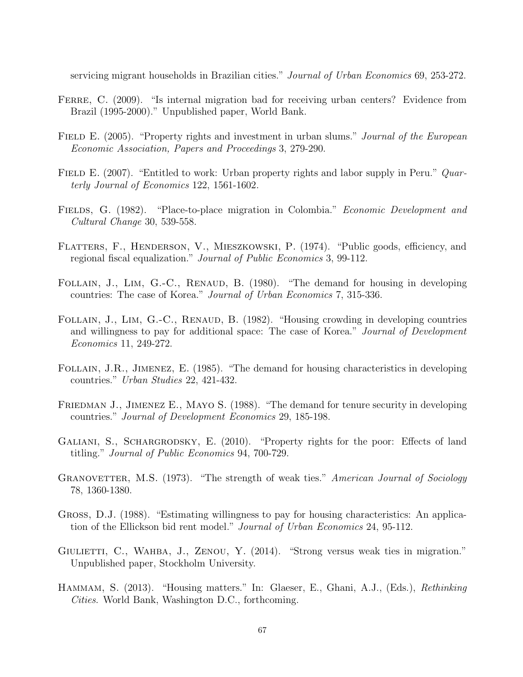servicing migrant households in Brazilian cities." *Journal of Urban Economics* 69, 253-272.

- FERRE, C. (2009). "Is internal migration bad for receiving urban centers? Evidence from Brazil (1995-2000)." Unpublished paper, World Bank.
- FIELD E. (2005). "Property rights and investment in urban slums." Journal of the European Economic Association, Papers and Proceedings 3, 279-290.
- FIELD E. (2007). "Entitled to work: Urban property rights and labor supply in Peru." *Quar*terly Journal of Economics 122, 1561-1602.
- FIELDS, G. (1982). "Place-to-place migration in Colombia." *Economic Development and* Cultural Change 30, 539-558.
- FLATTERS, F., HENDERSON, V., MIESZKOWSKI, P. (1974). "Public goods, efficiency, and regional fiscal equalization." Journal of Public Economics 3, 99-112.
- FOLLAIN, J., LIM, G.-C., RENAUD, B. (1980). "The demand for housing in developing countries: The case of Korea." Journal of Urban Economics 7, 315-336.
- FOLLAIN, J., LIM, G.-C., RENAUD, B. (1982). "Housing crowding in developing countries and willingness to pay for additional space: The case of Korea." Journal of Development Economics 11, 249-272.
- Follain, J.R., Jimenez, E. (1985). "The demand for housing characteristics in developing countries." Urban Studies 22, 421-432.
- FRIEDMAN J., JIMENEZ E., MAYO S. (1988). "The demand for tenure security in developing countries." Journal of Development Economics 29, 185-198.
- GALIANI, S., SCHARGRODSKY, E. (2010). "Property rights for the poor: Effects of land titling." Journal of Public Economics 94, 700-729.
- GRANOVETTER, M.S. (1973). "The strength of weak ties." American Journal of Sociology 78, 1360-1380.
- Gross, D.J. (1988). "Estimating willingness to pay for housing characteristics: An application of the Ellickson bid rent model." Journal of Urban Economics 24, 95-112.
- GIULIETTI, C., WAHBA, J., ZENOU, Y. (2014). "Strong versus weak ties in migration." Unpublished paper, Stockholm University.
- Hammam, S. (2013). "Housing matters." In: Glaeser, E., Ghani, A.J., (Eds.), Rethinking Cities. World Bank, Washington D.C., forthcoming.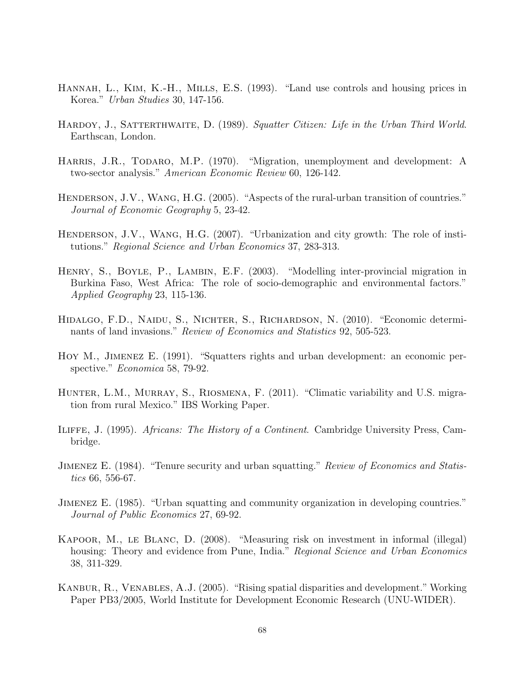- Hannah, L., Kim, K.-H., Mills, E.S. (1993). "Land use controls and housing prices in Korea." Urban Studies 30, 147-156.
- HARDOY, J., SATTERTHWAITE, D. (1989). Squatter Citizen: Life in the Urban Third World. Earthscan, London.
- HARRIS, J.R., TODARO, M.P. (1970). "Migration, unemployment and development: A two-sector analysis." American Economic Review 60, 126-142.
- HENDERSON, J.V., WANG, H.G. (2005). "Aspects of the rural-urban transition of countries." Journal of Economic Geography 5, 23-42.
- HENDERSON, J.V., WANG, H.G. (2007). "Urbanization and city growth: The role of institutions." Regional Science and Urban Economics 37, 283-313.
- HENRY, S., BOYLE, P., LAMBIN, E.F. (2003). "Modelling inter-provincial migration in Burkina Faso, West Africa: The role of socio-demographic and environmental factors." Applied Geography 23, 115-136.
- HIDALGO, F.D., NAIDU, S., NICHTER, S., RICHARDSON, N. (2010). "Economic determinants of land invasions." Review of Economics and Statistics 92, 505-523.
- Hoy M., Jimenez E. (1991). "Squatters rights and urban development: an economic perspective." *Economica* 58, 79-92.
- HUNTER, L.M., MURRAY, S., RIOSMENA, F. (2011). "Climatic variability and U.S. migration from rural Mexico." IBS Working Paper.
- Iliffe, J. (1995). Africans: The History of a Continent. Cambridge University Press, Cambridge.
- JIMENEZ E. (1984). "Tenure security and urban squatting." Review of Economics and Statistics 66, 556-67.
- Jimenez E. (1985). "Urban squatting and community organization in developing countries." Journal of Public Economics 27, 69-92.
- Kapoor, M., le Blanc, D. (2008). "Measuring risk on investment in informal (illegal) housing: Theory and evidence from Pune, India." Regional Science and Urban Economics 38, 311-329.
- Kanbur, R., Venables, A.J. (2005). "Rising spatial disparities and development." Working Paper PB3/2005, World Institute for Development Economic Research (UNU-WIDER).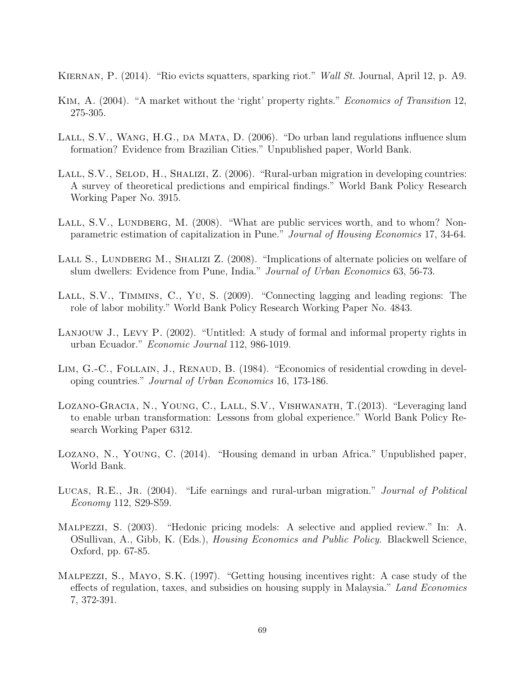- KIERNAN, P. (2014). "Rio evicts squatters, sparking riot." Wall St. Journal, April 12, p. A9.
- Kim, A. (2004). "A market without the 'right' property rights." Economics of Transition 12, 275-305.
- LALL, S.V., WANG, H.G., DA MATA, D. (2006). "Do urban land regulations influence slum formation? Evidence from Brazilian Cities." Unpublished paper, World Bank.
- LALL, S.V., SELOD, H., SHALIZI, Z. (2006). "Rural-urban migration in developing countries: A survey of theoretical predictions and empirical findings." World Bank Policy Research Working Paper No. 3915.
- LALL, S.V., LUNDBERG, M. (2008). "What are public services worth, and to whom? Nonparametric estimation of capitalization in Pune." Journal of Housing Economics 17, 34-64.
- LALL S., LUNDBERG M., SHALIZI Z. (2008). "Implications of alternate policies on welfare of slum dwellers: Evidence from Pune, India." Journal of Urban Economics 63, 56-73.
- LALL, S.V., TIMMINS, C., YU, S. (2009). "Connecting lagging and leading regions: The role of labor mobility." World Bank Policy Research Working Paper No. 4843.
- LANJOUW J., LEVY P. (2002). "Untitled: A study of formal and informal property rights in urban Ecuador." Economic Journal 112, 986-1019.
- LIM, G.-C., FOLLAIN, J., RENAUD, B. (1984). "Economics of residential crowding in developing countries." Journal of Urban Economics 16, 173-186.
- Lozano-Gracia, N., Young, C., Lall, S.V., Vishwanath, T.(2013). "Leveraging land to enable urban transformation: Lessons from global experience." World Bank Policy Research Working Paper 6312.
- Lozano, N., Young, C. (2014). "Housing demand in urban Africa." Unpublished paper, World Bank.
- LUCAS, R.E., JR. (2004). "Life earnings and rural-urban migration." Journal of Political Economy 112, S29-S59.
- Malpezzi, S. (2003). "Hedonic pricing models: A selective and applied review." In: A. OSullivan, A., Gibb, K. (Eds.), Housing Economics and Public Policy. Blackwell Science, Oxford, pp. 67-85.
- Malpezzi, S., Mayo, S.K. (1997). "Getting housing incentives right: A case study of the effects of regulation, taxes, and subsidies on housing supply in Malaysia." Land Economics 7, 372-391.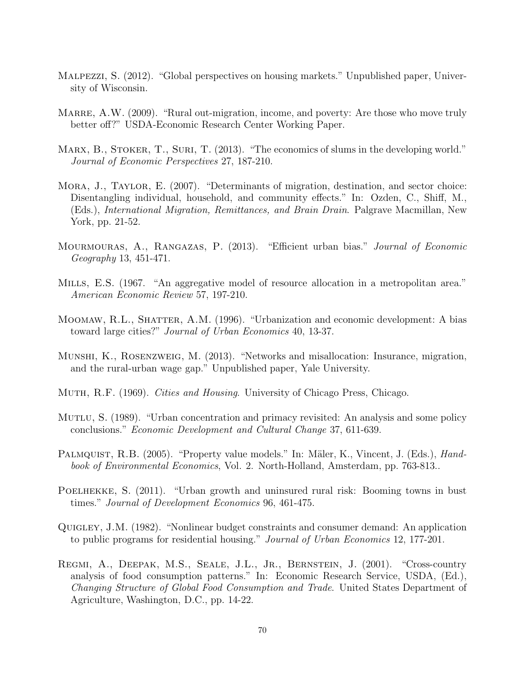- Malpezzi, S. (2012). "Global perspectives on housing markets." Unpublished paper, University of Wisconsin.
- MARRE, A.W. (2009). "Rural out-migration, income, and poverty: Are those who move truly better off?" USDA-Economic Research Center Working Paper.
- MARX, B., STOKER, T., SURI, T. (2013). "The economics of slums in the developing world." Journal of Economic Perspectives 27, 187-210.
- Mora, J., Taylor, E. (2007). "Determinants of migration, destination, and sector choice: Disentangling individual, household, and community effects." In: Ozden, C., Shiff, M., (Eds.), International Migration, Remittances, and Brain Drain. Palgrave Macmillan, New York, pp. 21-52.
- Mourmouras, A., Rangazas, P. (2013). "Efficient urban bias." Journal of Economic Geography 13, 451-471.
- Mills, E.S. (1967. "An aggregative model of resource allocation in a metropolitan area." American Economic Review 57, 197-210.
- MOOMAW, R.L., SHATTER, A.M. (1996). "Urbanization and economic development: A bias toward large cities?" Journal of Urban Economics 40, 13-37.
- Munshi, K., Rosenzweig, M. (2013). "Networks and misallocation: Insurance, migration, and the rural-urban wage gap." Unpublished paper, Yale University.
- MUTH, R.F. (1969). *Cities and Housing*. University of Chicago Press, Chicago.
- MUTLU, S. (1989). "Urban concentration and primacy revisited: An analysis and some policy conclusions." Economic Development and Cultural Change 37, 611-639.
- PALMQUIST, R.B. (2005). "Property value models." In: Mäler, K., Vincent, J. (Eds.), *Hand*book of Environmental Economics, Vol. 2. North-Holland, Amsterdam, pp. 763-813..
- POELHEKKE, S. (2011). "Urban growth and uninsured rural risk: Booming towns in bust times." Journal of Development Economics 96, 461-475.
- Quigley, J.M. (1982). "Nonlinear budget constraints and consumer demand: An application to public programs for residential housing." Journal of Urban Economics 12, 177-201.
- REGMI, A., DEEPAK, M.S., SEALE, J.L., JR., BERNSTEIN, J. (2001). "Cross-country analysis of food consumption patterns." In: Economic Research Service, USDA, (Ed.), Changing Structure of Global Food Consumption and Trade. United States Department of Agriculture, Washington, D.C., pp. 14-22.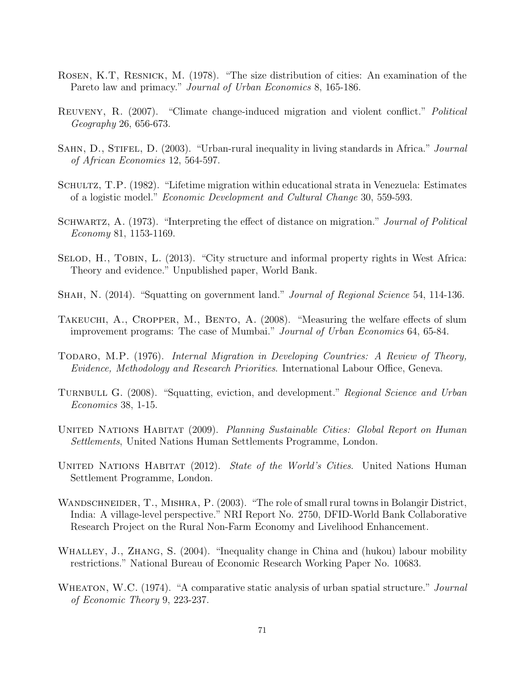- Rosen, K.T, Resnick, M. (1978). "The size distribution of cities: An examination of the Pareto law and primacy." *Journal of Urban Economics* 8, 165-186.
- Reuveny, R. (2007). "Climate change-induced migration and violent conflict." Political Geography 26, 656-673.
- SAHN, D., STIFEL, D. (2003). "Urban-rural inequality in living standards in Africa." Journal of African Economies 12, 564-597.
- Schultz, T.P. (1982). "Lifetime migration within educational strata in Venezuela: Estimates of a logistic model." Economic Development and Cultural Change 30, 559-593.
- SCHWARTZ, A. (1973). "Interpreting the effect of distance on migration." Journal of Political Economy 81, 1153-1169.
- SELOD, H., TOBIN, L. (2013). "City structure and informal property rights in West Africa: Theory and evidence." Unpublished paper, World Bank.
- SHAH, N. (2014). "Squatting on government land." *Journal of Regional Science* 54, 114-136.
- TAKEUCHI, A., CROPPER, M., BENTO, A. (2008). "Measuring the welfare effects of slum improvement programs: The case of Mumbai." Journal of Urban Economics 64, 65-84.
- Todaro, M.P. (1976). Internal Migration in Developing Countries: A Review of Theory, Evidence, Methodology and Research Priorities. International Labour Office, Geneva.
- TURNBULL G. (2008). "Squatting, eviction, and development." Regional Science and Urban Economics 38, 1-15.
- UNITED NATIONS HABITAT (2009). Planning Sustainable Cities: Global Report on Human Settlements, United Nations Human Settlements Programme, London.
- UNITED NATIONS HABITAT (2012). State of the World's Cities. United Nations Human Settlement Programme, London.
- WANDSCHNEIDER, T., MISHRA, P. (2003). "The role of small rural towns in Bolangir District, India: A village-level perspective." NRI Report No. 2750, DFID-World Bank Collaborative Research Project on the Rural Non-Farm Economy and Livelihood Enhancement.
- WHALLEY, J., ZHANG, S. (2004). "Inequality change in China and (hukou) labour mobility restrictions." National Bureau of Economic Research Working Paper No. 10683.
- WHEATON, W.C. (1974). "A comparative static analysis of urban spatial structure." *Journal* of Economic Theory 9, 223-237.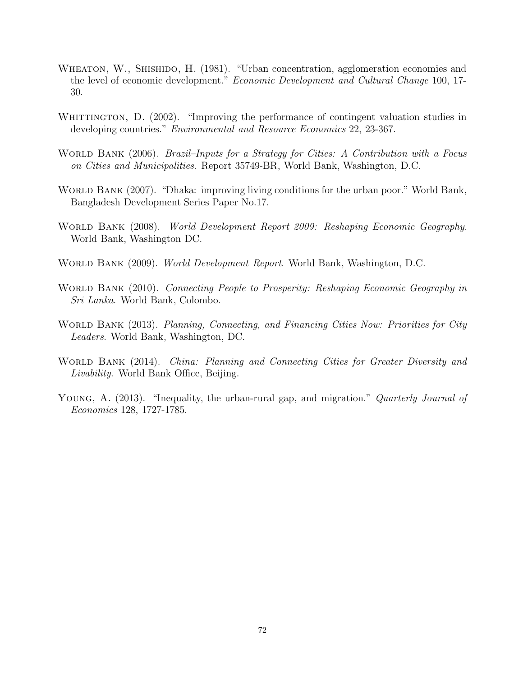- WHEATON, W., SHISHIDO, H. (1981). "Urban concentration, agglomeration economies and the level of economic development." Economic Development and Cultural Change 100, 17- 30.
- WHITTINGTON, D. (2002). "Improving the performance of contingent valuation studies in developing countries." Environmental and Resource Economics 22, 23-367.
- WORLD BANK (2006). *Brazil–Inputs for a Strategy for Cities: A Contribution with a Focus* on Cities and Municipalities. Report 35749-BR, World Bank, Washington, D.C.
- WORLD BANK (2007). "Dhaka: improving living conditions for the urban poor." World Bank, Bangladesh Development Series Paper No.17.
- World Bank (2008). World Development Report 2009: Reshaping Economic Geography. World Bank, Washington DC.
- World Bank (2009). World Development Report. World Bank, Washington, D.C.
- WORLD BANK (2010). Connecting People to Prosperity: Reshaping Economic Geography in Sri Lanka. World Bank, Colombo.
- WORLD BANK (2013). Planning, Connecting, and Financing Cities Now: Priorities for City Leaders. World Bank, Washington, DC.
- WORLD BANK (2014). China: Planning and Connecting Cities for Greater Diversity and Livability. World Bank Office, Beijing.
- YOUNG, A. (2013). "Inequality, the urban-rural gap, and migration." *Quarterly Journal of* Economics 128, 1727-1785.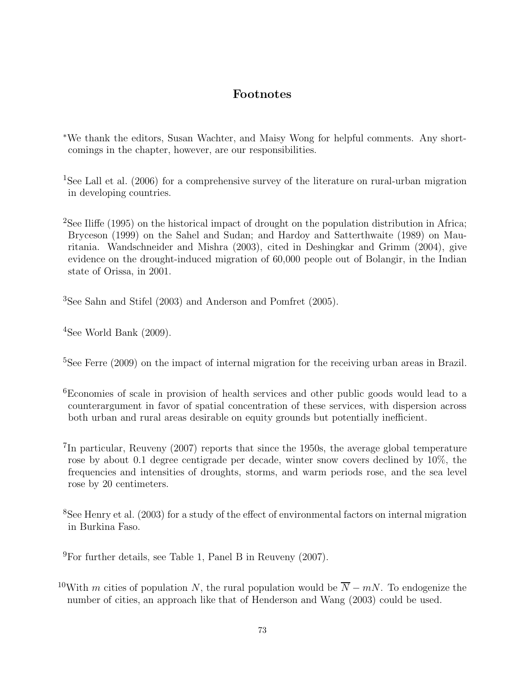## Footnotes

- <sup>∗</sup>We thank the editors, Susan Wachter, and Maisy Wong for helpful comments. Any shortcomings in the chapter, however, are our responsibilities.
- <sup>1</sup>See Lall et al. (2006) for a comprehensive survey of the literature on rural-urban migration in developing countries.
- <sup>2</sup>See Iliffe (1995) on the historical impact of drought on the population distribution in Africa; Bryceson (1999) on the Sahel and Sudan; and Hardoy and Satterthwaite (1989) on Mauritania. Wandschneider and Mishra (2003), cited in Deshingkar and Grimm (2004), give evidence on the drought-induced migration of 60,000 people out of Bolangir, in the Indian state of Orissa, in 2001.

<sup>3</sup>See Sahn and Stifel (2003) and Anderson and Pomfret (2005).

 $4$ See World Bank (2009).

<sup>5</sup>See Ferre (2009) on the impact of internal migration for the receiving urban areas in Brazil.

- <sup>6</sup>Economies of scale in provision of health services and other public goods would lead to a counterargument in favor of spatial concentration of these services, with dispersion across both urban and rural areas desirable on equity grounds but potentially inefficient.
- <sup>7</sup>In particular, Reuveny (2007) reports that since the 1950s, the average global temperature rose by about 0.1 degree centigrade per decade, winter snow covers declined by 10%, the frequencies and intensities of droughts, storms, and warm periods rose, and the sea level rose by 20 centimeters.
- <sup>8</sup>See Henry et al. (2003) for a study of the effect of environmental factors on internal migration in Burkina Faso.

 $^{9}$ For further details, see Table 1, Panel B in Reuveny (2007).

<sup>10</sup>With m cities of population N, the rural population would be  $\overline{N} - mN$ . To endogenize the number of cities, an approach like that of Henderson and Wang (2003) could be used.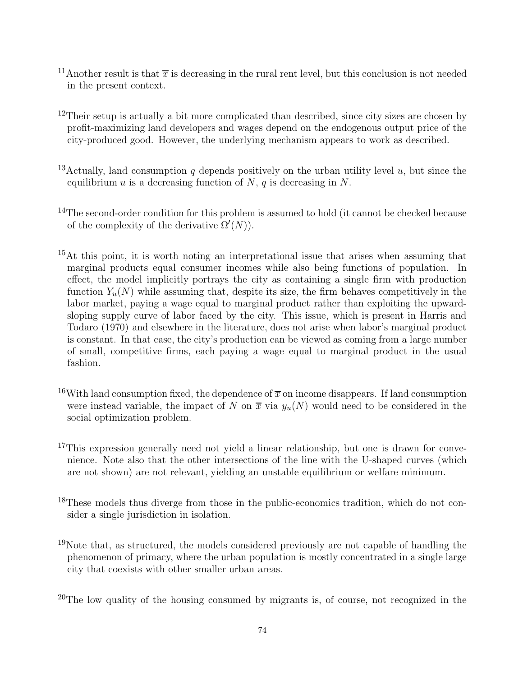- <sup>11</sup>Another result is that  $\bar{x}$  is decreasing in the rural rent level, but this conclusion is not needed in the present context.
- <sup>12</sup>Their setup is actually a bit more complicated than described, since city sizes are chosen by profit-maximizing land developers and wages depend on the endogenous output price of the city-produced good. However, the underlying mechanism appears to work as described.
- <sup>13</sup>Actually, land consumption q depends positively on the urban utility level  $u$ , but since the equilibrium  $u$  is a decreasing function of  $N$ ,  $q$  is decreasing in  $N$ .
- <sup>14</sup>The second-order condition for this problem is assumed to hold (it cannot be checked because of the complexity of the derivative  $\Omega'(N)$ .
- <sup>15</sup>At this point, it is worth noting an interpretational issue that arises when assuming that marginal products equal consumer incomes while also being functions of population. In effect, the model implicitly portrays the city as containing a single firm with production function  $Y_u(N)$  while assuming that, despite its size, the firm behaves competitively in the labor market, paying a wage equal to marginal product rather than exploiting the upwardsloping supply curve of labor faced by the city. This issue, which is present in Harris and Todaro (1970) and elsewhere in the literature, does not arise when labor's marginal product is constant. In that case, the city's production can be viewed as coming from a large number of small, competitive firms, each paying a wage equal to marginal product in the usual fashion.
- <sup>16</sup>With land consumption fixed, the dependence of  $\overline{x}$  on income disappears. If land consumption were instead variable, the impact of N on  $\bar{x}$  via  $y_u(N)$  would need to be considered in the social optimization problem.
- <sup>17</sup>This expression generally need not yield a linear relationship, but one is drawn for convenience. Note also that the other intersections of the line with the U-shaped curves (which are not shown) are not relevant, yielding an unstable equilibrium or welfare minimum.
- <sup>18</sup>These models thus diverge from those in the public-economics tradition, which do not consider a single jurisdiction in isolation.
- <sup>19</sup>Note that, as structured, the models considered previously are not capable of handling the phenomenon of primacy, where the urban population is mostly concentrated in a single large city that coexists with other smaller urban areas.
- $20$ The low quality of the housing consumed by migrants is, of course, not recognized in the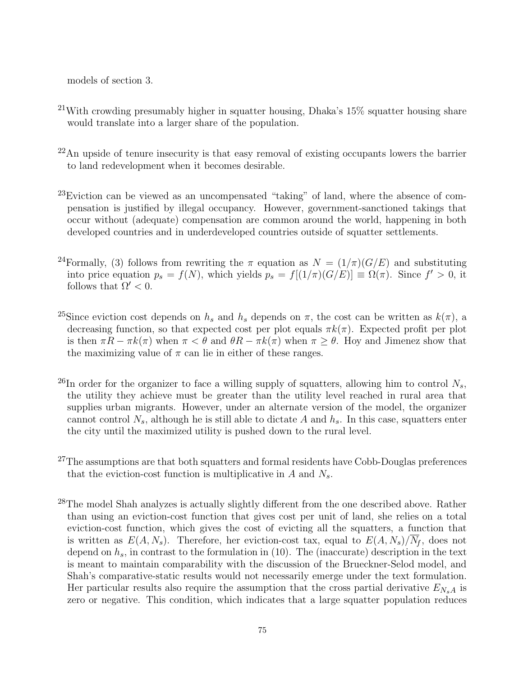models of section 3.

- <sup>21</sup>With crowding presumably higher in squatter housing, Dhaka's  $15\%$  squatter housing share would translate into a larger share of the population.
- $^{22}$ An upside of tenure insecurity is that easy removal of existing occupants lowers the barrier to land redevelopment when it becomes desirable.
- $^{23}$ Eviction can be viewed as an uncompensated "taking" of land, where the absence of compensation is justified by illegal occupancy. However, government-sanctioned takings that occur without (adequate) compensation are common around the world, happening in both developed countries and in underdeveloped countries outside of squatter settlements.
- <sup>24</sup>Formally, (3) follows from rewriting the  $\pi$  equation as  $N = (1/\pi)(G/E)$  and substituting into price equation  $p_s = f(N)$ , which yields  $p_s = f[(1/\pi)(G/\tilde{E})] \equiv \Omega(\pi)$ . Since  $f' > 0$ , it follows that  $\Omega' < 0$ .
- <sup>25</sup>Since eviction cost depends on  $h_s$  and  $h_s$  depends on  $\pi$ , the cost can be written as  $k(\pi)$ , a decreasing function, so that expected cost per plot equals  $\pi k(\pi)$ . Expected profit per plot is then  $\pi R - \pi k(\pi)$  when  $\pi < \theta$  and  $\theta R - \pi k(\pi)$  when  $\pi \geq \theta$ . Hoy and Jimenez show that the maximizing value of  $\pi$  can lie in either of these ranges.
- <sup>26</sup>In order for the organizer to face a willing supply of squatters, allowing him to control  $N_s$ , the utility they achieve must be greater than the utility level reached in rural area that supplies urban migrants. However, under an alternate version of the model, the organizer cannot control  $N_s$ , although he is still able to dictate A and  $h_s$ . In this case, squatters enter the city until the maximized utility is pushed down to the rural level.
- $27$ The assumptions are that both squatters and formal residents have Cobb-Douglas preferences that the eviction-cost function is multiplicative in  $A$  and  $N_s$ .
- <sup>28</sup>The model Shah analyzes is actually slightly different from the one described above. Rather than using an eviction-cost function that gives cost per unit of land, she relies on a total eviction-cost function, which gives the cost of evicting all the squatters, a function that is written as  $E(A, N_s)$ . Therefore, her eviction-cost tax, equal to  $E(A, N_s)/\overline{N}_f$ , does not depend on  $h_s$ , in contrast to the formulation in (10). The (inaccurate) description in the text is meant to maintain comparability with the discussion of the Brueckner-Selod model, and Shah's comparative-static results would not necessarily emerge under the text formulation. Her particular results also require the assumption that the cross partial derivative  $E_{N_{s}A}$  is zero or negative. This condition, which indicates that a large squatter population reduces